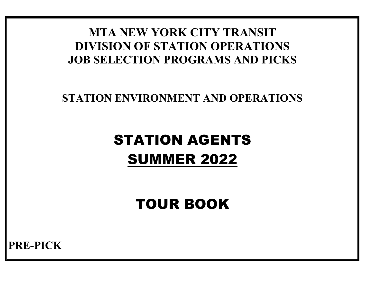# **MTA NEW YORK CITY TRANSIT DIVISION OF STATION OPERATIONS JOB SELECTION PROGRAMS AND PICKS**

## **STATION ENVIRONMENT AND OPERATIONS**

# STATION AGENTS SUMMER 2022

TOUR BOOK

**PRE-PICK**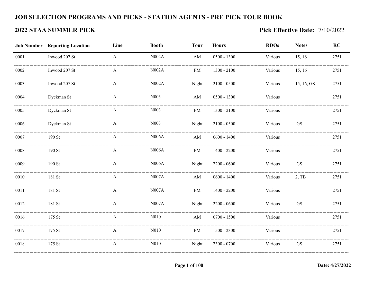### **JOB SELECTION PROGRAMS AND PICKS - STATION AGENTS - PRE PICK TOUR BOOK**

### **2022 STAA SUMMER PICK Pick Effective Date:** 7/10/2022

|      | <b>Job Number Reporting Location</b> | Line         | <b>Booth</b>      | <b>Tour</b>            | <b>Hours</b>  | <b>RDOs</b> | <b>Notes</b>        | RC   |
|------|--------------------------------------|--------------|-------------------|------------------------|---------------|-------------|---------------------|------|
| 0001 | Inwood 207 St                        | $\mathbf{A}$ | N002A             | AM                     | $0500 - 1300$ | Various     | 15, 16              | 2751 |
| 0002 | Inwood 207 St                        | $\mathbf{A}$ | N002A             | PM                     | 1300 - 2100   | Various     | 15, 16              | 2751 |
| 0003 | Inwood 207 St                        | A            | N002A             | Night                  | $2100 - 0500$ | Various     | 15, 16, GS          | 2751 |
| 0004 | Dyckman St                           | A            | N003              | AM                     | $0500 - 1300$ | Various     |                     | 2751 |
| 0005 | Dyckman St                           | $\mathbf{A}$ | N003              | PM                     | $1300 - 2100$ | Various     |                     | 2751 |
| 0006 | Dyckman St                           | A            | N <sub>0</sub> 03 | Night                  | $2100 - 0500$ | Various     | GS                  | 2751 |
| 0007 | $190$ St                             | $\mathbf{A}$ | N006A             | $\mathbf{A}\mathbf{M}$ | $0600 - 1400$ | Various     |                     | 2751 |
| 0008 | $190$ St                             | A            | N006A             | PM                     | 1400 - 2200   | Various     |                     | 2751 |
| 0009 | $190$ St                             | A            | <b>N006A</b>      | Night                  | $2200 - 0600$ | Various     | <b>GS</b>           | 2751 |
| 0010 | 181 St                               | $\mathbf{A}$ | N007A             | AM                     | $0600 - 1400$ | Various     | $2,$ TB             | 2751 |
| 0011 | 181 St                               | A            | <b>N007A</b>      | PM                     | $1400 - 2200$ | Various     |                     | 2751 |
| 0012 | 181 St                               | $\mathbf{A}$ | N007A             | Night                  | $2200 - 0600$ | Various     | $\operatorname{GS}$ | 2751 |
| 0016 | 175 St                               | A            | N010              | AM                     | $0700 - 1500$ | Various     |                     | 2751 |
| 0017 | $175$ St                             | A            | N010              | PM                     | 1500 - 2300   | Various     |                     | 2751 |
| 0018 | $175$ St                             | A            | N010              | Night                  | $2300 - 0700$ | Various     | <b>GS</b>           | 2751 |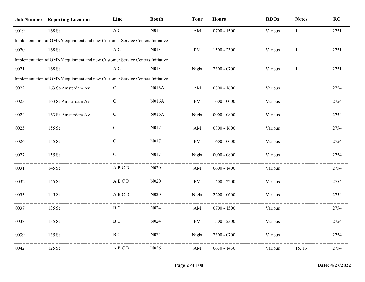|      | <b>Job Number Reporting Location</b>                                         | Line          | <b>Booth</b>      | <b>Tour</b>            | <b>Hours</b>  | <b>RDOs</b> | <b>Notes</b> | RC   |
|------|------------------------------------------------------------------------------|---------------|-------------------|------------------------|---------------|-------------|--------------|------|
| 0019 | 168 St                                                                       | $\mathbf A$ C | N013              | $\mathbf{A}\mathbf{M}$ | $0700 - 1500$ | Various     |              | 2751 |
|      | Implementation of OMNY equipment and new Customer Service Centers Initiative |               |                   |                        |               |             |              |      |
| 0020 | 168 St                                                                       | A C           | N <sub>0</sub> 13 | PM                     | $1500 - 2300$ | Various     |              | 2751 |
|      | Implementation of OMNY equipment and new Customer Service Centers Initiative |               |                   |                        |               |             |              |      |
| 0021 | 168 St                                                                       | A C           | N013              | Night                  | $2300 - 0700$ | Various     |              | 2751 |
|      | Implementation of OMNY equipment and new Customer Service Centers Initiative |               |                   |                        |               |             |              |      |
| 0022 | 163 St-Amsterdam Av                                                          | C             | N016A             | $\mathbf{A}\mathbf{M}$ | $0800 - 1600$ | Various     |              | 2754 |
| 0023 | 163 St-Amsterdam Av                                                          | C             | N016A             | PM                     | $1600 - 0000$ | Various     |              | 2754 |
| 0024 | 163 St-Amsterdam Av                                                          | $\mathbf C$   | N016A             | Night                  | $0000 - 0800$ | Various     |              | 2754 |
| 0025 | 155 St                                                                       | $\mathcal{C}$ | N017              | AM                     | $0800 - 1600$ | Various     |              | 2754 |
| 0026 | $155$ St                                                                     | $\mathbf C$   | N017              | PM                     | $1600 - 0000$ | Various     |              | 2754 |
| 0027 | $155$ St                                                                     | $\mathcal{C}$ | N017              | Night                  | $0000 - 0800$ | Various     |              | 2754 |
| 0031 | 145 St                                                                       | ABCD          | N <sub>0</sub> 20 | AM                     | $0600 - 1400$ | Various     |              | 2754 |
| 0032 | 145 St                                                                       | ABCD          | N <sub>0</sub> 20 | PM                     | $1400 - 2200$ | Various     |              | 2754 |
| 0033 | 145 St                                                                       | ABCD          | N <sub>0</sub> 20 | Night                  | $2200 - 0600$ | Various     |              | 2754 |
| 0037 | 135 St                                                                       | B C           | N <sub>0</sub> 24 | AM                     | $0700 - 1500$ | Various     |              | 2754 |
| 0038 | 135 St                                                                       | ВC            | N <sub>0</sub> 24 | PM                     | $1500 - 2300$ | Various     |              | 2754 |
| 0039 | 135 St                                                                       | B C           | N <sub>0</sub> 24 | Night                  | $2300 - 0700$ | Various     |              | 2754 |
| 0042 | $125$ St                                                                     | A B C D       | N <sub>0</sub> 26 | AM                     | $0630 - 1430$ | Various     | 15, 16       | 2754 |
|      |                                                                              |               |                   |                        |               |             |              |      |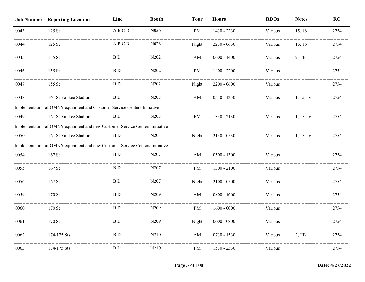|      | <b>Job Number Reporting Location</b>                                         | Line           | <b>Booth</b>                  | <b>Tour</b>            | <b>Hours</b>  | <b>RDOs</b> | <b>Notes</b> | RC   |
|------|------------------------------------------------------------------------------|----------------|-------------------------------|------------------------|---------------|-------------|--------------|------|
| 0043 | $125$ St                                                                     | ABCD           | N026                          | PM                     | 1430 - 2230   | Various     | 15, 16       | 2754 |
| 0044 | 125 St                                                                       | ABCD           | N <sub>0</sub> 26             | Night                  | $2230 - 0630$ | Various     | 15, 16       | 2754 |
| 0045 | 155 St                                                                       | B <sub>D</sub> | N202                          | $\mathbf{A}\mathbf{M}$ | $0600 - 1400$ | Various     | $2,$ TB      | 2754 |
| 0046 | $155$ St                                                                     | BD             | N202                          | PM                     | $1400 - 2200$ | Various     |              | 2754 |
| 0047 | $155$ St                                                                     | BD.            | N <sub>2</sub> 0 <sub>2</sub> | Night                  | $2200 - 0600$ | Various     |              | 2754 |
| 0048 | 161 St Yankee Stadium                                                        | BD             | N203                          | AM                     | $0530 - 1330$ | Various     | 1, 15, 16    | 2754 |
|      | Implementation of OMNY equipment and Customer Service Centers Initiative     |                |                               |                        |               |             |              |      |
| 0049 | 161 St Yankee Stadium                                                        | BD.            | N <sub>2</sub> 03             | PM                     | 1330 - 2130   | Various     | 1, 15, 16    | 2754 |
|      | Implementation of OMNY equipment and new Customer Service Centers Initiative |                |                               |                        |               |             |              |      |
| 0050 | 161 St Yankee Stadium                                                        | B D            | N <sub>2</sub> 03             | Night                  | $2130 - 0530$ | Various     | 1, 15, 16    | 2754 |
|      | Implementation of OMNY equipment and new Customer Service Centers Initiative |                |                               |                        |               |             |              |      |
| 0054 | $167$ St                                                                     | BD.            | N <sub>2</sub> 07             | AM                     | $0500 - 1300$ | Various     |              | 2754 |
| 0055 | $167$ St                                                                     | BD             | N207                          | PM                     | $1300 - 2100$ | Various     |              | 2754 |
| 0056 | 167 St                                                                       | B D            | N207                          | Night                  | $2100 - 0500$ | Various     |              | 2754 |
| 0059 | $170$ St                                                                     | BD             | N209                          | AM                     | $0800 - 1600$ | Various     |              | 2754 |
| 0060 | $170$ St                                                                     | BD             | N <sub>209</sub>              | PM                     | $1600 - 0000$ | Various     |              | 2754 |
| 0061 | 170 St                                                                       | BD             | N209                          | Night                  | $0000 - 0800$ | various     |              | 2754 |
| 0062 | 174-175 Sts                                                                  | B D            | N210                          | AM                     | $0730 - 1530$ | Various     | $2,$ TB      | 2754 |
| 0063 | 174-175 Sts                                                                  | B D            | N <sub>2</sub> 10             | PM                     | 1530 - 2330   | Various     |              | 2754 |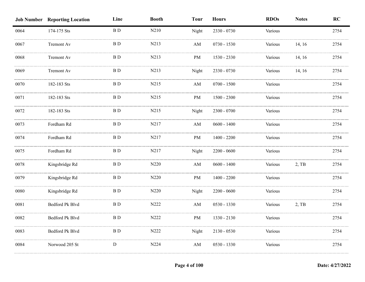|      | <b>Job Number Reporting Location</b> | Line                    | <b>Booth</b> | <b>Tour</b> | <b>Hours</b>  | <b>RDOs</b> | <b>Notes</b> | RC   |
|------|--------------------------------------|-------------------------|--------------|-------------|---------------|-------------|--------------|------|
| 0064 | 174-175 Sts                          | $\, {\bf B} \, {\bf D}$ | N210         | Night       | 2330 - 0730   | Various     |              | 2754 |
| 0067 | Tremont Av                           | <b>BD</b>               | N213         | AM          | 0730 - 1530   | Various     | 14, 16       | 2754 |
| 0068 | Tremont Av                           | <b>BD</b>               | N213         | PM          | 1530 - 2330   | Various     | 14, 16       | 2754 |
| 0069 | Tremont Av                           | <b>BD</b>               | N213         | Night       | 2330 - 0730   | Various     | 14, 16       | 2754 |
| 0070 | 182-183 Sts                          | <b>BD</b>               | N215         | AM          | $0700 - 1500$ | Various     |              | 2754 |
| 0071 | 182-183 Sts                          | <b>BD</b>               | N215         | PM          | $1500 - 2300$ | Various     |              | 2754 |
| 0072 | 182-183 Sts                          | $\, {\bf B} \,$ D       | N215         | Night       | 2300 - 0700   | Various     |              | 2754 |
| 0073 | Fordham Rd                           | $\, {\bf B} \,$ D       | N217         | AM          | $0600 - 1400$ | Various     |              | 2754 |
| 0074 | Fordham Rd                           | B <sub>D</sub>          | N217         | PM          | $1400 - 2200$ | Various     |              | 2754 |
| 0075 | Fordham Rd                           | <b>BD</b>               | N217         | Night       | $2200 - 0600$ | Various     |              | 2754 |
| 0078 | Kingsbridge Rd                       | <b>BD</b>               | N220         | AM          | $0600 - 1400$ | Various     | 2, TB        | 2754 |
| 0079 | Kingsbridge Rd                       | <b>BD</b>               | N220         | PM          | $1400 - 2200$ | Various     |              | 2754 |
| 0080 | Kingsbridge Rd                       | <b>BD</b>               | N220         | Night       | $2200 - 0600$ | Various     |              | 2754 |
| 0081 | Bedford Pk Blvd                      | <b>BD</b>               | N222         | AM          | 0530 - 1330   | Various     | $2,$ TB      | 2754 |
| 0082 | Bedford Pk Blvd                      | B <sub>D</sub>          | N222         | PM          | 1330 - 2130   | Various     |              | 2754 |
| 0083 | Bedford Pk Blvd                      | <b>BD</b>               | N222         | Night       | $2130 - 0530$ | Various     |              | 2754 |
| 0084 | Norwood 205 St                       | ${\bf D}$               | N224         | AM          | 0530 - 1330   | Various     |              | 2754 |
|      |                                      |                         |              |             |               |             |              |      |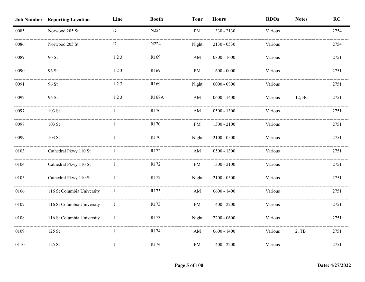|      | <b>Job Number Reporting Location</b> | Line         | <b>Booth</b> | <b>Tour</b>            | <b>Hours</b>  | <b>RDOs</b> | <b>Notes</b> | RC   |
|------|--------------------------------------|--------------|--------------|------------------------|---------------|-------------|--------------|------|
| 0085 | Norwood 205 St                       | ${\rm D}$    | N224         | PM                     | 1330 - 2130   | Various     |              | 2754 |
| 0086 | Norwood 205 St                       | ${\bf D}$    | N224         | Night                  | $2130 - 0530$ | Various     |              | 2754 |
| 0089 | 96 St                                | 123          | R169         | AM                     | $0800 - 1600$ | Various     |              | 2751 |
| 0090 | 96 St                                | 123          | R169         | $\rm PM$               | $1600 - 0000$ | Various     |              | 2751 |
| 0091 | 96 St                                | 123          | R169         | Night                  | $0000 - 0800$ | Various     |              | 2751 |
| 0092 | 96 St                                | 123          | <b>R168A</b> | AM                     | $0600 - 1400$ | Various     | 12, BC       | 2751 |
| 0097 | $103$ St                             | $\mathbf{1}$ | R170         | $\mathbf{A}\mathbf{M}$ | $0500 - 1300$ | Various     |              | 2751 |
| 0098 | $103$ St                             | $\mathbf{1}$ | R170         | PM                     | $1300 - 2100$ | Various     |              | 2751 |
| 0099 | 103 St                               | 1            | R170         | Night                  | $2100 - 0500$ | Various     |              | 2751 |
| 0103 | Cathedral Pkwy 110 St                | 1            | R172         | $\mathbf{A}\mathbf{M}$ | $0500 - 1300$ | Various     |              | 2751 |
| 0104 | Cathedral Pkwy 110 St                |              | R172         | <b>PM</b>              | $1300 - 2100$ | Various     |              | 2751 |
| 0105 | Cathedral Pkwy 110 St                |              | R172         | Night                  | $2100 - 0500$ | Various     |              | 2751 |
| 0106 | 116 St Columbia University           |              | R173         | AM                     | $0600 - 1400$ | Various     |              | 2751 |
| 0107 | 116 St Columbia University           |              | R173         | PM                     | $1400 - 2200$ | Various     |              | 2751 |
| 0108 | 116 St Columbia University           | 1            | R173         | Night                  | $2200 - 0600$ | Various     |              | 2751 |
| 0109 | 125 St                               | $\mathbf{1}$ | R174         | $\mathbf{A}\mathbf{M}$ | $0600 - 1400$ | Various     | $2,$ TB      | 2751 |
| 0110 | 125 St                               | -1           | R174         | PM                     | $1400 - 2200$ | Various     |              | 2751 |
|      |                                      |              |              |                        |               |             |              |      |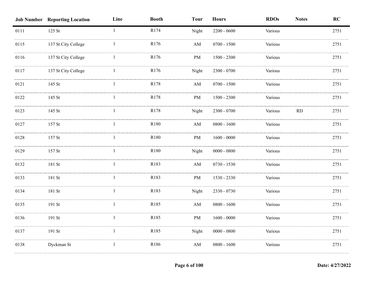|      | <b>Job Number Reporting Location</b> | Line         | <b>Booth</b> | <b>Tour</b>            | <b>Hours</b>  | <b>RDOs</b> | <b>Notes</b> | RC   |
|------|--------------------------------------|--------------|--------------|------------------------|---------------|-------------|--------------|------|
| 0111 | 125 St                               | $\mathbf{1}$ | R174         | Night                  | $2200 - 0600$ | Various     |              | 2751 |
| 0115 | 137 St City College                  |              | R176         | $\mathbf{A}\mathbf{M}$ | $0700 - 1500$ | Various     |              | 2751 |
| 0116 | 137 St City College                  |              | R176         | $\rm PM$               | $1500 - 2300$ | Various     |              | 2751 |
| 0117 | 137 St City College                  |              | R176         | Night                  | 2300 - 0700   | Various     |              | 2751 |
| 0121 | 145 St                               |              | R178         | AM                     | $0700 - 1500$ | Various     |              | 2751 |
| 0122 | 145 St                               | $\mathbf{1}$ | R178         | PM                     | $1500 - 2300$ | Various     |              | 2751 |
| 0123 | 145 St                               | $\mathbf{1}$ | R178         | Night                  | $2300 - 0700$ | Various     | RD           | 2751 |
| 0127 | 157 St                               | $\mathbf{1}$ | R180         | $\mathbf{A}\mathbf{M}$ | $0800 - 1600$ | Various     |              | 2751 |
| 0128 | 157 St                               | $\mathbf{1}$ | R180         | PM                     | $1600 - 0000$ | Various     |              | 2751 |
| 0129 | 157 St                               | $\mathbf{1}$ | R180         | Night                  | $0000 - 0800$ | Various     |              | 2751 |
| 0132 | 181 St                               |              | R183         | $\mathbf{A}\mathbf{M}$ | $0730 - 1530$ | Various     |              | 2751 |
| 0133 | 181 St                               |              | R183         | PM                     | 1530 - 2330   | Various     |              | 2751 |
| 0134 | 181 St                               |              | R183         | Night                  | 2330 - 0730   | Various     |              | 2751 |
| 0135 | 191 St                               |              | R185         | $\mathbf{A}\mathbf{M}$ | $0800 - 1600$ | Various     |              | 2751 |
| 0136 | 191 St                               | 1            | R185         | PM                     | $1600 - 0000$ | Various     |              | 2751 |
| 0137 | 191 St                               | -1           | R185         | Night                  | $0000 - 0800$ | Various     |              | 2751 |
| 0138 | Dyckman St                           | $\mathbf{1}$ | R186         | AM                     | $0800 - 1600$ | Various     |              | 2751 |
|      |                                      |              |              |                        |               |             |              |      |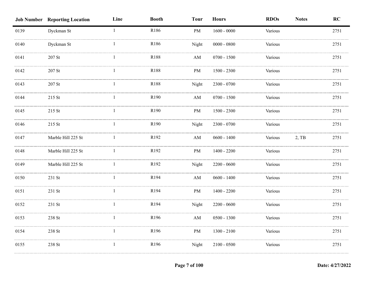|      | <b>Job Number Reporting Location</b> | Line         | <b>Booth</b> | <b>Tour</b>            | <b>Hours</b>  | <b>RDOs</b> | <b>Notes</b> | RC   |
|------|--------------------------------------|--------------|--------------|------------------------|---------------|-------------|--------------|------|
| 0139 | Dyckman St                           | $\mathbf{1}$ | R186         | PM                     | $1600 - 0000$ | Various     |              | 2751 |
| 0140 | Dyckman St                           |              | R186         | Night                  | $0000 - 0800$ | Various     |              | 2751 |
| 0141 | $207$ St                             |              | R188         | AM                     | $0700 - 1500$ | Various     |              | 2751 |
| 0142 | 207 St                               |              | R188         | PM                     | $1500 - 2300$ | Various     |              | 2751 |
| 0143 | $207\;\mathrm{St}$                   | 1            | R188         | Night                  | $2300 - 0700$ | Various     |              | 2751 |
| 0144 | 215 St                               | 1            | R190         | $\mathbf{A}\mathbf{M}$ | $0700 - 1500$ | Various     |              | 2751 |
| 0145 | 215 St                               | $\mathbf{1}$ | R190         | $\rm PM$               | $1500 - 2300$ | Various     |              | 2751 |
| 0146 | 215 St                               | $\mathbf{1}$ | R190         | Night                  | 2300 - 0700   | Various     |              | 2751 |
| 0147 | Marble Hill 225 St                   | $\mathbf{1}$ | R192         | $\mathbf{A}\mathbf{M}$ | $0600 - 1400$ | Various     | $2,$ TB      | 2751 |
| 0148 | Marble Hill 225 St                   | 1            | R192         | PM                     | $1400 - 2200$ | Various     |              | 2751 |
| 0149 | Marble Hill 225 St                   |              | R192         | Night                  | $2200 - 0600$ | Various     |              | 2751 |
| 0150 | 231 St                               |              | R194         | $\mathbf{A}\mathbf{M}$ | $0600 - 1400$ | Various     |              | 2751 |
| 0151 | 231 St                               |              | R194         | PM                     | $1400 - 2200$ | Various     |              | 2751 |
| 0152 | 231 St                               |              | R194         | Night                  | $2200 - 0600$ | Various     |              | 2751 |
| 0153 | 238 St                               | $\mathbf{1}$ | R196         | $\mathbf{A}\mathbf{M}$ | $0500 - 1300$ | Various     |              | 2751 |
| 0154 | 238 St                               | $\mathbf{1}$ | R196         | PM                     | $1300 - 2100$ | Various     |              | 2751 |
| 0155 | 238 St                               | $\mathbf{1}$ | R196         | Night                  | $2100 - 0500$ | Various     |              | 2751 |
|      |                                      |              |              |                        |               |             |              |      |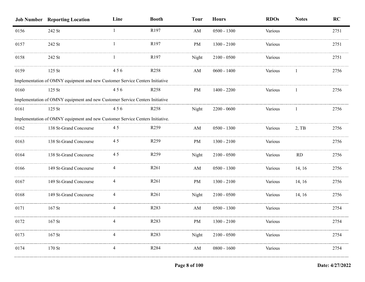|      | <b>Job Number Reporting Location</b>                                          | Line | <b>Booth</b>     | <b>Tour</b> | <b>Hours</b>  | <b>RDOs</b>    | <b>Notes</b> | <b>RC</b> |
|------|-------------------------------------------------------------------------------|------|------------------|-------------|---------------|----------------|--------------|-----------|
| 0156 | 242 St                                                                        |      | R197             | AM          | $0500 - 1300$ | Various        |              | 2751      |
| 0157 | 242 St                                                                        |      | R197             | PM          | $1300 - 2100$ | Various        |              | 2751      |
| 0158 | 242 St                                                                        |      | R <sub>197</sub> | Night       | $2100 - 0500$ | Various        |              | 2751      |
| 0159 | $125$ St                                                                      | 456  | R <sub>258</sub> | AM          | $0600 - 1400$ | Various        |              | 2756      |
|      | Implementation of OMNY equipment and new Customer Service Centers Initiative  |      |                  |             |               |                |              |           |
| 0160 | $125$ St                                                                      | 456  | R <sub>258</sub> | PM          | $1400 - 2200$ | Various        |              | 2756      |
|      | Implementation of OMNY equipment and new Customer Service Centers Initiative  |      |                  |             |               |                |              |           |
| 0161 | $125$ St                                                                      | 456  | R <sub>258</sub> | Night       | $2200 - 0600$ | Various        | -1           | 2756      |
|      | Implementation of OMNY equipment and new Customer Service Centers Initiative. |      |                  |             |               |                |              |           |
| 0162 | 138 St-Grand Concourse                                                        | 45   | R <sub>259</sub> | AM          | $0500 - 1300$ | Various        | $2,$ TB      | 2756      |
| 0163 | 138 St-Grand Concourse                                                        | 45   | R <sub>259</sub> | PM          | $1300 - 2100$ | Various        |              | 2756      |
| 0164 | 138 St-Grand Concourse                                                        | 45   | R <sub>259</sub> | Night       | $2100 - 0500$ | Various        | <b>RD</b>    | 2756      |
| 0166 | 149 St-Grand Concourse                                                        | 4    | R <sub>261</sub> | AM          | $0500 - 1300$ | Various        | 14, 16       | 2756      |
| 0167 | 149 St-Grand Concourse                                                        | 4    | R <sub>261</sub> | PM          | $1300 - 2100$ | Various        | 14, 16       | 2756      |
| 0168 | 149 St-Grand Concourse                                                        |      | R <sub>261</sub> | Night       | $2100 - 0500$ | Various        | 14, 16       | 2756      |
| 0171 | $167$ St                                                                      | 4    | R <sub>283</sub> | AM          | $0500 - 1300$ | Various        |              | 2754      |
| 0172 | 167 St                                                                        |      | R283             | PM          | $1300 - 2100$ | Various        |              | 2754      |
| 0173 | $167$ St                                                                      |      | R <sub>283</sub> | Night       | $2100 - 0500$ | <b>Various</b> |              | 2754      |
| 0174 | $170$ St                                                                      |      | R <sub>284</sub> | AM          | $0800 - 1600$ | Various        |              | 2754      |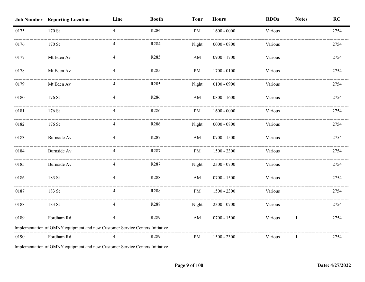|      | <b>Job Number Reporting Location</b>                                         | Line           | <b>Booth</b>     | <b>Tour</b>            | <b>Hours</b>  | <b>RDOs</b> | <b>Notes</b> | RC   |
|------|------------------------------------------------------------------------------|----------------|------------------|------------------------|---------------|-------------|--------------|------|
| 0175 | 170 St                                                                       | $\overline{4}$ | R284             | PM                     | $1600 - 0000$ | Various     |              | 2754 |
| 0176 | 170 St                                                                       |                | R284             | Night                  | $0000 - 0800$ | Various     |              | 2754 |
| 0177 | Mt Eden Av                                                                   |                | R285             | AM                     | 0900 - 1700   | Various     |              | 2754 |
| 0178 | Mt Eden Av                                                                   | 4              | R <sub>285</sub> | PM                     | $1700 - 0100$ | Various     |              | 2754 |
| 0179 | Mt Eden Av                                                                   | 4              | R285             | Night                  | $0100 - 0900$ | Various     |              | 2754 |
| 0180 | 176 St                                                                       | $\overline{4}$ | R286             | AM                     | $0800 - 1600$ | Various     |              | 2754 |
| 0181 | 176 St                                                                       | 4              | R286             | PM                     | $1600 - 0000$ | Various     |              | 2754 |
| 0182 | $176$ St                                                                     | 4              | R286             | Night                  | $0000 - 0800$ | Various     |              | 2754 |
| 0183 | Burnside Av                                                                  | 4              | R287             | AM                     | $0700 - 1500$ | Various     |              | 2754 |
| 0184 | Burnside Av                                                                  | 4              | R287             | PM                     | $1500 - 2300$ | Various     |              | 2754 |
| 0185 | <b>Burnside Av</b>                                                           | 4              | R287             | Night                  | $2300 - 0700$ | Various     |              | 2754 |
| 0186 | 183 St                                                                       | 4              | R288             | $\mathbf{A}\mathbf{M}$ | $0700 - 1500$ | Various     |              | 2754 |
| 0187 | 183 St                                                                       | 4              | R288             | PM                     | $1500 - 2300$ | Various     |              | 2754 |
| 0188 | 183 St                                                                       | 4              | R288             | Night                  | $2300 - 0700$ | Various     |              | 2754 |
| 0189 | Fordham Rd                                                                   | 4              | R289             | AM                     | $0700 - 1500$ | Various     |              | 2754 |
|      | Implementation of OMNY equipment and new Customer Service Centers Initiative |                |                  |                        |               |             |              |      |
| 0190 | Fordham Rd                                                                   |                | R289             | PM                     | $1500 - 2300$ | Various     | -1           | 2754 |
|      | Implementation of OMNY equipment and new Customer Service Centers Initiative |                |                  |                        |               |             |              |      |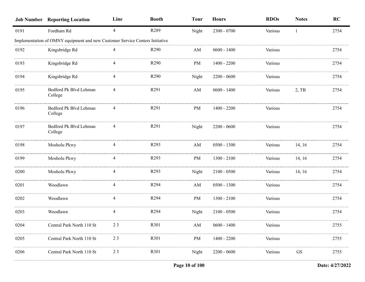|      | <b>Job Number Reporting Location</b>                                         | Line | <b>Booth</b>     | <b>Tour</b>            | <b>Hours</b>  | <b>RDOs</b> | <b>Notes</b> | RC   |
|------|------------------------------------------------------------------------------|------|------------------|------------------------|---------------|-------------|--------------|------|
| 0191 | Fordham Rd                                                                   | 4    | R289             | Night                  | $2300 - 0700$ | Various     | -1           | 2754 |
|      | Implementation of OMNY equipment and new Customer Service Centers Initiative |      |                  |                        |               |             |              |      |
| 0192 | Kingsbridge Rd                                                               | 4    | R <sub>290</sub> | AM                     | $0600 - 1400$ | Various     |              | 2754 |
| 0193 | Kingsbridge Rd                                                               |      | R290             | PM                     | $1400 - 2200$ | Various     |              | 2754 |
| 0194 | Kingsbridge Rd                                                               | 4    | R <sub>290</sub> | Night                  | $2200 - 0600$ | Various     |              | 2754 |
| 0195 | Bedford Pk Blvd Lehman<br>College                                            |      | R <sub>291</sub> | AM                     | $0600 - 1400$ | Various     | 2, TB        | 2754 |
| 0196 | Bedford Pk Blvd Lehman<br>College                                            |      | R <sub>291</sub> | PM                     | $1400 - 2200$ | Various     |              | 2754 |
| 0197 | Bedford Pk Blvd Lehman<br>College                                            | 4    | R <sub>291</sub> | Night                  | $2200 - 0600$ | Various     |              | 2754 |
| 0198 | Mosholu Pkwy                                                                 |      | R <sub>293</sub> | AM                     | $0500 - 1300$ | Various     | 14, 16       | 2754 |
| 0199 | Mosholu Pkwy                                                                 | 4    | R293             | PM                     | $1300 - 2100$ | Various     | 14, 16       | 2754 |
| 0200 | Mosholu Pkwy                                                                 |      | R <sub>293</sub> | Night                  | $2100 - 0500$ | Various     | 14, 16       | 2754 |
| 0201 | Woodlawn                                                                     | 4    | R294             | AM                     | $0500 - 1300$ | Various     |              | 2754 |
| 0202 | Woodlawn                                                                     | 4    | R294             | PM                     | $1300 - 2100$ | Various     |              | 2754 |
| 0203 | Woodlawn                                                                     |      | R <sub>294</sub> | Night                  | $2100 - 0500$ | Various     |              | 2754 |
| 0204 | Central Park North 110 St                                                    | 23   | R301             | $\mathbf{A}\mathbf{M}$ | $0600 - 1400$ | Various     |              | 2755 |
| 0205 | Central Park North 110 St                                                    | 23   | R301             | PM                     | $1400 - 2200$ | Various     |              | 2755 |
| 0206 | Central Park North 110 St                                                    | 23   | R301             | Night                  | $2200 - 0600$ | Various     | <b>GS</b>    | 2755 |
|      |                                                                              |      |                  |                        |               |             |              |      |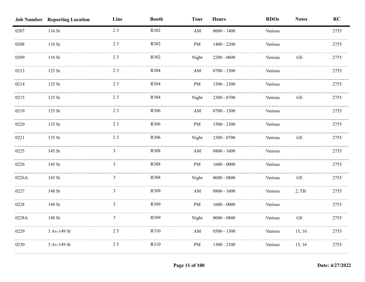|       | <b>Job Number Reporting Location</b> | Line           | <b>Booth</b> | <b>Tour</b>            | <b>Hours</b>  | <b>RDOs</b> | <b>Notes</b>        | RC   |
|-------|--------------------------------------|----------------|--------------|------------------------|---------------|-------------|---------------------|------|
| 0207  | 116 St                               | 23             | R302         | $\mathbf{A}\mathbf{M}$ | $0600 - 1400$ | Various     |                     | 2755 |
| 0208  | 116 St                               | 23             | R302         | PM                     | $1400 - 2200$ | Various     |                     | 2755 |
| 0209  | 116 St                               | 23             | R302         | Night                  | $2200 - 0600$ | Various     | GS                  | 2755 |
| 0213  | 125 St                               | 23             | R304         | $\mathbf{A}\mathbf{M}$ | $0700 - 1500$ | Various     |                     | 2755 |
| 0214  | 125 St                               | 23             | R304         | PM                     | $1500 - 2300$ | Various     |                     | 2755 |
| 0215  | 125 St                               | 23             | R304         | Night                  | 2300 - 0700   | Various     | <b>GS</b>           | 2755 |
| 0219  | 135 St                               | 23             | R306         | $\mathbf{A}\mathbf{M}$ | $0700 - 1500$ | Various     |                     | 2755 |
| 0220  | 135 St                               | 23             | R306         | $\rm PM$               | $1500 - 2300$ | Various     |                     | 2755 |
| 0221  | 135 St                               | 23             | R306         | Night                  | 2300 - 0700   | Various     | $\operatorname{GS}$ | 2755 |
| 0225  | 145 St                               | 3              | R308         | AM                     | $0800 - 1600$ | Various     |                     | 2755 |
| 0226  | 145 St                               | $\mathfrak{Z}$ | R308         | PM                     | $1600 - 0000$ | Various     |                     | 2755 |
| 0226A | 145 St                               | $\overline{3}$ | R308         | Night                  | $0000 - 0800$ | Various     | GS                  | 2755 |
| 0227  | 148 St                               | 3              | R309         | AM                     | $0800 - 1600$ | Various     | 2, TB               | 2755 |
| 0228  | 148 St                               | 3              | R309         | PM                     | $1600 - 0000$ | Various     |                     | 2755 |
| 0228A | 148 St                               | $\mathfrak{Z}$ | R309         | Night                  | $0000 - 0800$ | Various     | $\operatorname{GS}$ | 2755 |
| 0229  | 3 Av-149 St                          | 25             | R310         | $\mathbf{A}\mathbf{M}$ | $0500 - 1300$ | Various     | 15, 16              | 2755 |
| 0230  | 3 Av-149 St                          | 25             | R310         | PM                     | $1300 - 2100$ | Various     | 15, 16              | 2755 |
|       |                                      |                |              |                        |               |             |                     |      |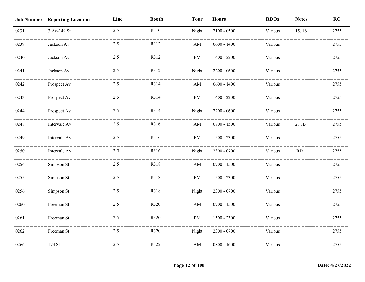|      | <b>Job Number Reporting Location</b> | Line | <b>Booth</b> | <b>Tour</b>            | <b>Hours</b>  | <b>RDOs</b> | <b>Notes</b> | RC   |
|------|--------------------------------------|------|--------------|------------------------|---------------|-------------|--------------|------|
| 0231 | 3 Av-149 St                          | 25   | R310         | Night                  | $2100 - 0500$ | Various     | 15, 16       | 2755 |
| 0239 | Jackson Av                           | 25   | R312         | AM                     | $0600 - 1400$ | Various     |              | 2755 |
| 0240 | Jackson Av                           | 25   | R312         | PM                     | $1400 - 2200$ | Various     |              | 2755 |
| 0241 | Jackson Av                           | 25   | R312         | Night                  | $2200 - 0600$ | Various     |              | 2755 |
| 0242 | Prospect Av                          | 25   | R314         | AM                     | $0600 - 1400$ | Various     |              | 2755 |
| 0243 | Prospect Av                          | 25   | R314         | PM                     | $1400 - 2200$ | Various     |              | 2755 |
| 0244 | Prospect Av                          | 25   | R314         | Night                  | $2200 - 0600$ | Various     |              | 2755 |
| 0248 | Intervale Av                         | 25   | R316         | $\mathbf{A}\mathbf{M}$ | $0700 - 1500$ | Various     | 2, TB        | 2755 |
| 0249 | Intervale Av                         | 25   | R316         | PM                     | $1500 - 2300$ | Various     |              | 2755 |
| 0250 | Intervale Av                         | 25   | R316         | Night                  | $2300 - 0700$ | Various     | RD           | 2755 |
| 0254 | Simpson St                           | 25   | R318         | AM                     | $0700 - 1500$ | Various     |              | 2755 |
| 0255 | Simpson St                           | 25   | R318         | $\rm PM$               | $1500 - 2300$ | Various     |              | 2755 |
| 0256 | Simpson St                           | 25   | R318         | Night                  | $2300 - 0700$ | Various     |              | 2755 |
| 0260 | Freeman St                           | 25   | R320         | AM                     | $0700 - 1500$ | Various     |              | 2755 |
| 0261 | Freeman St                           | 25   | R320         | PM                     | $1500 - 2300$ | Various     |              | 2755 |
| 0262 | Freeman St                           | 25   | R320         | Night                  | $2300 - 0700$ | Various     |              | 2755 |
| 0266 | 174 St                               | 25   | R322         | AM                     | $0800 - 1600$ | Various     |              | 2755 |
|      |                                      |      |              |                        |               |             |              |      |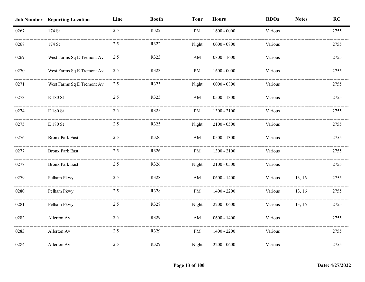|      | <b>Job Number Reporting Location</b> | Line | <b>Booth</b> | <b>Tour</b>            | <b>Hours</b>  | <b>RDOs</b> | <b>Notes</b> | RC   |
|------|--------------------------------------|------|--------------|------------------------|---------------|-------------|--------------|------|
| 0267 | 174 St                               | 25   | R322         | PM                     | $1600 - 0000$ | Various     |              | 2755 |
| 0268 | 174 St                               | 25   | R322         | Night                  | $0000 - 0800$ | Various     |              | 2755 |
| 0269 | West Farms Sq E Tremont Av           | 25   | R323         | AM                     | $0800 - 1600$ | Various     |              | 2755 |
| 0270 | West Farms Sq E Tremont Av           | 25   | R323         | PM                     | $1600 - 0000$ | Various     |              | 2755 |
| 0271 | West Farms Sq E Tremont Av           | 25   | R323         | Night                  | $0000 - 0800$ | Various     |              | 2755 |
| 0273 | $\to$ 180 St                         | 25   | R325         | $\mathbf{A}\mathbf{M}$ | $0500 - 1300$ | Various     |              | 2755 |
| 0274 | $\to$ 180 St                         | 25   | R325         | PM                     | $1300 - 2100$ | Various     |              | 2755 |
| 0275 | $\to$ 180 St                         | 25   | R325         | Night                  | $2100 - 0500$ | Various     |              | 2755 |
| 0276 | <b>Bronx Park East</b>               | 25   | R326         | AM                     | $0500 - 1300$ | Various     |              | 2755 |
| 0277 | <b>Bronx Park East</b>               | 25   | R326         | PM                     | $1300 - 2100$ | Various     |              | 2755 |
| 0278 | <b>Bronx Park East</b>               | 25   | R326         | Night                  | $2100 - 0500$ | Various     |              | 2755 |
| 0279 | Pelham Pkwy                          | 25   | R328         | AM                     | $0600 - 1400$ | Various     | 13, 16       | 2755 |
| 0280 | Pelham Pkwy                          | 25   | R328         | PM                     | $1400 - 2200$ | Various     | 13, 16       | 2755 |
| 0281 | Pelham Pkwy                          | 25   | R328         | Night                  | $2200 - 0600$ | Various     | 13, 16       | 2755 |
| 0282 | Allerton Av                          | 25   | R329         | $\mathbf{A}\mathbf{M}$ | $0600 - 1400$ | Various     |              | 2755 |
| 0283 | Allerton Av                          | 25   | R329         | PM                     | $1400 - 2200$ | Various     |              | 2755 |
| 0284 | Allerton Av                          | 25   | R329         | Night                  | $2200 - 0600$ | Various     |              | 2755 |
|      |                                      |      |              |                        |               |             |              |      |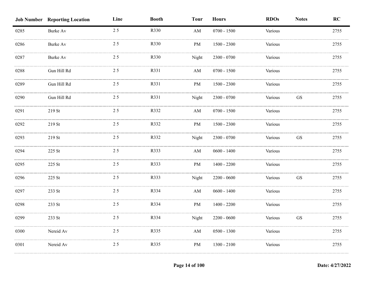|      | <b>Job Number Reporting Location</b> | Line | <b>Booth</b> | <b>Tour</b>            | <b>Hours</b>  | <b>RDOs</b> | <b>Notes</b>        | RC   |
|------|--------------------------------------|------|--------------|------------------------|---------------|-------------|---------------------|------|
| 0285 | Burke Av                             | 25   | R330         | $\mathbf{A}\mathbf{M}$ | $0700 - 1500$ | Various     |                     | 2755 |
| 0286 | <b>Burke Av</b>                      | 25   | R330         | PM                     | $1500 - 2300$ | Various     |                     | 2755 |
| 0287 | <b>Burke Av</b>                      | 25   | R330         | Night                  | 2300 - 0700   | Various     |                     | 2755 |
| 0288 | Gun Hill Rd                          | 25   | R331         | AM                     | $0700 - 1500$ | Various     |                     | 2755 |
| 0289 | Gun Hill Rd                          | 25   | R331         | PM                     | $1500 - 2300$ | Various     |                     | 2755 |
| 0290 | Gun Hill Rd                          | 25   | R331         | Night                  | $2300 - 0700$ | Various     | $\operatorname{GS}$ | 2755 |
| 0291 | 219 St                               | 25   | R332         | AM                     | $0700 - 1500$ | Various     |                     | 2755 |
| 0292 | 219 St                               | 25   | R332         | PM                     | $1500 - 2300$ | Various     |                     | 2755 |
| 0293 | 219 St                               | 25   | R332         | Night                  | $2300 - 0700$ | Various     | $\operatorname{GS}$ | 2755 |
| 0294 | 225 St                               | 25   | R333         | AM                     | $0600 - 1400$ | Various     |                     | 2755 |
| 0295 | 225 St                               | 25   | R333         | PM                     | $1400 - 2200$ | Various     |                     | 2755 |
| 0296 | 225 St                               | 25   | R333         | Night                  | $2200 - 0600$ | Various     | <b>GS</b>           | 2755 |
| 0297 | 233 St                               | 25   | R334         | AM                     | $0600 - 1400$ | Various     |                     | 2755 |
| 0298 | 233 St                               | 25   | R334         | PM                     | $1400 - 2200$ | Various     |                     | 2755 |
| 0299 | 233 St                               | 25   | R334         | Night                  | $2200 - 0600$ | Various     | ${\rm GS}$          | 2755 |
| 0300 | Nereid Av                            | 25   | R335         | AM                     | $0500 - 1300$ | Various     |                     | 2755 |
| 0301 | Nereid Av                            | 25   | R335         | PM                     | $1300 - 2100$ | Various     |                     | 2755 |
|      |                                      |      |              |                        |               |             |                     |      |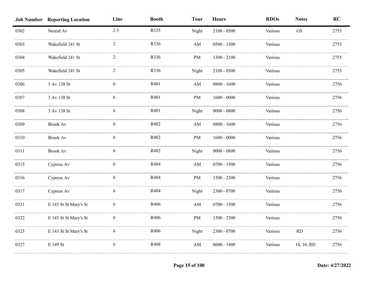|      | <b>Job Number Reporting Location</b> | Line           | <b>Booth</b> | <b>Tour</b>            | <b>Hours</b>  | <b>RDOs</b> | <b>Notes</b>        | RC   |
|------|--------------------------------------|----------------|--------------|------------------------|---------------|-------------|---------------------|------|
| 0302 | Nereid Av                            | 25             | R335         | Night                  | $2100 - 0500$ | Various     | $\operatorname{GS}$ | 2755 |
| 0303 | Wakefield 241 St                     | $\overline{2}$ | R336         | $\mathbf{A}\mathbf{M}$ | $0500 - 1300$ | Various     |                     | 2755 |
| 0304 | Wakefield 241 St                     | $\overline{2}$ | R336         | <b>PM</b>              | $1300 - 2100$ | Various     |                     | 2755 |
| 0305 | Wakefield 241 St                     | 2              | R336         | Night                  | $2100 - 0500$ | Various     |                     | 2755 |
| 0306 | 3 Av 138 St                          | 6              | R401         | $\mathbf{A}\mathbf{M}$ | $0800 - 1600$ | Various     |                     | 2756 |
| 0307 | 3 Av 138 St                          | 6              | R401         | PM                     | $1600 - 0000$ | Various     |                     | 2756 |
| 0308 | 3 Av 138 St                          | 6              | R401         | Night                  | $0000 - 0800$ | Various     |                     | 2756 |
| 0309 | <b>Brook Av</b>                      | 6              | R402         | $\mathbf{A}\mathbf{M}$ | $0800 - 1600$ | Various     |                     | 2756 |
| 0310 | <b>Brook Av</b>                      | 6              | R402         | PM                     | $1600 - 0000$ | Various     |                     | 2756 |
| 0311 | <b>Brook Av</b>                      | 6              | R402         | Night                  | $0000 - 0800$ | Various     |                     | 2756 |
| 0315 | Cypress Av                           | 6              | R404         | $\mathbf{A}\mathbf{M}$ | $0700 - 1500$ | Various     |                     | 2756 |
| 0316 | Cypress Av                           | 6              | R404         | $\rm PM$               | $1500 - 2300$ | Various     |                     | 2756 |
| 0317 | Cypress Av                           | 6              | R404         | Night                  | $2300 - 0700$ | Various     |                     | 2756 |
| 0321 | E 143 St St Mary's St                | 6              | R406         | $\mathbf{A}\mathbf{M}$ | $0700 - 1500$ | Various     |                     | 2756 |
| 0322 | E 143 St St Mary's St                | 6              | R406         | PM                     | $1500 - 2300$ | Various     |                     | 2756 |
| 0323 | E 143 St St Mary's St                | 6              | R406         | Night                  | 2300 - 0700   | Various     | RD                  | 2756 |
| 0327 | E 149 St                             | 6              | R408         | AM                     | $0600 - 1400$ | Various     | 14, 16, RD          | 2756 |
|      |                                      |                |              |                        |               |             |                     |      |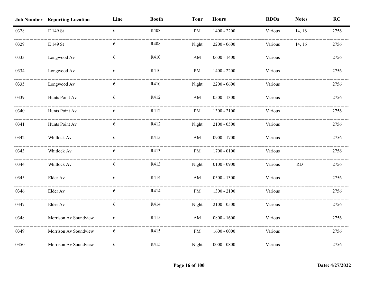|      | <b>Job Number Reporting Location</b> | Line | <b>Booth</b> | <b>Tour</b>            | <b>Hours</b>  | <b>RDOs</b> | <b>Notes</b> | RC   |
|------|--------------------------------------|------|--------------|------------------------|---------------|-------------|--------------|------|
| 0328 | E 149 St                             | 6    | R408         | PM                     | $1400 - 2200$ | Various     | 14, 16       | 2756 |
| 0329 | E 149 St                             | 6    | R408         | Night                  | $2200 - 0600$ | Various     | 14, 16       | 2756 |
| 0333 | Longwood Av                          | 6    | R410         | AM                     | $0600 - 1400$ | Various     |              | 2756 |
| 0334 | Longwood Av                          | 6    | R410         | PM                     | $1400 - 2200$ | Various     |              | 2756 |
| 0335 | Longwood Av                          | 6    | R410         | Night                  | $2200 - 0600$ | Various     |              | 2756 |
| 0339 | Hunts Point Av                       | 6    | R412         | $\mathbf{A}\mathbf{M}$ | $0500 - 1300$ | Various     |              | 2756 |
| 0340 | Hunts Point Av                       | 6    | R412         | PM                     | $1300 - 2100$ | Various     |              | 2756 |
| 0341 | Hunts Point Av                       | 6    | R412         | Night                  | $2100 - 0500$ | Various     |              | 2756 |
| 0342 | Whitlock Av                          | 6    | R413         | AM                     | $0900 - 1700$ | Various     |              | 2756 |
| 0343 | Whitlock Av                          | 6    | R413         | PM                     | $1700 - 0100$ | Various     |              | 2756 |
| 0344 | Whitlock Av                          | 6    | R413         | Night                  | $0100 - 0900$ | Various     | RD           | 2756 |
| 0345 | Elder Av                             | 6    | R414         | AM                     | $0500 - 1300$ | Various     |              | 2756 |
| 0346 | Elder Av                             | 6    | R414         | PM                     | $1300 - 2100$ | Various     |              | 2756 |
| 0347 | Elder Av                             | 6    | R414         | Night                  | $2100 - 0500$ | Various     |              | 2756 |
| 0348 | Morrison Av Soundview                | 6    | R415         | $\mathbf{A}\mathbf{M}$ | $0800 - 1600$ | Various     |              | 2756 |
| 0349 | Morrison Av Soundview                | 6    | R415         | PM                     | $1600 - 0000$ | Various     |              | 2756 |
| 0350 | Morrison Av Soundview                | 6    | R415         | Night                  | $0000 - 0800$ | Various     |              | 2756 |
|      |                                      |      |              |                        |               |             |              |      |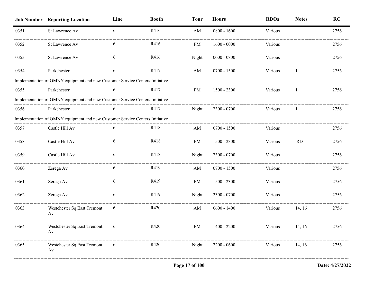|      | <b>Job Number Reporting Location</b>                                         | Line | <b>Booth</b> | <b>Tour</b> | <b>Hours</b>  | <b>RDOs</b> | <b>Notes</b> | <b>RC</b> |
|------|------------------------------------------------------------------------------|------|--------------|-------------|---------------|-------------|--------------|-----------|
| 0351 | St Lawrence Av                                                               | 6    | R416         | AM          | $0800 - 1600$ | Various     |              | 2756      |
| 0352 | St Lawrence Av                                                               | 6    | R416         | PM          | $1600 - 0000$ | Various     |              | 2756      |
| 0353 | St Lawrence Av                                                               |      | R416         | Night       | $0000 - 0800$ | Various     |              | 2756      |
| 0354 | Parkchester                                                                  | 6    | R417         | AM          | $0700 - 1500$ | Various     |              | 2756      |
|      | Implementation of OMNY equipment and new Customer Service Centers Initiative |      |              |             |               |             |              |           |
| 0355 | Parkchester                                                                  |      | R417         | PM          | $1500 - 2300$ | Various     |              | 2756      |
|      | Implementation of OMNY equipment and new Customer Service Centers Initiative |      |              |             |               |             |              |           |
| 0356 | Parkchester                                                                  | 6    | R417         | Night       | $2300 - 0700$ | Various     |              | 2756      |
|      | Implementation of OMNY equipment and new Customer Service Centers Initiative |      |              |             |               |             |              |           |
| 0357 | Castle Hill Av                                                               |      | R418         | AM          | $0700 - 1500$ | Various     |              | 2756      |
| 0358 | Castle Hill Av                                                               | 6    | R418         | PM          | $1500 - 2300$ | Various     | RD           | 2756      |
| 0359 | Castle Hill Av                                                               | 6    | R418         | Night       | $2300 - 0700$ | Various     |              | 2756      |
| 0360 | Zerega Av                                                                    | 6    | R419         | AM          | $0700 - 1500$ | Various     |              | 2756      |
| 0361 | Zerega Av                                                                    | 6    | R419         | PM          | $1500 - 2300$ | Various     |              | 2756      |
| 0362 | Zerega Av                                                                    | 6    | R419         | Night       | $2300 - 0700$ | Various     |              | 2756      |
| 0363 | Westchester Sq East Tremont<br>Av                                            | 6    | R420         | AM          | $0600 - 1400$ | Various     | 14, 16       | 2756      |
| 0364 | Westchester Sq East Tremont<br>Av                                            | 6    | R420         | PM          | $1400 - 2200$ | Various     | 14, 16       | 2756      |
| 0365 | Westchester Sq East Tremont<br>Av                                            | 6    | R420         | Night       | $2200 - 0600$ | Various     | 14, 16       | 2756      |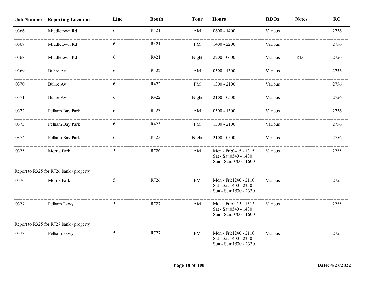|      | <b>Job Number Reporting Location</b>    | Line | <b>Booth</b> | <b>Tour</b> | <b>Hours</b>                                                             | <b>RDOs</b> | <b>Notes</b> | RC   |
|------|-----------------------------------------|------|--------------|-------------|--------------------------------------------------------------------------|-------------|--------------|------|
| 0366 | Middletown Rd                           | 6    | R421         | AM          | $0600 - 1400$                                                            | Various     |              | 2756 |
| 0367 | Middletown Rd                           |      | R421         | PM.         | $1400 - 2200$                                                            | Various     |              | 2756 |
| 0368 | Middletown Rd                           | 6    | R421         | Night       | $2200 - 0600$                                                            | Various     | <b>RD</b>    | 2756 |
| 0369 | Buhre Av                                | 6    | R422         | AM          | $0500 - 1300$                                                            | Various     |              | 2756 |
| 0370 | Buhre Av                                | 6    | R422         | PM          | $1300 - 2100$                                                            | Various     |              | 2756 |
| 0371 | <b>Buhre Av</b>                         | 6    | R422         | Night       | $2100 - 0500$                                                            | Various     |              | 2756 |
| 0372 | Pelham Bay Park                         | 6    | R423         | AM          | $0500 - 1300$                                                            | Various     |              | 2756 |
| 0373 | Pelham Bay Park                         | 6    | R423         | PM          | $1300 - 2100$                                                            | Various     |              | 2756 |
| 0374 | Pelham Bay Park                         | 6    | R423         | Night       | $2100 - 0500$                                                            | Various     |              | 2756 |
| 0375 | Morris Park                             | 5    | R726         | AM          | Mon - Fri:0415 - 1315<br>Sat - Sat: 0540 - 1430<br>Sun - Sun:0700 - 1600 | Various     |              | 2755 |
|      | Report to R325 for R726 bank / property |      |              |             |                                                                          |             |              |      |
| 0376 | Morris Park                             | 5    | R726         | PM          | Mon - Fri:1240 - 2110<br>Sat - Sat: 1400 - 2230<br>Sun - Sun:1530 - 2330 | Various     |              | 2755 |
| 0377 | Pelham Pkwy                             | 5    | R727         | AM          | Mon - Fri:0415 - 1315<br>Sat - Sat: 0540 - 1430<br>Sun - Sun:0700 - 1600 | Various     |              | 2755 |
|      | Report to R325 for R727 bank / property |      |              |             |                                                                          |             |              |      |
| 0378 | Pelham Pkwy                             | 5    | R727         | PM          | Mon - Fri:1240 - 2110<br>Sat - Sat: 1400 - 2230<br>Sun - Sun:1530 - 2330 | Various     |              | 2755 |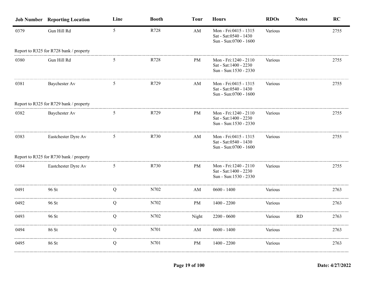|      | <b>Job Number Reporting Location</b>    | Line            | <b>Booth</b> | <b>Tour</b> | <b>Hours</b>                                                             | <b>RDOs</b> | <b>Notes</b> | <b>RC</b> |
|------|-----------------------------------------|-----------------|--------------|-------------|--------------------------------------------------------------------------|-------------|--------------|-----------|
| 0379 | Gun Hill Rd                             | $5\overline{)}$ | R728         | AM          | Mon - Fri:0415 - 1315<br>Sat - Sat:0540 - 1430<br>Sun - Sun:0700 - 1600  | Various     |              | 2755      |
|      | Report to R325 for R728 bank / property |                 |              |             |                                                                          |             |              |           |
| 0380 | Gun Hill Rd                             | 5               | R728         | PM          | Mon - Fri:1240 - 2110<br>Sat - Sat: 1400 - 2230<br>Sun - Sun:1530 - 2330 | Various     |              | 2755      |
| 0381 | Baychester Av                           | 5               | R729         | AM          | Mon - Fri:0415 - 1315<br>Sat - Sat:0540 - 1430<br>Sun - Sun:0700 - 1600  | Various     |              | 2755      |
|      | Report to R325 for R729 bank / property |                 |              |             |                                                                          |             |              |           |
| 0382 | Baychester Av                           | 5               | R729         | PM          | Mon - Fri:1240 - 2110<br>Sat - Sat: 1400 - 2230<br>Sun - Sun:1530 - 2330 | Various     |              | 2755      |
| 0383 | Eastchester Dyre Av                     | 5               | R730         | AM          | Mon - Fri:0415 - 1315<br>Sat - Sat: 0540 - 1430<br>Sun - Sun:0700 - 1600 | Various     |              | 2755      |
|      | Report to R325 for R730 bank / property |                 |              |             |                                                                          |             |              |           |
| 0384 | Eastchester Dyre Av                     | 5               | R730         | PM          | Mon - Fri:1240 - 2110<br>Sat - Sat: 1400 - 2230<br>Sun - Sun:1530 - 2330 | Various     |              | 2755      |
| 0491 | 96 St                                   | Q               | N702         | AM          | $0600 - 1400$                                                            | Various     |              | 2763      |
| 0492 | 96 St                                   | Q               | N702         | PM          | $1400 - 2200$                                                            | Various     |              | 2763      |
| 0493 | 96 St                                   | Q               | N702         | Night       | $2200 - 0600$                                                            | Various     | <b>RD</b>    | 2763      |
| 0494 | 86 St                                   | Q               | N701         | AM          | $0600 - 1400$                                                            | Various     |              | 2763      |
| 0495 | 86 St                                   | Q               | N701         | PM          | $1400 - 2200$                                                            | Various     |              | 2763      |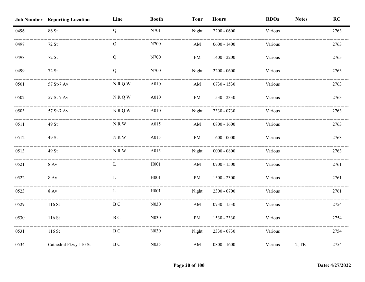|                       | Line                                 | <b>Booth</b> | <b>Tour</b>            | <b>Hours</b>  | <b>RDOs</b> | <b>Notes</b> | RC   |
|-----------------------|--------------------------------------|--------------|------------------------|---------------|-------------|--------------|------|
| 86 St                 | Q                                    | N701         | Night                  | $2200 - 0600$ | Various     |              | 2763 |
| 72 St                 | Q                                    | N700         | $\mathbf{A}\mathbf{M}$ | $0600 - 1400$ | Various     |              | 2763 |
| 72 St                 | Q                                    | N700         | PM                     | $1400 - 2200$ | Various     |              | 2763 |
| 72 St                 | Q                                    | N700         | Night                  | $2200 - 0600$ | Various     |              | 2763 |
| 57 St-7 Av            | <b>NRQW</b>                          | A010         | $\mathbf{A}\mathbf{M}$ | $0730 - 1530$ | Various     |              | 2763 |
| 57 St-7 Av            | <b>NRQW</b>                          | A010         | PM                     | 1530 - 2330   | Various     |              | 2763 |
| 57 St-7 Av            | <b>NRQW</b>                          | A010         | Night                  | $2330 - 0730$ | Various     |              | 2763 |
| 49 St                 | NRW                                  | A015         | $\mathbf{A}\mathbf{M}$ | $0800 - 1600$ | Various     |              | 2763 |
| 49 St                 | NRW                                  | A015         | PM                     | $1600 - 0000$ | Various     |              | 2763 |
| 49 St                 | NRW                                  | A015         | Night                  | $0000 - 0800$ | Various     |              | 2763 |
| $8 \,\mathrm{Av}$     | L                                    | H001         | AM                     | $0700 - 1500$ | Various     |              | 2761 |
| $8$ Av                | L                                    | H001         | PM                     | 1500 - 2300   | Various     |              | 2761 |
| <b>8 Av</b>           | L                                    | H001         | Night                  | 2300 - 0700   | Various     |              | 2761 |
| 116 St                | $\, {\bf B} \, {\bf C}$              | N030         | $\mathbf{A}\mathbf{M}$ | $0730 - 1530$ | Various     |              | 2754 |
| 116 St                | <b>BC</b>                            | N030         | PM                     | 1530 - 2330   | Various     |              | 2754 |
| 116 St                | <b>BC</b>                            | N030         | Night                  | 2330 - 0730   | Various     |              | 2754 |
| Cathedral Pkwy 110 St | $\, {\bf B} \, {\bf C}$              | N035         | AM                     | $0800 - 1600$ | Various     | 2, TB        | 2754 |
|                       | <b>Job Number Reporting Location</b> |              |                        |               |             |              |      |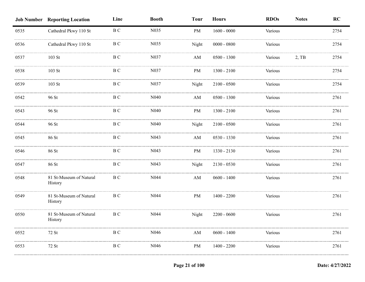|      | <b>Job Number Reporting Location</b> | Line                    | <b>Booth</b>      | <b>Tour</b>            | <b>Hours</b>  | <b>RDOs</b> | <b>Notes</b> | RC   |
|------|--------------------------------------|-------------------------|-------------------|------------------------|---------------|-------------|--------------|------|
| 0535 | Cathedral Pkwy 110 St                | B C                     | N035              | PM                     | $1600 - 0000$ | Various     |              | 2754 |
| 0536 | Cathedral Pkwy 110 St                | <b>BC</b>               | N035              | Night                  | $0000 - 0800$ | Various     |              | 2754 |
| 0537 | 103 St                               | B C                     | N037              | $\mathbf{A}\mathbf{M}$ | $0500 - 1300$ | Various     | 2, TB        | 2754 |
| 0538 | $103$ St                             | B C                     | N037              | PM                     | $1300 - 2100$ | Various     |              | 2754 |
| 0539 | $103$ St                             | B C                     | N037              | Night                  | $2100 - 0500$ | Various     |              | 2754 |
| 0542 | 96 St                                | $\, {\bf B} \, {\bf C}$ | N040              | AM                     | $0500 - 1300$ | Various     |              | 2761 |
| 0543 | 96 St                                | $\rm B$ C               | N <sub>040</sub>  | PM                     | $1300 - 2100$ | Various     |              | 2761 |
| 0544 | 96 St                                | B C                     | N <sub>040</sub>  | Night                  | $2100 - 0500$ | Various     |              | 2761 |
| 0545 | 86 St                                | B C                     | N043              | $\mathbf{A}\mathbf{M}$ | $0530 - 1330$ | Various     |              | 2761 |
| 0546 | 86 St                                | B C                     | N043              | PM                     | 1330 - 2130   | Various     |              | 2761 |
| 0547 | 86 St                                | B C                     | N <sub>04</sub> 3 | Night                  | $2130 - 0530$ | Various     |              | 2761 |
| 0548 | 81 St-Museum of Natural<br>History   | B C                     | N044              | AM                     | $0600 - 1400$ | Various     |              | 2761 |
| 0549 | 81 St-Museum of Natural<br>History   | $\, {\bf B} \, {\bf C}$ | N044              | PM                     | $1400 - 2200$ | Various     |              | 2761 |
| 0550 | 81 St-Museum of Natural<br>History   | B C                     | N044              | Night                  | $2200 - 0600$ | Various     |              | 2761 |
| 0552 | 72 St                                | $\, {\bf B} \, {\bf C}$ | N046              | AM                     | $0600 - 1400$ | Various     |              | 2761 |
| 0553 | 72 St                                | B C                     | N046              | PM                     | $1400 - 2200$ | Various     |              | 2761 |
|      |                                      |                         |                   |                        |               |             |              |      |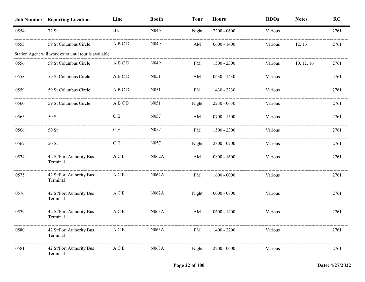|      | <b>Job Number Reporting Location</b>                  | Line          | <b>Booth</b>     | <b>Tour</b> | <b>Hours</b>  | <b>RDOs</b> | <b>Notes</b> | <b>RC</b> |
|------|-------------------------------------------------------|---------------|------------------|-------------|---------------|-------------|--------------|-----------|
| 0554 | 72 St                                                 | B C           | N <sub>046</sub> | Night       | $2200 - 0600$ | Various     |              | 2761      |
| 0555 | 59 St Columbus Circle                                 | ABCD          | N <sub>049</sub> | AM          | $0600 - 1400$ | Various     | 12, 16       | 2761      |
|      | Station Agent will work extra until tour is available |               |                  |             |               |             |              |           |
| 0556 | 59 St Columbus Circle                                 | ABCD          | N <sub>049</sub> | PM          | $1500 - 2300$ | Various     | 10, 12, 16   | 2761      |
| 0558 | 59 St Columbus Circle                                 | ABCD          | N051             | AM          | $0630 - 1430$ | Various     |              | 2761      |
| 0559 | 59 St Columbus Circle                                 | ABCD          | N <sub>051</sub> | PM          | $1430 - 2230$ | Various     |              | 2761      |
| 0560 | 59 St Columbus Circle                                 | ABCD          | N <sub>051</sub> | Night       | $2230 - 0630$ | Various     |              | 2761      |
| 0565 | $50$ St                                               | $\mathbf C$ E | N <sub>057</sub> | AM          | $0700 - 1500$ | Various     |              | 2761      |
| 0566 | 50 St                                                 | $\mathbf C$ E | N057             | PM          | $1500 - 2300$ | Various     |              | 2761      |
| 0567 | $50$ St                                               | C E           | N <sub>057</sub> | Night       | $2300 - 0700$ | Various     |              | 2761      |
| 0574 | 42 St/Port Authority Bus<br>Terminal                  | A C E         | N062A            | AM          | $0800 - 1600$ | Various     |              | 2761      |
| 0575 | 42 St/Port Authority Bus<br>Terminal                  | A C E         | N062A            | PM          | $1600 - 0000$ | Various     |              | 2761      |
| 0576 | 42 St/Port Authority Bus<br>Terminal                  | A C E         | N062A            | Night       | $0000 - 0800$ | Various     |              | 2761      |
| 0579 | 42 St/Port Authority Bus<br>Terminal                  | A C E         | N063A            | AM          | $0600 - 1400$ | Various     |              | 2761      |
| 0580 | 42 St/Port Authority Bus<br>Terminal                  | A C E         | N063A            | PM          | 1400 - 2200   | Various     |              | 2761      |
| 0581 | 42 St/Port Authority Bus<br>Terminal                  | A C E         | N063A            | Night       | $2200 - 0600$ | Various     |              | 2761      |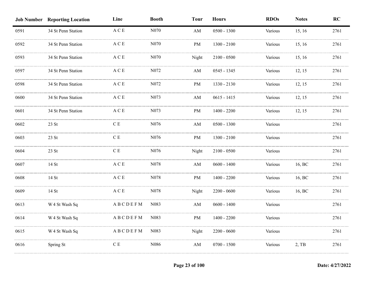|      | <b>Job Number Reporting Location</b> | Line                                      | <b>Booth</b>     | <b>Tour</b>            | <b>Hours</b>  | <b>RDOs</b> | <b>Notes</b> | <b>RC</b> |
|------|--------------------------------------|-------------------------------------------|------------------|------------------------|---------------|-------------|--------------|-----------|
| 0591 | 34 St Penn Station                   | $\mathbf A$ C E                           | N070             | ${\rm AM}$             | $0500 - 1300$ | Various     | 15, 16       | 2761      |
| 0592 | 34 St Penn Station                   | $\mathbf A \mathrel{\mathbf C} \mathbf E$ | N070             | <b>PM</b>              | $1300 - 2100$ | Various     | 15, 16       | 2761      |
| 0593 | 34 St Penn Station                   | $\mathbf A$ C E                           | N070             | Night                  | $2100 - 0500$ | Various     | 15, 16       | 2761      |
| 0597 | 34 St Penn Station                   | $\mathbf{A} \mathbf{C} \mathbf{E}$        | N072             | $\mathbf{A}\mathbf{M}$ | $0545 - 1345$ | Various     | 12, 15       | 2761      |
| 0598 | 34 St Penn Station                   | $\mathbf A \mathrel{\mathbf C} \mathbf E$ | N072             | PM                     | 1330 - 2130   | Various     | 12, 15       | 2761      |
| 0600 | 34 St Penn Station                   | $\mathbf A \mathrel{\mathbf C} \mathbf E$ | N073             | $\mathbf{A}\mathbf{M}$ | $0615 - 1415$ | Various     | 12, 15       | 2761      |
| 0601 | 34 St Penn Station                   | $\mathbf A \mathrel{\mathbf C} \mathbf E$ | N073             | PM                     | $1400 - 2200$ | Various     | 12, 15       | 2761      |
| 0602 | 23 St                                | $\mathbf C$ E                             | N076             | $\mathbf{A}\mathbf{M}$ | $0500 - 1300$ | Various     |              | 2761      |
| 0603 | 23 St                                | $\mathbf C$ E                             | N076             | PM                     | $1300 - 2100$ | Various     |              | 2761      |
| 0604 | 23 St                                | C E                                       | N076             | Night                  | $2100 - 0500$ | Various     |              | 2761      |
| 0607 | 14 St                                | $\mathbf{A} \mathbf{C} \mathbf{E}$        | N <sub>078</sub> | $\mathbf{A}\mathbf{M}$ | $0600 - 1400$ | Various     | 16, BC       | 2761      |
| 0608 | 14 St                                | $\mathbf{A} \mathbf{C} \mathbf{E}$        | N078             | PM                     | $1400 - 2200$ | Various     | 16, BC       | 2761      |
| 0609 | 14 St                                | $\mathbf A \mathrel{\mathbf C} \mathbf E$ | N078             | Night                  | $2200 - 0600$ | Various     | 16, BC       | 2761      |
| 0613 | W 4 St Wash Sq                       | ABCDEFM                                   | N083             | $\mathbf{A}\mathbf{M}$ | $0600 - 1400$ | Various     |              | 2761      |
| 0614 | W 4 St Wash Sq                       | ABCDEFM                                   | N083             | PM                     | $1400 - 2200$ | Various     |              | 2761      |
| 0615 | W 4 St Wash Sq                       | ABCDEFM                                   | N083             | Night                  | $2200 - 0600$ | Various     |              | 2761      |
| 0616 | Spring St                            | $\mathbf C$ E                             | N086             | $\mathbf{A}\mathbf{M}$ | $0700 - 1500$ | Various     | $2,$ TB      | 2761      |
|      |                                      |                                           |                  |                        |               |             |              |           |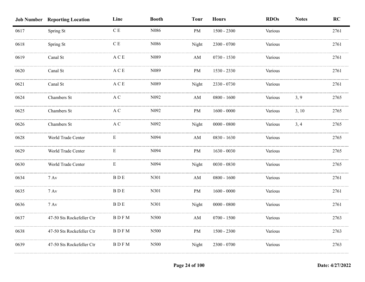|      | <b>Job Number Reporting Location</b> | Line                                      | <b>Booth</b>     | <b>Tour</b>            | <b>Hours</b>  | <b>RDOs</b> | <b>Notes</b> | RC   |
|------|--------------------------------------|-------------------------------------------|------------------|------------------------|---------------|-------------|--------------|------|
| 0617 | Spring St                            | $\mathbf C$ E                             | N086             | <b>PM</b>              | $1500 - 2300$ | Various     |              | 2761 |
| 0618 | Spring St                            | $\mathbf C$ E                             | N086             | Night                  | 2300 - 0700   | Various     |              | 2761 |
| 0619 | Canal St                             | $\mathbf A \mathbf C \mathbf E$           | N089             | AM                     | 0730 - 1530   | Various     |              | 2761 |
| 0620 | Canal St                             | $\mathbf A \mathrel{\mathbf C} \mathbf E$ | N089             | PM                     | 1530 - 2330   | Various     |              | 2761 |
| 0621 | Canal St                             | $\mathbf A \mathrel{\mathbf C} \mathbf E$ | N089             | Night                  | 2330 - 0730   | Various     |              | 2761 |
| 0624 | Chambers St                          | $\mathbf A$ C                             | N092             | $\mathbf{A}\mathbf{M}$ | $0800 - 1600$ | Various     | 3, 9         | 2765 |
| 0625 | Chambers St                          | $\mathbf A$ C                             | N092             | PM                     | $1600 - 0000$ | Various     | 3, 10        | 2765 |
| 0626 | Chambers St                          | $\mathbf A$ C                             | N092             | Night                  | $0000 - 0800$ | Various     | 3, 4         | 2765 |
| 0628 | World Trade Center                   | E                                         | N094             | AM                     | 0830 - 1630   | Various     |              | 2765 |
| 0629 | World Trade Center                   | E                                         | N <sub>094</sub> | <b>PM</b>              | $1630 - 0030$ | Various     |              | 2765 |
| 0630 | World Trade Center                   | E                                         | N094             | Night                  | $0030 - 0830$ | Various     |              | 2765 |
| 0634 | $7$ Av                               | $B$ $D$ $E$                               | N301             | AM                     | $0800 - 1600$ | Various     |              | 2761 |
| 0635 | $7 \,\mathrm{Av}$                    | <b>BDE</b>                                | N301             | PM                     | $1600 - 0000$ | Various     |              | 2761 |
| 0636 | $7 \,\mathrm{Av}$                    | $\rm B~D~E$                               | N301             | Night                  | $0000 - 0800$ | Various     |              | 2761 |
| 0637 | 47-50 Sts Rockefeller Ctr            | <b>BDFM</b>                               | N500             | AM                     | $0700 - 1500$ | Various     |              | 2763 |
| 0638 | 47-50 Sts Rockefeller Ctr            | <b>BDFM</b>                               | N500             | PM                     | $1500 - 2300$ | Various     |              | 2763 |
| 0639 | 47-50 Sts Rockefeller Ctr            | <b>BDFM</b>                               | N500             | Night                  | 2300 - 0700   | Various     |              | 2763 |
|      |                                      |                                           |                  |                        |               |             |              |      |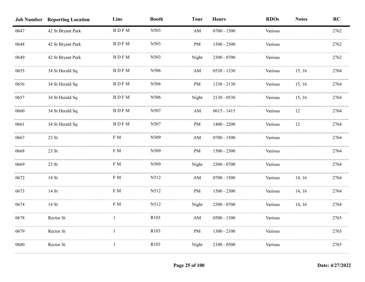|      | <b>Job Number Reporting Location</b> | Line                                      | <b>Booth</b>     | <b>Tour</b>            | <b>Hours</b>  | <b>RDOs</b> | <b>Notes</b> | RC   |
|------|--------------------------------------|-------------------------------------------|------------------|------------------------|---------------|-------------|--------------|------|
| 0647 | 42 St Bryant Park                    | <b>BDFM</b>                               | N503             | $\mathbf{A}\mathbf{M}$ | $0700 - 1500$ | Various     |              | 2762 |
| 0648 | 42 St Bryant Park                    | <b>BDFM</b>                               | N503             | PM                     | $1500 - 2300$ | Various     |              | 2762 |
| 0649 | 42 St Bryant Park                    | <b>BDFM</b>                               | N503             | Night                  | 2300 - 0700   | Various     |              | 2762 |
| 0655 | 34 St Herald Sq                      | <b>BDFM</b>                               | N506             | $\mathbf{A}\mathbf{M}$ | 0530 - 1330   | Various     | 15, 16       | 2764 |
| 0656 | 34 St Herald Sq                      | <b>BDFM</b>                               | N506             | PM                     | 1330 - 2130   | Various     | 15, 16       | 2764 |
| 0657 | 34 St Herald Sq                      | $\operatorname{B}$ D $\operatorname{F}$ M | N506             | Night                  | $2130 - 0530$ | Various     | 15, 16       | 2764 |
| 0660 | 34 St Herald Sq                      | $\operatorname{B}$ D $\operatorname{F}$ M | N507             | $\mathbf{A}\mathbf{M}$ | $0615 - 1415$ | Various     | $12\,$       | 2764 |
| 0661 | 34 St Herald Sq                      | <b>BDFM</b>                               | N507             | PM                     | $1400 - 2200$ | Various     | 12           | 2764 |
| 0667 | 23 St                                | F M                                       | N509             | $\mathbf{A}\mathbf{M}$ | $0700 - 1500$ | Various     |              | 2764 |
| 0668 | 23 St                                | F M                                       | N509             | PM                     | $1500 - 2300$ | Various     |              | 2764 |
| 0669 | 23 St                                | ${\rm F}\;{\rm M}$                        | N509             | Night                  | 2300 - 0700   | Various     |              | 2764 |
| 0672 | 14 St                                | ${\rm F}\;{\rm M}$                        | N512             | $\mathbf{A}\mathbf{M}$ | $0700 - 1500$ | Various     | 14, 16       | 2764 |
| 0673 | 14 St                                | F M                                       | N512             | PM                     | $1500 - 2300$ | Various     | 14, 16       | 2764 |
| 0674 | 14 St                                | ${\rm F}$ M                               | N512             | Night                  | $2300 - 0700$ | Various     | 14, 16       | 2764 |
| 0678 | Rector St                            |                                           | R <sub>103</sub> | $\mathbf{A}\mathbf{M}$ | $0500 - 1300$ | Various     |              | 2765 |
| 0679 | Rector St                            | 1                                         | R103             | PM                     | $1300 - 2100$ | Various     |              | 2765 |
| 0680 | Rector St                            | -1                                        | R103             | Night                  | $2100 - 0500$ | Various     |              | 2765 |
|      |                                      |                                           |                  |                        |               |             |              |      |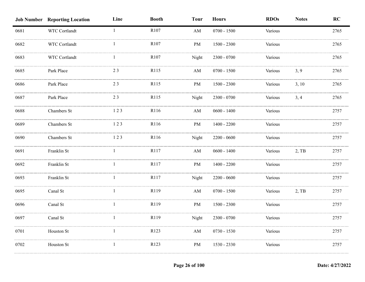|      | <b>Job Number Reporting Location</b> | Line         | <b>Booth</b>     | <b>Tour</b> | <b>Hours</b>  | <b>RDOs</b> | <b>Notes</b> | RC   |
|------|--------------------------------------|--------------|------------------|-------------|---------------|-------------|--------------|------|
| 0681 | WTC Cortlandt                        | $\mathbf{1}$ | R <sub>107</sub> | AM          | $0700 - 1500$ | Various     |              | 2765 |
| 0682 | WTC Cortlandt                        |              | R107             | PM          | $1500 - 2300$ | Various     |              | 2765 |
| 0683 | WTC Cortlandt                        |              | R107             | Night       | $2300 - 0700$ | Various     |              | 2765 |
| 0685 | Park Place                           | 23           | R115             | AM          | $0700 - 1500$ | Various     | 3, 9         | 2765 |
| 0686 | Park Place                           | 23           | R115             | PM          | 1500 - 2300   | Various     | 3, 10        | 2765 |
| 0687 | Park Place                           | 23           | R115             | Night       | 2300 - 0700   | Various     | 3, 4         | 2765 |
| 0688 | Chambers St                          | 123          | R116             | AM          | $0600 - 1400$ | Various     |              | 2757 |
| 0689 | Chambers St                          | 123          | R116             | PM          | $1400 - 2200$ | Various     |              | 2757 |
| 0690 | Chambers St                          | 123          | R116             | Night       | $2200 - 0600$ | Various     |              | 2757 |
| 0691 | Franklin St                          |              | R117             | AM          | $0600 - 1400$ | Various     | $2,$ TB      | 2757 |
| 0692 | Franklin St                          |              | R117             | PM          | $1400 - 2200$ | Various     |              | 2757 |
| 0693 | Franklin St                          |              | R117             | Night       | $2200 - 0600$ | Various     |              | 2757 |
| 0695 | Canal St                             |              | R119             | AM          | $0700 - 1500$ | Various     | $2,$ TB      | 2757 |
| 0696 | Canal St                             |              | R119             | PM          | 1500 - 2300   | Various     |              | 2757 |
| 0697 | Canal St                             |              | R119             | Night       | $2300 - 0700$ | Various     |              | 2757 |
| 0701 | Houston St                           | -1           | R123             | AM          | $0730 - 1530$ | Various     |              | 2757 |
| 0702 | Houston St                           | -1           | R123             | PM          | 1530 - 2330   | Various     |              | 2757 |
|      |                                      |              |                  |             |               |             |              |      |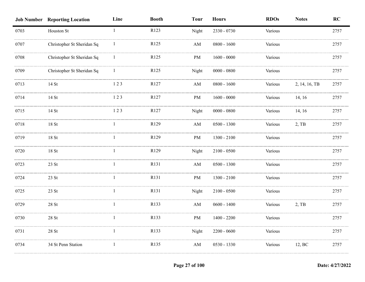|      | <b>Job Number Reporting Location</b> | Line         | <b>Booth</b> | <b>Tour</b>            | <b>Hours</b>  | <b>RDOs</b> | <b>Notes</b>  | RC   |
|------|--------------------------------------|--------------|--------------|------------------------|---------------|-------------|---------------|------|
| 0703 | Houston St                           | $\mathbf{1}$ | R123         | Night                  | 2330 - 0730   | Various     |               | 2757 |
| 0707 | Christopher St Sheridan Sq           |              | R125         | AM                     | $0800 - 1600$ | Various     |               | 2757 |
| 0708 | Christopher St Sheridan Sq           |              | R125         | PM                     | $1600 - 0000$ | Various     |               | 2757 |
| 0709 | Christopher St Sheridan Sq           |              | R125         | Night                  | $0000 - 0800$ | Various     |               | 2757 |
| 0713 | 14 St                                | 123          | R127         | $\mathbf{A}\mathbf{M}$ | $0800 - 1600$ | Various     | 2, 14, 16, TB | 2757 |
| 0714 | 14 St                                | 123          | R127         | PM                     | $1600 - 0000$ | Various     | 14, 16        | 2757 |
| 0715 | 14 St                                | 123          | R127         | Night                  | $0000 - 0800$ | Various     | 14, 16        | 2757 |
| 0718 | $18\;\mathrm{St}$                    | 1            | R129         | AM                     | $0500 - 1300$ | Various     | 2, TB         | 2757 |
| 0719 | 18St                                 | 1            | R129         | PM                     | $1300 - 2100$ | Various     |               | 2757 |
| 0720 | 18 St                                |              | R129         | Night                  | $2100 - 0500$ | Various     |               | 2757 |
| 0723 | 23 St                                |              | R131         | $\mathbf{A}\mathbf{M}$ | $0500 - 1300$ | Various     |               | 2757 |
| 0724 | 23 St                                |              | R131         | PM                     | $1300 - 2100$ | Various     |               | 2757 |
| 0725 | 23 St                                |              | R131         | Night                  | $2100 - 0500$ | Various     |               | 2757 |
| 0729 | $28\;\mathrm{St}$                    |              | R133         | AM                     | $0600 - 1400$ | Various     | 2, TB         | 2757 |
| 0730 | $28\;\mathrm{St}$                    |              | R133         | $\rm PM$               | $1400 - 2200$ | Various     |               | 2757 |
| 0731 | $28\;\mathrm{St}$                    |              | R133         | Night                  | $2200 - 0600$ | Various     |               | 2757 |
| 0734 | 34 St Penn Station                   |              | R135         | AM                     | $0530 - 1330$ | Various     | 12, BC        | 2757 |
|      |                                      |              |              |                        |               |             |               |      |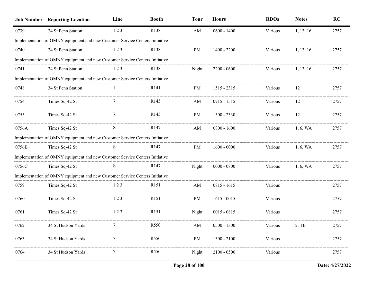|       | <b>Job Number Reporting Location</b>                                         | Line           | <b>Booth</b>     | <b>Tour</b>            | <b>Hours</b>  | <b>RDOs</b> | <b>Notes</b> | RC   |
|-------|------------------------------------------------------------------------------|----------------|------------------|------------------------|---------------|-------------|--------------|------|
| 0739  | 34 St Penn Station                                                           | 123            | R138             | $\mathbf{A}\mathbf{M}$ | $0600 - 1400$ | Various     | 1, 13, 16    | 2757 |
|       | Implementation of OMNY equipment and new Customer Service Centers Initiative |                |                  |                        |               |             |              |      |
| 0740  | 34 St Penn Station                                                           | 123            | R <sub>138</sub> | PM                     | $1400 - 2200$ | Various     | 1, 13, 16    | 2757 |
|       | Implementation of OMNY equipment and new Customer Service Centers Initiative |                |                  |                        |               |             |              |      |
| 0741  | 34 St Penn Station                                                           | 123            | R138             | Night                  | $2200 - 0600$ | Various     | 1, 13, 16    | 2757 |
|       | Implementation of OMNY equipment and new Customer Service Centers Initiative |                |                  |                        |               |             |              |      |
| 0748  | 34 St Penn Station                                                           |                | R <sub>141</sub> | PM                     | $1515 - 2315$ | Various     | 12           | 2757 |
| 0754  | Times Sq-42 St                                                               |                | R <sub>145</sub> | AM                     | $0715 - 1515$ | Various     | 12           | 2757 |
| 0755  | Times Sq-42 St                                                               | $\overline{7}$ | R <sub>145</sub> | PM                     | $1500 - 2330$ | Various     | 12           | 2757 |
| 0756A | Times Sq-42 St                                                               | S              | R <sub>147</sub> | AM                     | $0800 - 1600$ | Various     | 1, 6, WA     | 2757 |
|       | Implementation of OMNY equipment and new Customer Service Centers Initiative |                |                  |                        |               |             |              |      |
| 0756B | Times Sq-42 St                                                               | S              | R147             | PM                     | $1600 - 0000$ | Various     | 1, 6, WA     | 2757 |
|       | Implementation of OMNY equipment and new Customer Service Centers Initiative |                |                  |                        |               |             |              |      |
| 0756C | Times Sq-42 St                                                               | S              | R <sub>147</sub> | Night                  | $0000 - 0800$ | Various     | 1, 6, WA     | 2757 |
|       | Implementation of OMNY equipment and new Customer Service Centers Initiative |                |                  |                        |               |             |              |      |
| 0759  | Times Sq-42 St                                                               | 123            | R <sub>151</sub> | AM                     | $0815 - 1615$ | Various     |              | 2757 |
| 0760  | Times Sq-42 St                                                               | 123            | R <sub>151</sub> | PM                     | $1615 - 0015$ | Various     |              | 2757 |
| 0761  | Times Sq-42 St                                                               | 123            | R <sub>151</sub> | Night                  | $0015 - 0815$ | Various     |              | 2757 |
| 0762  | 34 St Hudson Yards                                                           |                | R550             | $\mathbf{A}\mathbf{M}$ | $0500 - 1300$ | Various     | 2, TB        | 2757 |
| 0763  | 34 St Hudson Yards                                                           |                | R <sub>550</sub> | PM                     | $1300 - 2100$ | Various     |              | 2757 |
| 0764  | 34 St Hudson Yards                                                           |                | R <sub>550</sub> | Night                  | $2100 - 0500$ | Various     |              | 2757 |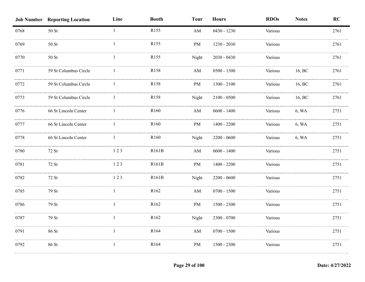|      | <b>Job Number Reporting Location</b> | Line         | <b>Booth</b>     | <b>Tour</b>            | <b>Hours</b>  | <b>RDOs</b> | <b>Notes</b> | RC   |
|------|--------------------------------------|--------------|------------------|------------------------|---------------|-------------|--------------|------|
| 0768 | 50 St                                | $\mathbf{1}$ | R <sub>155</sub> | $\mathbf{A}\mathbf{M}$ | $0430 - 1230$ | Various     |              | 2761 |
| 0769 | $50$ St                              |              | R155             | PM                     | 1230 - 2030   | Various     |              | 2761 |
| 0770 | 50 St                                |              | R155             | Night                  | $2030 - 0430$ | Various     |              | 2761 |
| 0771 | 59 St Columbus Circle                |              | R158             | AM                     | $0500 - 1300$ | Various     | 16, BC       | 2761 |
| 0772 | 59 St Columbus Circle                | -1           | R158             | PM                     | $1300 - 2100$ | Various     | 16, BC       | 2761 |
| 0773 | 59 St Columbus Circle                | 1            | R158             | Night                  | $2100 - 0500$ | Various     | 16, BC       | 2761 |
| 0776 | 66 St Lincoln Center                 | $\mathbf{1}$ | R160             | $\mathbf{A}\mathbf{M}$ | $0600 - 1400$ | Various     | 6, WA        | 2751 |
| 0777 | 66 St Lincoln Center                 | $\mathbf{1}$ | R <sub>160</sub> | PM                     | $1400 - 2200$ | Various     | 6, WA        | 2751 |
| 0778 | 66 St Lincoln Center                 | $\mathbf{1}$ | R <sub>160</sub> | Night                  | $2200 - 0600$ | Various     | 6, WA        | 2751 |
| 0780 | 72 St                                | 123          | R161B            | AM                     | $0600 - 1400$ | Various     |              | 2751 |
| 0781 | 72 St                                | 123          | R161B            | PM                     | $1400 - 2200$ | Various     |              | 2751 |
| 0782 | 72 St                                | 123          | R161B            | Night                  | $2200 - 0600$ | Various     |              | 2751 |
| 0785 | 79 St                                |              | R <sub>162</sub> | $\mathbf{A}\mathbf{M}$ | $0700 - 1500$ | Various     |              | 2751 |
| 0786 | 79 St                                | 1            | R162             | PM                     | $1500 - 2300$ | Various     |              | 2751 |
| 0787 | 79 St                                | 1            | R162             | Night                  | 2300 - 0700   | Various     |              | 2751 |
| 0791 | 86 St                                | $\mathbf{1}$ | R164             | AM                     | $0700 - 1500$ | Various     |              | 2751 |
| 0792 | 86 St                                | $\mathbf{1}$ | R164             | PM                     | $1500 - 2300$ | Various     |              | 2751 |
|      |                                      |              |                  |                        |               |             |              |      |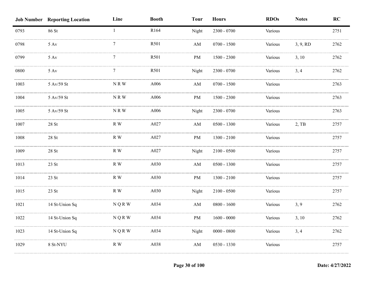|      | <b>Job Number Reporting Location</b> | Line          | <b>Booth</b> | <b>Tour</b>            | <b>Hours</b>  | <b>RDOs</b> | <b>Notes</b> | RC   |
|------|--------------------------------------|---------------|--------------|------------------------|---------------|-------------|--------------|------|
| 0793 | 86 St                                | $\mathbf{1}$  | R164         | Night                  | $2300 - 0700$ | Various     |              | 2751 |
| 0798 | $5 \mathrm{Av}$                      | 7             | R501         | AM                     | $0700 - 1500$ | Various     | 3, 9, RD     | 2762 |
| 0799 | $5 \mathrm{Av}$                      | 7             | R501         | PM                     | $1500 - 2300$ | Various     | 3, 10        | 2762 |
| 0800 | $5 \mathrm{~Av}$                     | 7             | R501         | Night                  | 2300 - 0700   | Various     | 3, 4         | 2762 |
| 1003 | 5 Av/59 St                           | NRW           | A006         | $\mathbf{A}\mathbf{M}$ | $0700 - 1500$ | Various     |              | 2763 |
| 1004 | 5 Av/59 St                           | NRW           | A006         | $\rm PM$               | $1500 - 2300$ | Various     |              | 2763 |
| 1005 | 5 Av/59 St                           | NRW           | A006         | Night                  | $2300 - 0700$ | Various     |              | 2763 |
| 1007 | $28$ St                              | R W           | A027         | $\mathbf{A}\mathbf{M}$ | $0500 - 1300$ | Various     | 2, TB        | 2757 |
| 1008 | 28 St                                | R W           | A027         | PM                     | $1300 - 2100$ | Various     |              | 2757 |
| 1009 | 28 St                                | R W           | A027         | Night                  | $2100 - 0500$ | Various     |              | 2757 |
| 1013 | 23 St                                | R W           | A030         | AM                     | $0500 - 1300$ | Various     |              | 2757 |
| 1014 | 23 St                                | R W           | A030         | PM                     | $1300 - 2100$ | Various     |              | 2757 |
| 1015 | 23 St                                | R W           | A030         | Night                  | $2100 - 0500$ | Various     |              | 2757 |
| 1021 | 14 St-Union Sq                       | N Q R W       | A034         | AM                     | $0800 - 1600$ | Various     | 3, 9         | 2762 |
| 1022 | 14 St-Union Sq                       | <b>NQRW</b>   | A034         | PM                     | $1600 - 0000$ | Various     | 3, 10        | 2762 |
| 1023 | 14 St-Union Sq                       | <b>NQRW</b>   | A034         | Night                  | $0000 - 0800$ | Various     | 3, 4         | 2762 |
| 1029 | 8 St-NYU                             | $\mathbb R$ W | A038         | $\mathbf{A}\mathbf{M}$ | 0530 - 1330   | Various     |              | 2757 |
|      |                                      |               |              |                        |               |             |              |      |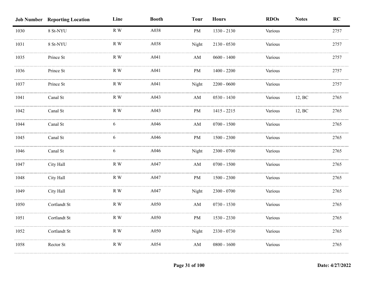|      | <b>Job Number Reporting Location</b> | Line          | <b>Booth</b> | <b>Tour</b>            | <b>Hours</b>  | <b>RDOs</b> | <b>Notes</b> | RC   |
|------|--------------------------------------|---------------|--------------|------------------------|---------------|-------------|--------------|------|
| 1030 | 8 St-NYU                             | R W           | A038         | <b>PM</b>              | 1330 - 2130   | Various     |              | 2757 |
| 1031 | 8 St-NYU                             | R W           | A038         | Night                  | $2130 - 0530$ | Various     |              | 2757 |
| 1035 | Prince St                            | R W           | A041         | AM                     | $0600 - 1400$ | Various     |              | 2757 |
| 1036 | Prince St                            | R W           | A041         | PM                     | $1400 - 2200$ | Various     |              | 2757 |
| 1037 | Prince St                            | R W           | A041         | Night                  | $2200 - 0600$ | Various     |              | 2757 |
| 1041 | Canal St                             | $R$ W         | A043         | $\mathbf{A}\mathbf{M}$ | $0530 - 1430$ | Various     | 12, BC       | 2765 |
| 1042 | Canal St                             | $\mathbb R$ W | A043         | PM                     | $1415 - 2215$ | Various     | 12, BC       | 2765 |
| 1044 | Canal St                             | 6             | A046         | AM                     | $0700 - 1500$ | Various     |              | 2765 |
| 1045 | Canal St                             | 6             | A046         | PM                     | $1500 - 2300$ | Various     |              | 2765 |
| 1046 | Canal St                             | 6             | A046         | Night                  | $2300 - 0700$ | Various     |              | 2765 |
| 1047 | City Hall                            | R W           | A047         | AM                     | $0700 - 1500$ | Various     |              | 2765 |
| 1048 | City Hall                            | R W           | A047         | PM                     | 1500 - 2300   | Various     |              | 2765 |
| 1049 | City Hall                            | R W           | A047         | Night                  | $2300 - 0700$ | Various     |              | 2765 |
| 1050 | Cortlandt St                         | $\mathbb R$ W | A050         | $\mathbf{A}\mathbf{M}$ | $0730 - 1530$ | Various     |              | 2765 |
| 1051 | Cortlandt St                         | R W           | A050         | PM                     | 1530 - 2330   | Various     |              | 2765 |
| 1052 | Cortlandt St                         | $\mathbb R$ W | A050         | Night                  | 2330 - 0730   | Various     |              | 2765 |
| 1058 | Rector St                            | $\mathbb R$ W | A054         | AM                     | $0800 - 1600$ | Various     |              | 2765 |
|      |                                      |               |              |                        |               |             |              |      |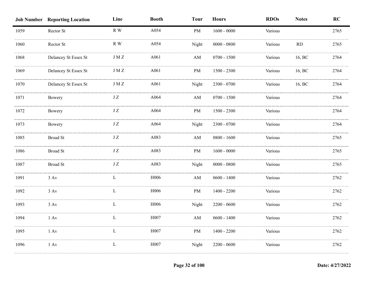|      | <b>Job Number Reporting Location</b> | Line          | <b>Booth</b> | <b>Tour</b>            | <b>Hours</b>  | <b>RDOs</b> | <b>Notes</b> | RC   |
|------|--------------------------------------|---------------|--------------|------------------------|---------------|-------------|--------------|------|
| 1059 | Rector St                            | R W           | A054         | PM                     | $1600 - 0000$ | Various     |              | 2765 |
| 1060 | Rector St                            | $R$ W         | A054         | Night                  | $0000 - 0800$ | Various     | RD           | 2765 |
| 1068 | Delancey St Essex St                 | $\rm J\,M\,Z$ | A061         | ${\rm AM}$             | $0700 - 1500$ | Various     | 16, BC       | 2764 |
| 1069 | Delancey St Essex St                 | <b>JMZ</b>    | A061         | PM                     | $1500 - 2300$ | Various     | 16, BC       | 2764 |
| 1070 | Delancey St Essex St                 | $\rm J\,M\,Z$ | A061         | Night                  | $2300 - 0700$ | Various     | 16, BC       | 2764 |
| 1071 | Bowery                               | $\rm J~Z$     | A064         | $\mathbf{A}\mathbf{M}$ | $0700 - 1500$ | Various     |              | 2764 |
| 1072 | Bowery                               | $\rm J~Z$     | A064         | $\rm PM$               | $1500 - 2300$ | Various     |              | 2764 |
| 1073 | Bowery                               | $\rm J~Z$     | A064         | Night                  | 2300 - 0700   | Various     |              | 2764 |
| 1085 | <b>Broad St</b>                      | JZ            | A083         | AM                     | $0800 - 1600$ | Various     |              | 2765 |
| 1086 | <b>Broad St</b>                      | $\rm J\,Z$    | A083         | PM                     | $1600 - 0000$ | Various     |              | 2765 |
| 1087 | <b>Broad St</b>                      | $\rm J~Z$     | A083         | Night                  | $0000 - 0800$ | Various     |              | 2765 |
| 1091 | 3 Av                                 | L             | H006         | $\mathbf{A}\mathbf{M}$ | $0600 - 1400$ | Various     |              | 2762 |
| 1092 | $3 \, \mathrm{Av}$                   | L             | H006         | $\rm PM$               | $1400 - 2200$ | Various     |              | 2762 |
| 1093 | $3 \, \mathrm{Av}$                   | L             | H006         | Night                  | $2200 - 0600$ | Various     |              | 2762 |
| 1094 | $1 \mathrm{Av}$                      | L             | H007         | $\mathbf{A}\mathbf{M}$ | $0600 - 1400$ | Various     |              | 2762 |
| 1095 | $1 \mathrm{Av}$                      | L             | H007         | PM                     | $1400 - 2200$ | Various     |              | 2762 |
| 1096 | $1 \mathrm{Av}$                      | $\mathbf{L}$  | H007         | Night                  | $2200 - 0600$ | Various     |              | 2762 |
|      |                                      |               |              |                        |               |             |              |      |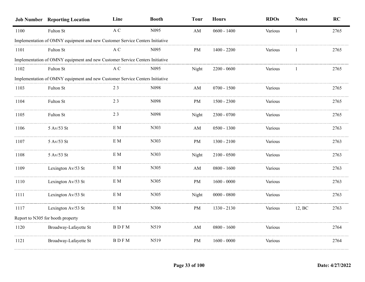|      | <b>Job Number Reporting Location</b>                                         | Line        | <b>Booth</b>     | <b>Tour</b>            | <b>Hours</b>  | <b>RDOs</b> | <b>Notes</b> | <b>RC</b> |
|------|------------------------------------------------------------------------------|-------------|------------------|------------------------|---------------|-------------|--------------|-----------|
| 1100 | Fulton St                                                                    | A C         | N095             | ${\rm AM}$             | $0600 - 1400$ | Various     | 1            | 2765      |
|      | Implementation of OMNY equipment and new Customer Service Centers Initiative |             |                  |                        |               |             |              |           |
| 1101 | Fulton St                                                                    | A C         | N <sub>095</sub> | <b>PM</b>              | $1400 - 2200$ | Various     |              | 2765      |
|      | Implementation of OMNY equipment and new Customer Service Centers Initiative |             |                  |                        |               |             |              |           |
| 1102 | Fulton St                                                                    | A C         | N095             | Night                  | $2200 - 0600$ | Various     |              | 2765      |
|      | Implementation of OMNY equipment and new Customer Service Centers Initiative |             |                  |                        |               |             |              |           |
| 1103 | Fulton St                                                                    | 23          | N098             | $\mathbf{A}\mathbf{M}$ | $0700 - 1500$ | Various     |              | 2765      |
| 1104 | Fulton St                                                                    | 23          | N098             | PM                     | $1500 - 2300$ | Various     |              | 2765      |
| 1105 | Fulton St                                                                    | 23          | N098             | Night                  | 2300 - 0700   | Various     |              | 2765      |
| 1106 | 5 Av/53 St                                                                   | $\rm{E}$ M  | N303             | $\mathbf{A}\mathbf{M}$ | $0500 - 1300$ | Various     |              | 2763      |
| 1107 | 5 Av/53 St                                                                   | $\rm{E}$ M  | N303             | PM                     | $1300 - 2100$ | Various     |              | 2763      |
| 1108 | 5 Av/53 St                                                                   | $\rm{E}$ M  | N303             | Night                  | $2100 - 0500$ | Various     |              | 2763      |
| 1109 | Lexington Av/53 St                                                           | E M         | N305             | $\mathbf{A}\mathbf{M}$ | $0800 - 1600$ | Various     |              | 2763      |
| 1110 | Lexington Av/53 St                                                           | $\rm{E}$ M  | N305             | PM                     | $1600 - 0000$ | Various     |              | 2763      |
| 1111 | Lexington Av/53 St                                                           | $\rm{E}$ M  | N305             | Night                  | $0000 - 0800$ | Various     |              | 2763      |
| 1117 | Lexington Av/53 St                                                           | E M         | N306             | PM                     | 1330 - 2130   | Various     | 12, BC       | 2763      |
|      | Report to N305 for booth property                                            |             |                  |                        |               |             |              |           |
| 1120 | Broadway-Lafayette St                                                        | <b>BDFM</b> | N519             | $\mathbf{A}\mathbf{M}$ | $0800 - 1600$ | Various     |              | 2764      |
| 1121 | Broadway-Lafayette St                                                        | <b>BDFM</b> | N519             | $\mathbf{PM}$          | $1600 - 0000$ | Various     |              | 2764      |
|      |                                                                              |             |                  |                        |               |             |              |           |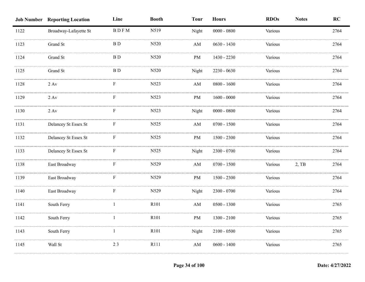|      | <b>Job Number Reporting Location</b> | Line        | <b>Booth</b> | <b>Tour</b>            | <b>Hours</b>  | <b>RDOs</b> | <b>Notes</b> | RC   |
|------|--------------------------------------|-------------|--------------|------------------------|---------------|-------------|--------------|------|
| 1122 | Broadway-Lafayette St                | <b>BDFM</b> | N519         | Night                  | $0000 - 0800$ | Various     |              | 2764 |
| 1123 | Grand St                             | <b>BD</b>   | N520         | AM                     | $0630 - 1430$ | Various     |              | 2764 |
| 1124 | Grand St                             | B D         | N520         | PM                     | 1430 - 2230   | Various     |              | 2764 |
| 1125 | Grand St                             | <b>BD</b>   | N520         | Night                  | 2230 - 0630   | Various     |              | 2764 |
| 1128 | 2 Av                                 | F           | N523         | AM                     | $0800 - 1600$ | Various     |              | 2764 |
| 1129 | $2\ \mathrm{Av}$                     | ${\bf F}$   | N523         | PM                     | $1600 - 0000$ | Various     |              | 2764 |
| 1130 | $2 \ \mathrm{Av}$                    | F           | N523         | Night                  | $0000 - 0800$ | Various     |              | 2764 |
| 1131 | Delancey St Essex St                 | ${\bf F}$   | N525         | $\mathbf{A}\mathbf{M}$ | $0700 - 1500$ | Various     |              | 2764 |
| 1132 | Delancey St Essex St                 | F           | N525         | PM                     | $1500 - 2300$ | Various     |              | 2764 |
| 1133 | Delancey St Essex St                 | F           | N525         | Night                  | $2300 - 0700$ | Various     |              | 2764 |
| 1138 | East Broadway                        | F           | N529         | AM                     | $0700 - 1500$ | Various     | 2, TB        | 2764 |
| 1139 | East Broadway                        | F           | N529         | $\rm PM$               | $1500 - 2300$ | Various     |              | 2764 |
| 1140 | East Broadway                        | F           | N529         | Night                  | $2300 - 0700$ | Various     |              | 2764 |
| 1141 | South Ferry                          |             | R101         | AM                     | $0500 - 1300$ | Various     |              | 2765 |
| 1142 | South Ferry                          |             | R101         | PM                     | $1300 - 2100$ | Various     |              | 2765 |
| 1143 | South Ferry                          | 1           | R101         | Night                  | $2100 - 0500$ | Various     |              | 2765 |
| 1145 | Wall St                              | 23          | R111         | AM                     | $0600 - 1400$ | Various     |              | 2765 |
|      |                                      |             |              |                        |               |             |              |      |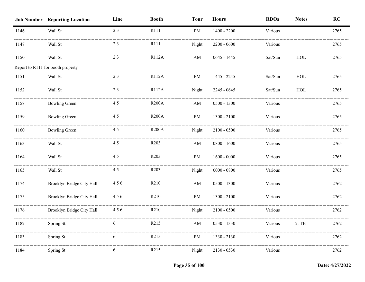|      | <b>Job Number Reporting Location</b> | Line | <b>Booth</b>      | <b>Tour</b>            | <b>Hours</b>  | <b>RDOs</b> | <b>Notes</b> | RC   |
|------|--------------------------------------|------|-------------------|------------------------|---------------|-------------|--------------|------|
| 1146 | Wall St                              | 23   | R111              | PM                     | $1400 - 2200$ | Various     |              | 2765 |
| 1147 | Wall St                              | 23   | R111              | Night                  | $2200 - 0600$ | Various     |              | 2765 |
| 1150 | Wall St                              | 23   | R112A             | AM                     | $0645 - 1445$ | Sat/Sun     | HOL          | 2765 |
|      | Report to R111 for booth property    |      |                   |                        |               |             |              |      |
| 1151 | Wall St                              | 23   | R112A             | PM                     | 1445 - 2245   | Sat/Sun     | HOL          | 2765 |
| 1152 | Wall St                              | 23   | R112A             | Night                  | $2245 - 0645$ | Sat/Sun     | HOL          | 2765 |
| 1158 | <b>Bowling Green</b>                 | 45   | <b>R200A</b>      | AM                     | $0500 - 1300$ | Various     |              | 2765 |
| 1159 | <b>Bowling Green</b>                 | 45   | <b>R200A</b>      | PM                     | $1300 - 2100$ | Various     |              | 2765 |
| 1160 | <b>Bowling Green</b>                 | 45   | <b>R200A</b>      | Night                  | $2100 - 0500$ | Various     |              | 2765 |
| 1163 | Wall St                              | 45   | R <sub>203</sub>  | AM                     | $0800 - 1600$ | Various     |              | 2765 |
| 1164 | Wall St                              | 45   | R <sub>203</sub>  | PM                     | $1600 - 0000$ | Various     |              | 2765 |
| 1165 | Wall St                              | 45   | R <sub>203</sub>  | Night                  | $0000 - 0800$ | Various     |              | 2765 |
| 1174 | Brooklyn Bridge City Hall            | 456  | R <sub>2</sub> 10 | AM                     | $0500 - 1300$ | Various     |              | 2762 |
| 1175 | Brooklyn Bridge City Hall            | 456  | R210              | PM                     | $1300 - 2100$ | Various     |              | 2762 |
| 1176 | Brooklyn Bridge City Hall            | 456  | R <sub>210</sub>  | Night                  | $2100 - 0500$ | Various     |              | 2762 |
| 1182 | Spring St                            | 6    | R <sub>2</sub> 15 | $\mathbf{A}\mathbf{M}$ | $0530 - 1330$ | Various     | 2, TB        | 2762 |
| 1183 | Spring St                            |      | R <sub>2</sub> 15 | <b>PM</b>              | 1330 - 2130   | Various     |              | 2762 |
| 1184 | Spring St                            | 6    | R <sub>2</sub> 15 | Night                  | $2130 - 0530$ | Various     |              | 2762 |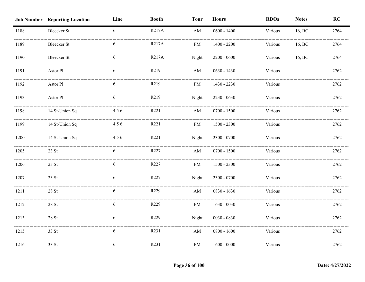|      | <b>Job Number Reporting Location</b> | Line | <b>Booth</b> | <b>Tour</b>            | <b>Hours</b>  | <b>RDOs</b> | <b>Notes</b> | RC   |
|------|--------------------------------------|------|--------------|------------------------|---------------|-------------|--------------|------|
| 1188 | <b>Bleecker St</b>                   | 6    | <b>R217A</b> | $\mathbf{A}\mathbf{M}$ | $0600 - 1400$ | Various     | 16, BC       | 2764 |
| 1189 | <b>Bleecker St</b>                   | 6    | R217A        | PM                     | $1400 - 2200$ | Various     | 16, BC       | 2764 |
| 1190 | <b>Bleecker St</b>                   | 6    | R217A        | Night                  | $2200 - 0600$ | Various     | 16, BC       | 2764 |
| 1191 | Astor Pl                             | 6    | R219         | AM                     | $0630 - 1430$ | Various     |              | 2762 |
| 1192 | Astor Pl                             | 6    | R219         | PM                     | 1430 - 2230   | Various     |              | 2762 |
| 1193 | Astor Pl                             | 6    | R219         | Night                  | $2230 - 0630$ | Various     |              | 2762 |
| 1198 | 14 St-Union Sq                       | 456  | R221         | $\mathbf{A}\mathbf{M}$ | $0700 - 1500$ | Various     |              | 2762 |
| 1199 | 14 St-Union Sq                       | 456  | R221         | PM                     | $1500 - 2300$ | Various     |              | 2762 |
| 1200 | 14 St-Union Sq                       | 456  | R221         | Night                  | $2300 - 0700$ | Various     |              | 2762 |
| 1205 | 23 St                                | 6    | R227         | AM                     | $0700 - 1500$ | Various     |              | 2762 |
| 1206 | 23 St                                | 6    | R227         | PM                     | 1500 - 2300   | Various     |              | 2762 |
| 1207 | 23 St                                | 6    | R227         | Night                  | 2300 - 0700   | Various     |              | 2762 |
| 1211 | 28 St                                | 6    | R229         | AM                     | $0830 - 1630$ | Various     |              | 2762 |
| 1212 | $28\;\mathrm{St}$                    | 6    | R229         | PM                     | $1630 - 0030$ | Various     |              | 2762 |
| 1213 | $28\;\mathrm{St}$                    | 6    | R229         | Night                  | $0030 - 0830$ | Various     |              | 2762 |
| 1215 | 33 St                                | 6    | R231         | AM                     | $0800 - 1600$ | Various     |              | 2762 |
| 1216 | 33 St                                | 6    | R231         | PM                     | $1600 - 0000$ | Various     |              | 2762 |
|      |                                      |      |              |                        |               |             |              |      |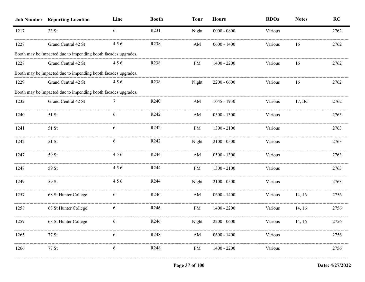|      | <b>Job Number Reporting Location</b>                           | Line | <b>Booth</b>     | <b>Tour</b> | <b>Hours</b>  | <b>RDOs</b> | <b>Notes</b> | RC   |
|------|----------------------------------------------------------------|------|------------------|-------------|---------------|-------------|--------------|------|
| 1217 | 33 St                                                          | 6    | R231             | Night       | $0000 - 0800$ | Various     |              | 2762 |
| 1227 | Grand Central 42 St                                            | 456  | R <sub>238</sub> | AM          | $0600 - 1400$ | Various     | 16           | 2762 |
|      | Booth may be impacted due to impending booth facades upgrades. |      |                  |             |               |             |              |      |
| 1228 | Grand Central 42 St                                            | 456  | R238             | PM          | $1400 - 2200$ | Various     | 16           | 2762 |
|      | Booth may be impacted due to impending booth facades upgrades. |      |                  |             |               |             |              |      |
| 1229 | Grand Central 42 St                                            | 456  | R238             | Night       | $2200 - 0600$ | Various     | 16           | 2762 |
|      | Booth may be impacted due to impending booth facades upgrades. |      |                  |             |               |             |              |      |
| 1232 | Grand Central 42 St                                            |      | R240             | AM          | 1045 - 1930   | Various     | 17, BC       | 2762 |
| 1240 | 51 St                                                          | 6    | R242             | AM          | $0500 - 1300$ | Various     |              | 2763 |
| 1241 | 51 St                                                          | 6    | R <sub>242</sub> | PM          | $1300 - 2100$ | Various     |              | 2763 |
| 1242 | 51 St                                                          | 6    | R242             | Night       | $2100 - 0500$ | Various     |              | 2763 |
| 1247 | 59 St                                                          | 456  | R <sub>244</sub> | AM          | $0500 - 1300$ | Various     |              | 2763 |
| 1248 | 59 St                                                          | 456  | R244             | PM          | $1300 - 2100$ | Various     |              | 2763 |
| 1249 | 59 St                                                          | 456  | R <sub>244</sub> | Night       | $2100 - 0500$ | Various     |              | 2763 |
| 1257 | 68 St Hunter College                                           | 6    | R246             | AM          | $0600 - 1400$ | Various     | 14, 16       | 2756 |
| 1258 | 68 St Hunter College                                           | 6    | R <sub>246</sub> | PM          | $1400 - 2200$ | Various     | 14, 16       | 2756 |
| 1259 | 68 St Hunter College                                           |      | R <sub>246</sub> | Night       | $2200 - 0600$ | Various     | 14, 16       | 2/30 |
| 1265 | 77 St                                                          | 6    | R <sub>248</sub> | AM          | $0600 - 1400$ | Various     |              | 2756 |
| 1266 | 77 St                                                          | 6    | R <sub>248</sub> | PM          | $1400 - 2200$ | Various     |              | 2756 |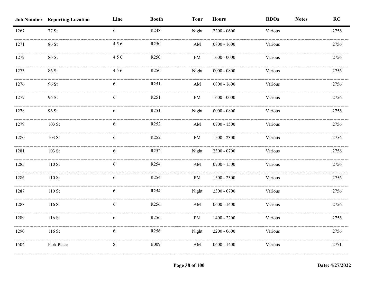|      | <b>Job Number Reporting Location</b> | Line      | <b>Booth</b>     | <b>Tour</b>            | <b>Hours</b>  | <b>RDOs</b><br><b>Notes</b> | RC   |
|------|--------------------------------------|-----------|------------------|------------------------|---------------|-----------------------------|------|
| 1267 | 77 St                                | 6         | R248             | Night                  | $2200 - 0600$ | Various                     | 2756 |
| 1271 | 86 St                                | 456       | R250             | AM                     | $0800 - 1600$ | Various                     | 2756 |
| 1272 | 86 St                                | 456       | R <sub>250</sub> | PM                     | $1600 - 0000$ | Various                     | 2756 |
| 1273 | 86 St                                | 456       | R <sub>250</sub> | Night                  | $0000 - 0800$ | Various                     | 2756 |
| 1276 | 96 St                                | 6         | R251             | $\mathbf{A}\mathbf{M}$ | $0800 - 1600$ | Various                     | 2756 |
| 1277 | 96 St                                | 6         | R251             | PM                     | $1600 - 0000$ | Various                     | 2756 |
| 1278 | 96 St                                | 6         | R251             | Night                  | $0000 - 0800$ | Various                     | 2756 |
| 1279 | $103$ St                             | 6         | R <sub>252</sub> | $\mathbf{A}\mathbf{M}$ | $0700 - 1500$ | Various                     | 2756 |
| 1280 | 103 St                               | 6         | R <sub>252</sub> | PM                     | $1500 - 2300$ | Various                     | 2756 |
| 1281 | 103 St                               | 6         | R <sub>252</sub> | Night                  | 2300 - 0700   | Various                     | 2756 |
| 1285 | $110$ St                             | 6         | R254             | AM                     | $0700 - 1500$ | Various                     | 2756 |
| 1286 | $110$ St                             | 6         | R254             | PM                     | $1500 - 2300$ | Various                     | 2756 |
| 1287 | $110 \mathrm{St}$                    | 6         | R254             | Night                  | $2300 - 0700$ | Various                     | 2756 |
| 1288 | 116 St                               | 6         | R256             | $\mathbf{A}\mathbf{M}$ | $0600 - 1400$ | Various                     | 2756 |
| 1289 | 116 St                               | 6         | R256             | PM                     | $1400 - 2200$ | Various                     | 2756 |
| 1290 | 116 St                               | 6         | R256             | Night                  | $2200 - 0600$ | Various                     | 2756 |
| 1504 | Park Place                           | ${\bf S}$ | <b>B009</b>      | $\mathbf{A}\mathbf{M}$ | $0600 - 1400$ | Various                     | 2771 |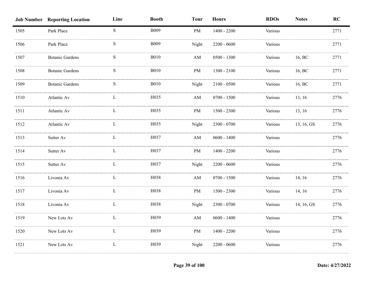|      | <b>Job Number Reporting Location</b> | Line         | <b>Booth</b> | <b>Tour</b>            | <b>Hours</b>  | <b>RDOs</b> | <b>Notes</b> | RC   |
|------|--------------------------------------|--------------|--------------|------------------------|---------------|-------------|--------------|------|
| 1505 | Park Place                           | S            | <b>B009</b>  | PM                     | $1400 - 2200$ | Various     |              | 2771 |
| 1506 | Park Place                           | S            | <b>B009</b>  | Night                  | $2200 - 0600$ | Various     |              | 2771 |
| 1507 | <b>Botanic Gardens</b>               | S            | <b>B010</b>  | AM                     | $0500 - 1300$ | Various     | 16, BC       | 2771 |
| 1508 | <b>Botanic Gardens</b>               | S            | <b>B010</b>  | PM                     | $1300 - 2100$ | Various     | 16, BC       | 2771 |
| 1509 | <b>Botanic Gardens</b>               | S            | <b>B010</b>  | Night                  | $2100 - 0500$ | Various     | 16, BC       | 2771 |
| 1510 | Atlantic Av                          | L            | H035         | $\mathbf{A}\mathbf{M}$ | $0700 - 1500$ | Various     | 13, 16       | 2776 |
| 1511 | Atlantic Av                          | $\mathbf{L}$ | H035         | PM                     | $1500 - 2300$ | Various     | 13, 16       | 2776 |
| 1512 | Atlantic Av                          | L            | H035         | Night                  | $2300 - 0700$ | Various     | 13, 16, GS   | 2776 |
| 1513 | Sutter Av                            | L            | H037         | $\mathbf{A}\mathbf{M}$ | $0600 - 1400$ | Various     |              | 2776 |
| 1514 | Sutter Av                            | L            | H037         | PM                     | $1400 - 2200$ | Various     |              | 2776 |
| 1515 | Sutter Av                            | L            | H037         | Night                  | $2200 - 0600$ | Various     |              | 2776 |
| 1516 | Livonia Av                           |              | H038         | AM                     | $0700 - 1500$ | Various     | 14, 16       | 2776 |
| 1517 | Livonia Av                           | L            | H038         | PM                     | $1500 - 2300$ | Various     | 14, 16       | 2776 |
| 1518 | Livonia Av                           | L            | H038         | Night                  | $2300 - 0700$ | Various     | 14, 16, GS   | 2776 |
| 1519 | New Lots Av                          | L            | H039         | $\mathbf{A}\mathbf{M}$ | $0600 - 1400$ | Various     |              | 2776 |
| 1520 | New Lots Av                          | L            | H039         | PM                     | $1400 - 2200$ | Various     |              | 2776 |
| 1521 | New Lots Av                          | L            | H039         | Night                  | $2200 - 0600$ | Various     |              | 2776 |
|      |                                      |              |              |                        |               |             |              |      |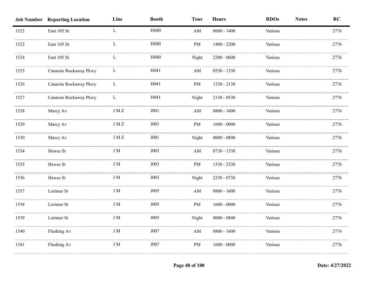|      | <b>Job Number Reporting Location</b> | Line          | <b>Booth</b> | <b>Tour</b>            | <b>Hours</b>  | <b>RDOs</b> | <b>Notes</b> | RC   |
|------|--------------------------------------|---------------|--------------|------------------------|---------------|-------------|--------------|------|
| 1522 | East 105 St                          | $\mathbf L$   | H040         | AM                     | $0600 - 1400$ | Various     |              | 2776 |
| 1523 | East 105 St                          | L             | H040         | <b>PM</b>              | $1400 - 2200$ | Various     |              | 2776 |
| 1524 | East 105 St                          | L             | H040         | Night                  | $2200 - 0600$ | Various     |              | 2776 |
| 1525 | Canarsie Rockaway Pkwy               | L             | H041         | $\mathbf{A}\mathbf{M}$ | 0530 - 1330   | Various     |              | 2776 |
| 1526 | Canarsie Rockaway Pkwy               | L             | H041         | PM                     | 1330 - 2130   | Various     |              | 2776 |
| 1527 | Canarsie Rockaway Pkwy               | L             | H041         | Night                  | $2130 - 0530$ | Various     |              | 2776 |
| 1528 | Marcy Av                             | $\rm J\,M\,Z$ | J001         | $\mathbf{A}\mathbf{M}$ | $0800 - 1600$ | Various     |              | 2776 |
| 1529 | Marcy Av                             | $\rm J\ M\ Z$ | ${\rm J}001$ | PM                     | $1600 - 0000$ | Various     |              | 2776 |
| 1530 | Marcy Av                             | $J\,M\,Z$     | J001         | Night                  | $0000 - 0800$ | Various     |              | 2776 |
| 1534 | Hewes St                             | J M           | J003         | AM                     | $0730 - 1530$ | Various     |              | 2776 |
| 1535 | Hewes St                             | J M           | J003         | PM                     | 1530 - 2330   | Various     |              | 2776 |
| 1536 | Hewes St                             | J M           | J003         | Night                  | 2330 - 0730   | Various     |              | 2776 |
| 1537 | Lorimer St                           | $\rm J~M$     | J005         | AM                     | $0800 - 1600$ | Various     |              | 2776 |
| 1538 | Lorimer St                           | $\rm J~M$     | J005         | $\rm PM$               | $1600 - 0000$ | Various     |              | 2776 |
| 1539 | Lorimer St                           | J M           | J005         | Night                  | $0000 - 0800$ | Various     |              | 2776 |
| 1540 | Flushing Av                          | $\rm J~M$     | J007         | $\mathbf{A}\mathbf{M}$ | $0800 - 1600$ | Various     |              | 2776 |
| 1541 | Flushing Av                          | J M           | J007         | PM                     | $1600 - 0000$ | Various     |              | 2776 |
|      |                                      |               |              |                        |               |             |              |      |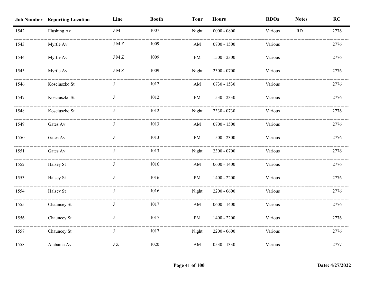|      | <b>Job Number Reporting Location</b> | Line         | <b>Booth</b> | <b>Tour</b>            | <b>Hours</b>  | <b>RDOs</b> | <b>Notes</b> | RC   |
|------|--------------------------------------|--------------|--------------|------------------------|---------------|-------------|--------------|------|
| 1542 | Flushing Av                          | $\rm J~M$    | J007         | Night                  | $0000 - 0800$ | Various     | RD           | 2776 |
| 1543 | Myrtle Av                            | $J\,M\,Z$    | J009         | $\mathbf{A}\mathbf{M}$ | $0700 - 1500$ | Various     |              | 2776 |
| 1544 | Myrtle Av                            | $J\,M\,Z$    | J009         | PM                     | $1500 - 2300$ | Various     |              | 2776 |
| 1545 | Myrtle Av                            | $J\,M\,Z$    | J009         | Night                  | $2300 - 0700$ | Various     |              | 2776 |
| 1546 | Kosciuszko St                        | J            | J012         | $\mathbf{A}\mathbf{M}$ | $0730 - 1530$ | Various     |              | 2776 |
| 1547 | Kosciuszko St                        | $\mathbf{J}$ | J012         | PM                     | 1530 - 2330   | Various     |              | 2776 |
| 1548 | Kosciuszko St                        | $_{\rm J}$   | J012         | Night                  | 2330 - 0730   | Various     |              | 2776 |
| 1549 | Gates Av                             | J            | J013         | $\mathbf{A}\mathbf{M}$ | $0700 - 1500$ | Various     |              | 2776 |
| 1550 | Gates Av                             | J            | J013         | PM                     | $1500 - 2300$ | Various     |              | 2776 |
| 1551 | Gates Av                             |              | J013         | Night                  | 2300 - 0700   | Various     |              | 2776 |
| 1552 | Halsey St                            | $\mathbf I$  | J016         | AM                     | $0600 - 1400$ | Various     |              | 2776 |
| 1553 | Halsey St                            |              | J016         | $\rm PM$               | $1400 - 2200$ | Various     |              | 2776 |
| 1554 | Halsey St                            | $\mathbf I$  | J016         | Night                  | $2200 - 0600$ | Various     |              | 2776 |
| 1555 | Chauncey St                          | J            | J017         | $\mathbf{A}\mathbf{M}$ | $0600 - 1400$ | Various     |              | 2776 |
| 1556 | Chauncey St                          | J            | J017         | PM                     | $1400 - 2200$ | Various     |              | 2776 |
| 1557 | Chauncey St                          | $\mathbf{J}$ | $J017$       | Night                  | $2200 - 0600$ | Various     |              | 2776 |
| 1558 | Alabama Av                           | $\rm J~Z$    | J020         | $\mathbf{A}\mathbf{M}$ | 0530 - 1330   | Various     |              | 2777 |
|      |                                      |              |              |                        |               |             |              |      |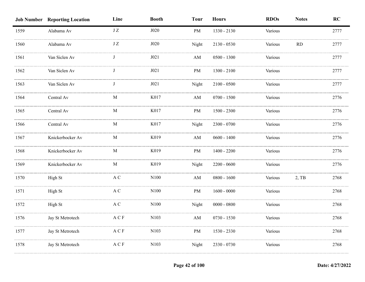|      | <b>Job Number Reporting Location</b> | Line                                         | <b>Booth</b> | <b>Tour</b>            | <b>Hours</b>  | <b>RDOs</b> | <b>Notes</b> | RC   |
|------|--------------------------------------|----------------------------------------------|--------------|------------------------|---------------|-------------|--------------|------|
| 1559 | Alabama Av                           | $\rm J~Z$                                    | J020         | <b>PM</b>              | 1330 - 2130   | Various     |              | 2777 |
| 1560 | Alabama Av                           | $\rm J\,Z$                                   | J020         | Night                  | $2130 - 0530$ | Various     | RD           | 2777 |
| 1561 | Van Siclen Av                        |                                              | J021         | AM                     | $0500 - 1300$ | Various     |              | 2777 |
| 1562 | Van Siclen Av                        |                                              | J021         | PM                     | $1300 - 2100$ | Various     |              | 2777 |
| 1563 | Van Siclen Av                        |                                              | J021         | Night                  | $2100 - 0500$ | Various     |              | 2777 |
| 1564 | Central Av                           | $\mathbf{M}$                                 | K017         | $\mathbf{A}\mathbf{M}$ | $0700 - 1500$ | Various     |              | 2776 |
| 1565 | Central Av                           | $\mathbf M$                                  | K017         | $\rm PM$               | $1500 - 2300$ | Various     |              | 2776 |
| 1566 | Central Av                           | $\mathbf M$                                  | K017         | Night                  | 2300 - 0700   | Various     |              | 2776 |
| 1567 | Knickerbocker Av                     | M                                            | K019         | $\mathbf{A}\mathbf{M}$ | $0600 - 1400$ | Various     |              | 2776 |
| 1568 | Knickerbocker Av                     | M                                            | K019         | PM                     | $1400 - 2200$ | Various     |              | 2776 |
| 1569 | Knickerbocker Av                     | $\mathbf{M}$                                 | K019         | Night                  | $2200 - 0600$ | Various     |              | 2776 |
| 1570 | High St                              | A C                                          | N100         | $\mathbf{A}\mathbf{M}$ | $0800 - 1600$ | Various     | $2,$ TB      | 2768 |
| 1571 | High St                              | $\mathbf A$ C                                | N100         | PM                     | $1600 - 0000$ | Various     |              | 2768 |
| 1572 | High St                              | $\mathbf A$ C                                | $\rm N100$   | Night                  | $0000 - 0800$ | Various     |              | 2768 |
| 1576 | Jay St Metrotech                     | $\mathbf{A} \mathrel{\mathbf{C}} \mathbf{F}$ | N103         | $\mathbf{A}\mathbf{M}$ | $0730 - 1530$ | Various     |              | 2768 |
| 1577 | Jay St Metrotech                     | $\mathcal A \mathrel{\mathbf{C}} \mathcal F$ | N103         | $\rm PM$               | 1530 - 2330   | Various     |              | 2768 |
| 1578 | Jay St Metrotech                     | $\mathbf{A} \mathbf{C} \, \mathbf{F}$        | N103         | Night                  | 2330 - 0730   | Various     |              | 2768 |
|      |                                      |                                              |              |                        |               |             |              |      |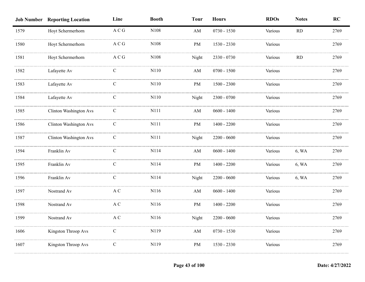|      | <b>Job Number Reporting Location</b> | Line            | <b>Booth</b> | <b>Tour</b>            | <b>Hours</b>  | <b>RDOs</b> | <b>Notes</b> | RC   |
|------|--------------------------------------|-----------------|--------------|------------------------|---------------|-------------|--------------|------|
| 1579 | Hoyt Schermerhorn                    | $\mathbf A$ C G | N108         | AM                     | $0730 - 1530$ | Various     | RD           | 2769 |
| 1580 | Hoyt Schermerhorn                    | A C G           | N108         | <b>PM</b>              | 1530 - 2330   | Various     |              | 2769 |
| 1581 | Hoyt Schermerhorn                    | A C G           | N108         | Night                  | 2330 - 0730   | Various     | RD           | 2769 |
| 1582 | Lafayette Av                         | C               | N110         | AM                     | $0700 - 1500$ | Various     |              | 2769 |
| 1583 | Lafayette Av                         | $\mathbf C$     | N110         | PM                     | $1500 - 2300$ | Various     |              | 2769 |
| 1584 | Lafayette Av                         | $\mathbf C$     | N110         | Night                  | $2300 - 0700$ | Various     |              | 2769 |
| 1585 | <b>Clinton Washington Avs</b>        | $\mathbf C$     | N111         | $\mathbf{A}\mathbf{M}$ | $0600 - 1400$ | Various     |              | 2769 |
| 1586 | <b>Clinton Washington Avs</b>        | ${\bf C}$       | N111         | PM                     | $1400 - 2200$ | Various     |              | 2769 |
| 1587 | <b>Clinton Washington Avs</b>        | $\mathcal{C}$   | N111         | Night                  | $2200 - 0600$ | Various     |              | 2769 |
| 1594 | Franklin Av                          | $\mathcal{C}$   | N114         | $\mathbf{A}\mathbf{M}$ | $0600 - 1400$ | Various     | 6, WA        | 2769 |
| 1595 | Franklin Av                          | $\mathcal{C}$   | N114         | PM                     | $1400 - 2200$ | Various     | 6, WA        | 2769 |
| 1596 | Franklin Av                          | $\mathbf C$     | N114         | Night                  | $2200 - 0600$ | Various     | 6, WA        | 2769 |
| 1597 | Nostrand Av                          | $\mathbf A$ C   | N116         | AM                     | $0600 - 1400$ | Various     |              | 2769 |
| 1598 | Nostrand Av                          | $\mathbf A$ C   | N116         | PM                     | $1400 - 2200$ | Various     |              | 2769 |
| 1599 | Nostrand Av                          | $\mathbf A$ C   | N116         | Night                  | $2200 - 0600$ | Various     |              | 2769 |
| 1606 | Kingston Throop Avs                  | ${\bf C}$       | N119         | $\mathbf{A}\mathbf{M}$ | $0730 - 1530$ | Various     |              | 2769 |
| 1607 | Kingston Throop Avs                  | $\mathbf C$     | N119         | PM                     | 1530 - 2330   | Various     |              | 2769 |
|      |                                      |                 |              |                        |               |             |              |      |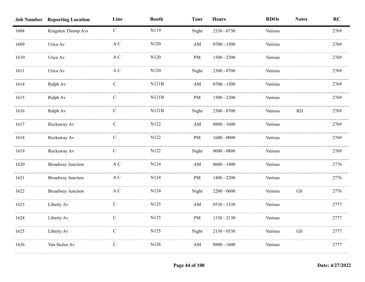|      | <b>Job Number Reporting Location</b> | Line          | <b>Booth</b> | <b>Tour</b>            | <b>Hours</b>  | <b>RDOs</b> | <b>Notes</b>        | RC   |
|------|--------------------------------------|---------------|--------------|------------------------|---------------|-------------|---------------------|------|
| 1608 | Kingston Throop Avs                  | $\mathbf C$   | N119         | Night                  | 2330 - 0730   | Various     |                     | 2769 |
| 1609 | Utica Av                             | A C           | N120         | $\mathbf{A}\mathbf{M}$ | $0700 - 1500$ | Various     |                     | 2769 |
| 1610 | Utica Av                             | A C           | N120         | <b>PM</b>              | $1500 - 2300$ | Various     |                     | 2769 |
| 1611 | Utica Av                             | A C           | N120         | Night                  | $2300 - 0700$ | Various     |                     | 2769 |
| 1614 | Ralph Av                             | $\mathbf C$   | N121B        | $\mathbf{A}\mathbf{M}$ | $0700 - 1500$ | Various     |                     | 2769 |
| 1615 | Ralph Av                             | $\mathbf C$   | N121B        | PM                     | $1500 - 2300$ | Various     |                     | 2769 |
| 1616 | Ralph Av                             | $\mathbf C$   | N121B        | Night                  | $2300 - 0700$ | Various     | $\rm RD$            | 2769 |
| 1617 | Rockaway Av                          | $\mathbf C$   | N122         | $\mathbf{A}\mathbf{M}$ | $0800 - 1600$ | Various     |                     | 2769 |
| 1618 | Rockaway Av                          | $\mathbf C$   | N122         | PM                     | $1600 - 0000$ | Various     |                     | 2769 |
| 1619 | Rockaway Av                          | $\mathbf C$   | N122         | Night                  | $0000 - 0800$ | Various     |                     | 2769 |
| 1620 | <b>Broadway Junction</b>             | $\mathbf A$ C | N124         | $\mathbf{A}\mathbf{M}$ | $0600 - 1400$ | Various     |                     | 2776 |
| 1621 | <b>Broadway Junction</b>             | A C           | N124         | $\rm PM$               | $1400 - 2200$ | Various     |                     | 2776 |
| 1622 | <b>Broadway Junction</b>             | $\mathbf A$ C | N124         | Night                  | $2200 - 0600$ | Various     | <b>GS</b>           | 2776 |
| 1623 | Liberty Av                           | $\mathsf{C}$  | N125         | $\mathbf{A}\mathbf{M}$ | $0530 - 1330$ | Various     |                     | 2777 |
| 1624 | Liberty Av                           | $\mathcal{C}$ | N125         | $\rm PM$               | $1330 - 2130$ | Various     |                     | 2777 |
| 1625 | Liberty Av                           | $\mathbf C$   | N125         | Night                  | $2130 - 0530$ | Various     | $\operatorname{GS}$ | 2777 |
| 1626 | Van Siclen Av                        | $\mathbf C$   | N126         | $\mathbf{A}\mathbf{M}$ | $0800 - 1600$ | Various     |                     | 2777 |
|      |                                      |               |              |                        |               |             |                     |      |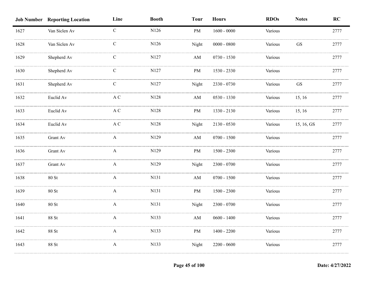|      | <b>Job Number Reporting Location</b> | Line          | <b>Booth</b> | <b>Tour</b>            | <b>Hours</b>      | <b>RDOs</b> | <b>Notes</b> | RC   |
|------|--------------------------------------|---------------|--------------|------------------------|-------------------|-------------|--------------|------|
| 1627 | Van Siclen Av                        | $\mathbf{C}$  | N126         | PM                     | $1600 - 0000$     | Various     |              | 2777 |
| 1628 | Van Siclen Av                        | $\mathbf C$   | N126         | Night                  | $0000$ - $0800\,$ | Various     | GS           | 2777 |
| 1629 | Shepherd Av                          | $\mathsf{C}$  | N127         | AM                     | $0730 - 1530$     | Various     |              | 2777 |
| 1630 | Shepherd Av                          | $\mathcal{C}$ | N127         | PM                     | 1530 - 2330       | Various     |              | 2777 |
| 1631 | Shepherd Av                          | $\mathbf C$   | N127         | Night                  | 2330 - 0730       | Various     | GS           | 2777 |
| 1632 | Euclid Av                            | A C           | N128         | $\mathbf{A}\mathbf{M}$ | $0530 - 1330$     | Various     | 15, 16       | 2777 |
| 1633 | Euclid Av                            | $\mathbf A$ C | N128         | PM                     | 1330 - 2130       | Various     | 15, 16       | 2777 |
| 1634 | Euclid Av                            | $\mathbf A$ C | $\rm N128$   | Night                  | $2130 - 0530$     | Various     | 15, 16, GS   | 2777 |
| 1635 | Grant Av                             | A             | N129         | AM                     | $0700 - 1500$     | Various     |              | 2777 |
| 1636 | Grant Av                             | A             | N129         | PM                     | $1500 - 2300$     | Various     |              | 2777 |
| 1637 | Grant Av                             | A             | N129         | Night                  | $2300 - 0700$     | Various     |              | 2777 |
| 1638 | $80$ St                              | A             | N131         | AM                     | $0700 - 1500$     | Various     |              | 2777 |
| 1639 | 80 St                                | A             | N131         | PM                     | $1500$ - $2300\,$ | Various     |              | 2777 |
| 1640 | 80 St                                | A             | N131         | Night                  | $2300 - 0700$     | Various     |              | 2777 |
| 1641 | 88 St                                | $\mathbf{A}$  | N133         | $\mathbf{A}\mathbf{M}$ | $0600 - 1400$     | Various     |              | 2777 |
| 1642 | 88 St                                | $\mathbf{A}$  | N133         | PM                     | $1400 - 2200$     | Various     |              | 2777 |
| 1643 | 88 St                                | $\mathbf{A}$  | N133         | Night                  | $2200 - 0600$     | Various     |              | 2777 |
|      |                                      |               |              |                        |                   |             |              |      |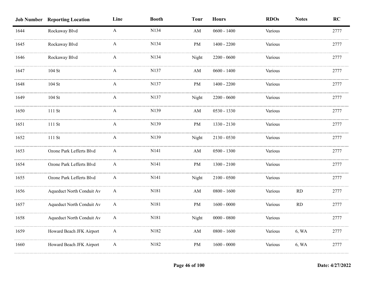|      | <b>Job Number Reporting Location</b> | Line         | <b>Booth</b> | <b>Tour</b> | <b>Hours</b>  | <b>RDOs</b> | <b>Notes</b> | RC   |
|------|--------------------------------------|--------------|--------------|-------------|---------------|-------------|--------------|------|
| 1644 | Rockaway Blvd                        | $\mathbf{A}$ | N134         | AM          | $0600 - 1400$ | Various     |              | 2777 |
| 1645 | Rockaway Blvd                        | A            | N134         | PM          | $1400 - 2200$ | Various     |              | 2777 |
| 1646 | Rockaway Blvd                        | A            | N134         | Night       | $2200 - 0600$ | Various     |              | 2777 |
| 1647 | $104$ St                             | A            | N137         | AM          | $0600 - 1400$ | Various     |              | 2777 |
| 1648 | $104$ St                             | A            | N137         | PM          | $1400 - 2200$ | Various     |              | 2777 |
| 1649 | $104$ St                             | A            | N137         | Night       | $2200 - 0600$ | Various     |              | 2777 |
| 1650 | $111\mathrm{\ St}$                   | $\mathbf{A}$ | N139         | AM          | 0530 - 1330   | Various     |              | 2777 |
| 1651 | 111 St                               | $\mathbf{A}$ | N139         | PM          | 1330 - 2130   | Various     |              | 2777 |
| 1652 | 111 St                               | $\mathbf{A}$ | N139         | Night       | $2130 - 0530$ | Various     |              | 2777 |
| 1653 | Ozone Park Lefferts Blvd             | A            | N141         | AM          | $0500 - 1300$ | Various     |              | 2777 |
| 1654 | Ozone Park Lefferts Blvd             | A            | N141         | PM          | $1300 - 2100$ | Various     |              | 2777 |
| 1655 | Ozone Park Lefferts Blvd             | A            | N141         | Night       | $2100 - 0500$ | Various     |              | 2777 |
| 1656 | Aqueduct North Conduit Av            | A            | N181         | AM          | $0800 - 1600$ | Various     | RD           | 2777 |
| 1657 | Aqueduct North Conduit Av            | $\mathbf{A}$ | N181         | $\rm PM$    | $1600 - 0000$ | Various     | RD           | 2777 |
| 1658 | Aqueduct North Conduit Av            | A            | N181         | Night       | $0000 - 0800$ | Various     |              | 2777 |
| 1659 | Howard Beach JFK Airport             | $\mathbf{A}$ | N182         | AM          | $0800 - 1600$ | Various     | 6, WA        | 2777 |
| 1660 | Howard Beach JFK Airport             | $\mathbf{A}$ | N182         | PM          | $1600 - 0000$ | Various     | 6, WA        | 2777 |
|      |                                      |              |              |             |               |             |              |      |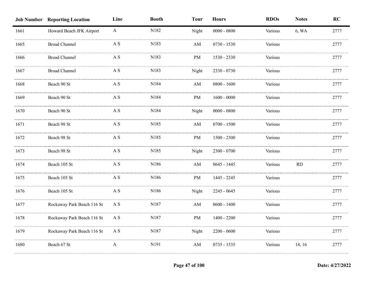|      | <b>Job Number Reporting Location</b> | Line                      | <b>Booth</b> | <b>Tour</b>            | <b>Hours</b>  | <b>RDOs</b> | <b>Notes</b> | RC   |
|------|--------------------------------------|---------------------------|--------------|------------------------|---------------|-------------|--------------|------|
| 1661 | Howard Beach JFK Airport             | $\mathbf{A}$              | N182         | Night                  | $0000 - 0800$ | Various     | 6, WA        | 2777 |
| 1665 | <b>Broad Channel</b>                 | A S                       | N183         | AM                     | $0730 - 1530$ | Various     |              | 2777 |
| 1666 | <b>Broad Channel</b>                 | A S                       | N183         | PM                     | 1530 - 2330   | Various     |              | 2777 |
| 1667 | <b>Broad Channel</b>                 | A S                       | N183         | Night                  | 2330 - 0730   | Various     |              | 2777 |
| 1668 | Beach 90 St                          | $\mathbf{A} \ \mathbf{S}$ | N184         | AM                     | $0800 - 1600$ | Various     |              | 2777 |
| 1669 | Beach 90 St                          | A S                       | N184         | PM                     | $1600 - 0000$ | Various     |              | 2777 |
| 1670 | Beach 90 St                          | A S                       | N184         | Night                  | $0000 - 0800$ | Various     |              | 2777 |
| 1671 | Beach 98 St                          | $\mathbf A$ S             | N185         | $\mathbf{A}\mathbf{M}$ | $0700 - 1500$ | Various     |              | 2777 |
| 1672 | Beach 98 St                          | $\mathbf A$ S             | N185         | PM                     | $1500 - 2300$ | Various     |              | 2777 |
| 1673 | Beach 98 St                          | A S                       | N185         | Night                  | $2300 - 0700$ | Various     |              | 2777 |
| 1674 | Beach 105 St                         | A S                       | N186         | AM                     | $0645 - 1445$ | Various     | RD           | 2777 |
| 1675 | Beach 105 St                         | A S                       | N186         | <b>PM</b>              | 1445 - 2245   | Various     |              | 2777 |
| 1676 | Beach 105 St                         | A S                       | N186         | Night                  | 2245 - 0645   | Various     |              | 2777 |
| 1677 | Rockaway Park Beach 116 St           | $\mathbf{A} \ \mathbf{S}$ | N187         | $\mathbf{A}\mathbf{M}$ | $0600 - 1400$ | Various     |              | 2777 |
| 1678 | Rockaway Park Beach 116 St           | $\mathbf{A} \ \mathbf{S}$ | N187         | PM                     | $1400 - 2200$ | Various     |              | 2777 |
| 1679 | Rockaway Park Beach 116 St           | A S                       | N187         | Night                  | $2200 - 0600$ | Various     |              | 2777 |
| 1680 | Beach 67 St                          | A                         | N191         | $\mathbf{A}\mathbf{M}$ | $0735 - 1535$ | Various     | 14, 16       | 2777 |
|      |                                      |                           |              |                        |               |             |              |      |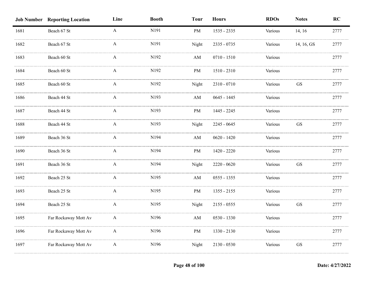|      | <b>Job Number Reporting Location</b> | Line             | <b>Booth</b> | <b>Tour</b>            | <b>Hours</b>  | <b>RDOs</b> | <b>Notes</b>        | RC   |
|------|--------------------------------------|------------------|--------------|------------------------|---------------|-------------|---------------------|------|
| 1681 | Beach 67 St                          | $\mathbf{A}$     | N191         | PM                     | 1535 - 2335   | Various     | 14, 16              | 2777 |
| 1682 | Beach 67 St                          | A                | N191         | Night                  | 2335 - 0735   | Various     | 14, 16, GS          | 2777 |
| 1683 | Beach 60 St                          | A                | N192         | AM                     | $0710 - 1510$ | Various     |                     | 2777 |
| 1684 | Beach 60 St                          | A                | N192         | PM                     | 1510 - 2310   | Various     |                     | 2777 |
| 1685 | Beach 60 St                          | A                | N192         | Night                  | 2310 - 0710   | Various     | GS                  | 2777 |
| 1686 | Beach 44 St                          | $\mathbf{A}$     | N193         | AM                     | $0645 - 1445$ | Various     |                     | 2777 |
| 1687 | Beach 44 St                          | $\mathbf{A}$     | N193         | PM                     | 1445 - 2245   | Various     |                     | 2777 |
| 1688 | Beach 44 St                          | $\mathbf{A}$     | N193         | Night                  | 2245 - 0645   | Various     | $\operatorname{GS}$ | 2777 |
| 1689 | Beach 36 St                          | A                | N194         | AM                     | $0620 - 1420$ | Various     |                     | 2777 |
| 1690 | Beach 36 St                          | A                | N194         | $\rm PM$               | 1420 - 2220   | Various     |                     | 2777 |
| 1691 | Beach 36 St                          | A                | N194         | Night                  | $2220 - 0620$ | Various     | <b>GS</b>           | 2777 |
| 1692 | Beach 25 St                          | A                | N195         | AM                     | $0555 - 1355$ | Various     |                     | 2777 |
| 1693 | Beach 25 St                          | A                | N195         | PM                     | $1355 - 2155$ | Various     |                     | 2777 |
| 1694 | Beach 25 St                          | A                | N195         | Night                  | $2155 - 0555$ | Various     | GS                  | 2777 |
| 1695 | Far Rockaway Mott Av                 | $\mathbf{A}$     | N196         | $\mathbf{A}\mathbf{M}$ | $0530 - 1330$ | Various     |                     | 2777 |
| 1696 | Far Rockaway Mott Av                 | $\boldsymbol{A}$ | N196         | PM                     | 1330 - 2130   | Various     |                     | 2777 |
| 1697 | Far Rockaway Mott Av                 | $\boldsymbol{A}$ | N196         | Night                  | $2130 - 0530$ | Various     | $\operatorname{GS}$ | 2777 |
|      |                                      |                  |              |                        |               |             |                     |      |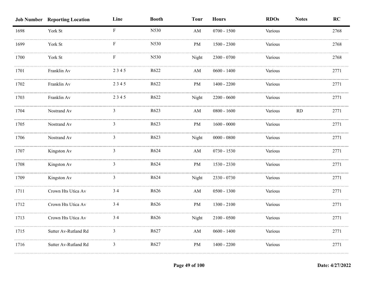|      | <b>Job Number Reporting Location</b> | Line           | <b>Booth</b> | <b>Tour</b>            | <b>Hours</b>  | <b>RDOs</b> | <b>Notes</b> | RC   |
|------|--------------------------------------|----------------|--------------|------------------------|---------------|-------------|--------------|------|
| 1698 | York St                              | $\mathbf F$    | N530         | AM                     | $0700 - 1500$ | Various     |              | 2768 |
| 1699 | York St                              | F              | N530         | PM                     | $1500 - 2300$ | Various     |              | 2768 |
| 1700 | York St                              | F              | N530         | Night                  | 2300 - 0700   | Various     |              | 2768 |
| 1701 | Franklin Av                          | 2345           | R622         | AM                     | $0600 - 1400$ | Various     |              | 2771 |
| 1702 | Franklin Av                          | 2345           | R622         | PM                     | $1400 - 2200$ | Various     |              | 2771 |
| 1703 | Franklin Av                          | 2345           | R622         | Night                  | $2200 - 0600$ | Various     |              | 2771 |
| 1704 | Nostrand Av                          | 3              | R623         | AM                     | $0800 - 1600$ | Various     | RD           | 2771 |
| 1705 | Nostrand Av                          | 3              | R623         | PM                     | $1600 - 0000$ | Various     |              | 2771 |
| 1706 | Nostrand Av                          | 3              | R623         | Night                  | $0000 - 0800$ | Various     |              | 2771 |
| 1707 | Kingston Av                          | 3              | R624         | $\mathbf{A}\mathbf{M}$ | $0730 - 1530$ | Various     |              | 2771 |
| 1708 | Kingston Av                          | 3              | R624         | PM                     | 1530 - 2330   | Various     |              | 2771 |
| 1709 | Kingston Av                          | 3              | R624         | Night                  | 2330 - 0730   | Various     |              | 2771 |
| 1711 | Crown Hts Utica Av                   | 34             | R626         | $\mathbf{A}\mathbf{M}$ | $0500 - 1300$ | Various     |              | 2771 |
| 1712 | Crown Hts Utica Av                   | 34             | R626         | PM                     | $1300 - 2100$ | Various     |              | 2771 |
| 1713 | Crown Hts Utica Av                   | 34             | R626         | Night                  | $2100 - 0500$ | Various     |              | 2771 |
| 1715 | Sutter Av-Rutland Rd                 | 3              | R627         | AM                     | $0600 - 1400$ | Various     |              | 2771 |
| 1716 | Sutter Av-Rutland Rd                 | $\overline{3}$ | R627         | PM                     | $1400 - 2200$ | Various     |              | 2771 |
|      |                                      |                |              |                        |               |             |              |      |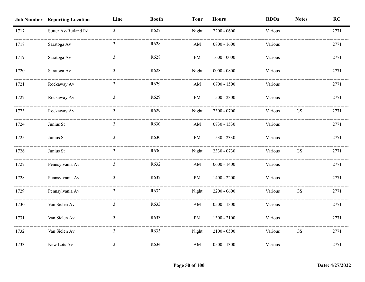|      | <b>Job Number Reporting Location</b> | Line           | <b>Booth</b> | <b>Tour</b>            | <b>Hours</b>  | <b>RDOs</b> | <b>Notes</b>        | RC   |
|------|--------------------------------------|----------------|--------------|------------------------|---------------|-------------|---------------------|------|
| 1717 | Sutter Av-Rutland Rd                 | $\overline{3}$ | R627         | Night                  | $2200 - 0600$ | Various     |                     | 2771 |
| 1718 | Saratoga Av                          | 3              | R628         | AM                     | $0800 - 1600$ | Various     |                     | 2771 |
| 1719 | Saratoga Av                          | 3              | R628         | PM                     | $1600 - 0000$ | Various     |                     | 2771 |
| 1720 | Saratoga Av                          | 3              | R628         | Night                  | $0000 - 0800$ | Various     |                     | 2771 |
| 1721 | Rockaway Av                          | 3              | R629         | AM                     | $0700 - 1500$ | Various     |                     | 2771 |
| 1722 | Rockaway Av                          | 3              | R629         | PM                     | $1500 - 2300$ | Various     |                     | 2771 |
| 1723 | Rockaway Av                          | $\mathfrak{Z}$ | R629         | Night                  | $2300 - 0700$ | Various     | $\operatorname{GS}$ | 2771 |
| 1724 | Junius St                            | 3              | R630         | $\mathbf{A}\mathbf{M}$ | $0730 - 1530$ | Various     |                     | 2771 |
| 1725 | Junius St                            | $\mathbf{3}$   | R630         | PM                     | 1530 - 2330   | Various     |                     | 2771 |
| 1726 | Junius St                            | 3              | R630         | Night                  | 2330 - 0730   | Various     | <b>GS</b>           | 2771 |
| 1727 | Pennsylvania Av                      | 3              | R632         | AM                     | $0600 - 1400$ | Various     |                     | 2771 |
| 1728 | Pennsylvania Av                      | 3              | R632         | PM                     | $1400 - 2200$ | Various     |                     | 2771 |
| 1729 | Pennsylvania Av                      | 3              | R632         | Night                  | $2200 - 0600$ | Various     | <b>GS</b>           | 2771 |
| 1730 | Van Siclen Av                        | 3              | R633         | $\mathbf{A}\mathbf{M}$ | $0500 - 1300$ | Various     |                     | 2771 |
| 1731 | Van Siclen Av                        | 3              | R633         | PM                     | $1300 - 2100$ | Various     |                     | 2771 |
| 1732 | Van Siclen Av                        | $\mathfrak{Z}$ | R633         | Night                  | $2100 - 0500$ | Various     | GS                  | 2771 |
| 1733 | New Lots Av                          | $\mathfrak{Z}$ | R634         | $\mathbf{A}\mathbf{M}$ | $0500 - 1300$ | Various     |                     | 2771 |
|      |                                      |                |              |                        |               |             |                     |      |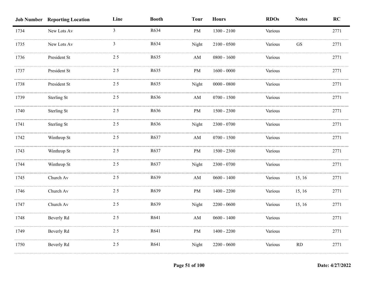|      | <b>Job Number Reporting Location</b> | Line           | <b>Booth</b> | <b>Tour</b>            | <b>Hours</b>  | <b>RDOs</b> | <b>Notes</b> | RC   |
|------|--------------------------------------|----------------|--------------|------------------------|---------------|-------------|--------------|------|
| 1734 | New Lots Av                          | $\overline{3}$ | R634         | PM                     | $1300 - 2100$ | Various     |              | 2771 |
| 1735 | New Lots Av                          | 3              | R634         | Night                  | $2100 - 0500$ | Various     | <b>GS</b>    | 2771 |
| 1736 | President St                         | 25             | R635         | AM                     | $0800 - 1600$ | Various     |              | 2771 |
| 1737 | President St                         | 25             | R635         | PM                     | $1600 - 0000$ | Various     |              | 2771 |
| 1738 | President St                         | 25             | R635         | Night                  | $0000 - 0800$ | Various     |              | 2771 |
| 1739 | <b>Sterling St</b>                   | 25             | R636         | $\mathbf{A}\mathbf{M}$ | $0700 - 1500$ | Various     |              | 2771 |
| 1740 | Sterling St                          | 25             | R636         | PM                     | $1500 - 2300$ | Various     |              | 2771 |
| 1741 | <b>Sterling St</b>                   | 25             | R636         | Night                  | $2300 - 0700$ | Various     |              | 2771 |
| 1742 | Winthrop St                          | 25             | R637         | $\mathbf{A}\mathbf{M}$ | $0700 - 1500$ | Various     |              | 2771 |
| 1743 | Winthrop St                          | 25             | R637         | PM                     | $1500 - 2300$ | Various     |              | 2771 |
| 1744 | Winthrop St                          | 25             | R637         | Night                  | $2300 - 0700$ | Various     |              | 2771 |
| 1745 | Church Av                            | 25             | R639         | $\mathbf{A}\mathbf{M}$ | $0600 - 1400$ | Various     | 15, 16       | 2771 |
| 1746 | Church Av                            | 25             | R639         | PM                     | $1400 - 2200$ | Various     | 15, 16       | 2771 |
| 1747 | Church Av                            | 25             | R639         | Night                  | $2200 - 0600$ | Various     | 15, 16       | 2771 |
| 1748 | Beverly Rd                           | 25             | R641         | $\mathbf{A}\mathbf{M}$ | $0600 - 1400$ | Various     |              | 2771 |
| 1749 | Beverly Rd                           | 25             | R641         | $\rm PM$               | $1400 - 2200$ | Various     |              | 2771 |
| 1750 | Beverly Rd                           | 25             | R641         | Night                  | $2200 - 0600$ | Various     | RD           | 2771 |
|      |                                      |                |              |                        |               |             |              |      |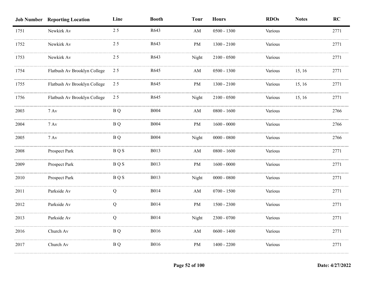|      | <b>Job Number Reporting Location</b> | Line       | <b>Booth</b> | <b>Tour</b>            | <b>Hours</b>  | <b>RDOs</b> | <b>Notes</b> | RC   |
|------|--------------------------------------|------------|--------------|------------------------|---------------|-------------|--------------|------|
| 1751 | Newkirk Av                           | 25         | R643         | AM                     | $0500 - 1300$ | Various     |              | 2771 |
| 1752 | Newkirk Av                           | 25         | R643         | $\rm PM$               | $1300 - 2100$ | Various     |              | 2771 |
| 1753 | Newkirk Av                           | 25         | R643         | Night                  | $2100 - 0500$ | Various     |              | 2771 |
| 1754 | Flatbush Av Brooklyn College         | 25         | R645         | $\mathbf{A}\mathbf{M}$ | $0500 - 1300$ | Various     | 15, 16       | 2771 |
| 1755 | Flatbush Av Brooklyn College         | 25         | R645         | PM                     | 1300 - 2100   | Various     | 15, 16       | 2771 |
| 1756 | Flatbush Av Brooklyn College         | 25         | R645         | Night                  | $2100 - 0500$ | Various     | 15, 16       | 2771 |
| 2003 | $7 \,\mathrm{Av}$                    | <b>BQ</b>  | <b>B004</b>  | AM                     | $0800 - 1600$ | Various     |              | 2766 |
| 2004 | $7 \,\mathrm{Av}$                    | <b>BQ</b>  | <b>B004</b>  | $\rm PM$               | $1600 - 0000$ | Various     |              | 2766 |
| 2005 | $7 \,\mathrm{Av}$                    | B Q        | <b>B004</b>  | Night                  | $0000 - 0800$ | Various     |              | 2766 |
| 2008 | Prospect Park                        | <b>BQS</b> | <b>B013</b>  | $\mathbf{A}\mathbf{M}$ | $0800 - 1600$ | Various     |              | 2771 |
| 2009 | Prospect Park                        | <b>BQS</b> | <b>B013</b>  | PM                     | $1600 - 0000$ | Various     |              | 2771 |
| 2010 | Prospect Park                        | <b>BQS</b> | <b>B013</b>  | Night                  | $0000 - 0800$ | Various     |              | 2771 |
| 2011 | Parkside Av                          | Q          | <b>B014</b>  | AM                     | $0700 - 1500$ | Various     |              | 2771 |
| 2012 | Parkside Av                          | Q          | <b>B014</b>  | PM                     | $1500 - 2300$ | Various     |              | 2771 |
| 2013 | Parkside Av                          | Q          | <b>B014</b>  | Night                  | 2300 - 0700   | Various     |              | 2771 |
| 2016 | Church Av                            | <b>BQ</b>  | <b>B016</b>  | $\mathbf{A}\mathbf{M}$ | $0600 - 1400$ | Various     |              | 2771 |
| 2017 | Church Av                            | <b>BQ</b>  | <b>B016</b>  | PM                     | $1400 - 2200$ | Various     |              | 2771 |
|      |                                      |            |              |                        |               |             |              |      |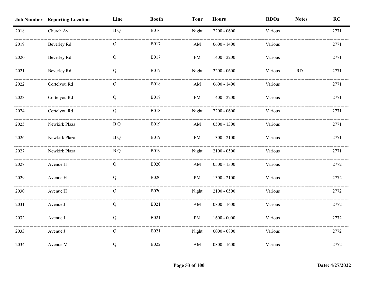|      | <b>Job Number Reporting Location</b> | Line      | <b>Booth</b> | <b>Tour</b>            | <b>Hours</b>  | <b>RDOs</b> | <b>Notes</b> | RC   |
|------|--------------------------------------|-----------|--------------|------------------------|---------------|-------------|--------------|------|
| 2018 | Church Av                            | <b>BQ</b> | <b>B016</b>  | Night                  | $2200 - 0600$ | Various     |              | 2771 |
| 2019 | Beverley Rd                          | Q         | <b>B017</b>  | AM                     | $0600 - 1400$ | Various     |              | 2771 |
| 2020 | Beverley Rd                          | Q         | <b>B017</b>  | PM                     | $1400 - 2200$ | Various     |              | 2771 |
| 2021 | Beverley Rd                          | Q         | <b>B017</b>  | Night                  | $2200 - 0600$ | Various     | RD           | 2771 |
| 2022 | Cortelyou Rd                         | Q         | <b>B018</b>  | $\mathbf{A}\mathbf{M}$ | $0600 - 1400$ | Various     |              | 2771 |
| 2023 | Cortelyou Rd                         | Q         | <b>B018</b>  | PM                     | $1400 - 2200$ | Various     |              | 2771 |
| 2024 | Cortelyou Rd                         | Q         | <b>B018</b>  | Night                  | $2200 - 0600$ | Various     |              | 2771 |
| 2025 | Newkirk Plaza                        | <b>BQ</b> | <b>B019</b>  | AM                     | $0500 - 1300$ | Various     |              | 2771 |
| 2026 | Newkirk Plaza                        | B Q       | B019         | PM                     | $1300 - 2100$ | Various     |              | 2771 |
| 2027 | Newkirk Plaza                        | B Q       | <b>B019</b>  | Night                  | $2100 - 0500$ | Various     |              | 2771 |
| 2028 | Avenue H                             | Q         | <b>B020</b>  | AM                     | $0500 - 1300$ | Various     |              | 2772 |
| 2029 | Avenue H                             | Q         | <b>B020</b>  | PM                     | $1300 - 2100$ | Various     |              | 2772 |
| 2030 | Avenue H                             | Q         | <b>B020</b>  | Night                  | $2100 - 0500$ | Various     |              | 2772 |
| 2031 | Avenue J                             | Q         | <b>B021</b>  | $\mathbf{A}\mathbf{M}$ | $0800 - 1600$ | Various     |              | 2772 |
| 2032 | Avenue J                             | Q         | <b>B021</b>  | PM                     | $1600 - 0000$ | Various     |              | 2772 |
| 2033 | Avenue J                             | Q         | <b>B021</b>  | Night                  | $0000 - 0800$ | Various     |              | 2772 |
| 2034 | Avenue M                             | Q         | <b>B022</b>  | AM                     | $0800 - 1600$ | Various     |              | 2772 |
|      |                                      |           |              |                        |               |             |              |      |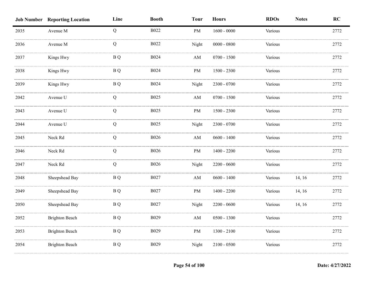|      | <b>Job Number Reporting Location</b> | Line                    | <b>Booth</b> | <b>Tour</b>            | <b>Hours</b>  | <b>RDOs</b> | <b>Notes</b> | RC   |
|------|--------------------------------------|-------------------------|--------------|------------------------|---------------|-------------|--------------|------|
| 2035 | Avenue M                             | Q                       | <b>B022</b>  | PM                     | $1600 - 0000$ | Various     |              | 2772 |
| 2036 | Avenue M                             | Q                       | <b>B022</b>  | Night                  | $0000 - 0800$ | Various     |              | 2772 |
| 2037 | Kings Hwy                            | <b>BQ</b>               | <b>B024</b>  | AM                     | $0700 - 1500$ | Various     |              | 2772 |
| 2038 | Kings Hwy                            | <b>BQ</b>               | <b>B024</b>  | $\rm PM$               | 1500 - 2300   | Various     |              | 2772 |
| 2039 | Kings Hwy                            | <b>BQ</b>               | <b>B024</b>  | Night                  | 2300 - 0700   | Various     |              | 2772 |
| 2042 | Avenue U                             | Q                       | <b>B025</b>  | $\mathbf{A}\mathbf{M}$ | $0700 - 1500$ | Various     |              | 2772 |
| 2043 | Avenue U                             | Q                       | <b>B025</b>  | $\rm PM$               | $1500 - 2300$ | Various     |              | 2772 |
| 2044 | Avenue U                             | Q                       | <b>B025</b>  | Night                  | $2300 - 0700$ | Various     |              | 2772 |
| 2045 | Neck Rd                              | Q                       | <b>B026</b>  | AM                     | $0600 - 1400$ | Various     |              | 2772 |
| 2046 | Neck Rd                              | Q                       | <b>B026</b>  | PM                     | $1400 - 2200$ | Various     |              | 2772 |
| 2047 | Neck Rd                              | Q                       | <b>B026</b>  | Night                  | $2200 - 0600$ | Various     |              | 2772 |
| 2048 | Sheepshead Bay                       | <b>BQ</b>               | <b>B027</b>  | $\mathbf{A}\mathbf{M}$ | $0600 - 1400$ | Various     | 14, 16       | 2772 |
| 2049 | Sheepshead Bay                       | <b>BQ</b>               | <b>B027</b>  | $\rm PM$               | $1400 - 2200$ | Various     | 14, 16       | 2772 |
| 2050 | Sheepshead Bay                       | $\, {\bf B} \, {\bf Q}$ | <b>B027</b>  | Night                  | $2200 - 0600$ | Various     | 14, 16       | 2772 |
| 2052 | <b>Brighton Beach</b>                | B Q                     | <b>B029</b>  | AM                     | $0500 - 1300$ | Various     |              | 2772 |
| 2053 | <b>Brighton Beach</b>                | <b>BQ</b>               | B029         | PM                     | $1300 - 2100$ | Various     |              | 2772 |
| 2054 | <b>Brighton Beach</b>                | <b>BQ</b>               | B029         | Night                  | $2100 - 0500$ | Various     |              | 2772 |
|      |                                      |                         |              |                        |               |             |              |      |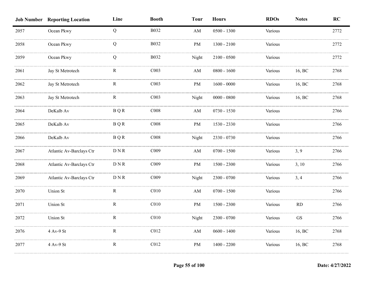|      | <b>Job Number Reporting Location</b> | Line        | <b>Booth</b>     | <b>Tour</b>            | <b>Hours</b>  | <b>RDOs</b> | <b>Notes</b> | RC   |
|------|--------------------------------------|-------------|------------------|------------------------|---------------|-------------|--------------|------|
| 2057 | Ocean Pkwy                           | Q           | <b>B032</b>      | $\mathbf{A}\mathbf{M}$ | $0500 - 1300$ | Various     |              | 2772 |
| 2058 | Ocean Pkwy                           | Q           | <b>B032</b>      | PM                     | $1300 - 2100$ | Various     |              | 2772 |
| 2059 | Ocean Pkwy                           | Q           | B032             | Night                  | $2100 - 0500$ | Various     |              | 2772 |
| 2061 | Jay St Metrotech                     | R           | CO <sub>03</sub> | $\mathbf{A}\mathbf{M}$ | $0800 - 1600$ | Various     | 16, BC       | 2768 |
| 2062 | Jay St Metrotech                     | $\mathbf R$ | CO <sub>03</sub> | PM                     | $1600 - 0000$ | Various     | 16, BC       | 2768 |
| 2063 | Jay St Metrotech                     | $\mathbf R$ | C <sub>003</sub> | Night                  | $0000 - 0800$ | Various     | 16, BC       | 2768 |
| 2064 | DeKalb Av                            | <b>BQR</b>  | C008             | $\mathbf{A}\mathbf{M}$ | $0730 - 1530$ | Various     |              | 2766 |
| 2065 | DeKalb Av                            | <b>BQR</b>  | C008             | PM                     | 1530 - 2330   | Various     |              | 2766 |
| 2066 | DeKalb Av                            | <b>BQR</b>  | C <sub>008</sub> | Night                  | 2330 - 0730   | Various     |              | 2766 |
| 2067 | Atlantic Av-Barclays Ctr             | <b>DNR</b>  | C009             | AM                     | $0700 - 1500$ | Various     | 3, 9         | 2766 |
| 2068 | Atlantic Av-Barclays Ctr             | <b>DNR</b>  | C009             | PM                     | $1500 - 2300$ | Various     | 3, 10        | 2766 |
| 2069 | Atlantic Av-Barclays Ctr             | <b>DNR</b>  | C <sub>009</sub> | Night                  | 2300 - 0700   | Various     | 3, 4         | 2766 |
| 2070 | Union St                             | $\mathbf R$ | C <sub>010</sub> | $\mathbf{A}\mathbf{M}$ | $0700 - 1500$ | Various     |              | 2766 |
| 2071 | Union St                             | $\mathbf R$ | C <sub>010</sub> | PM                     | $1500 - 2300$ | Various     | RD           | 2766 |
| 2072 | Union St                             | R           | C <sub>010</sub> | Night                  | $2300 - 0700$ | Various     | ${\rm GS}$   | 2766 |
| 2076 | 4 Av-9 St                            | $\mathbf R$ | C <sub>012</sub> | $\mathbf{A}\mathbf{M}$ | $0600 - 1400$ | Various     | 16, BC       | 2768 |
| 2077 | 4 Av-9 St                            | R           | C012             | PM                     | $1400 - 2200$ | Various     | 16, BC       | 2768 |
|      |                                      |             |                  |                        |               |             |              |      |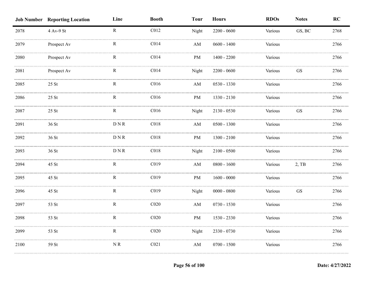|      | <b>Job Number Reporting Location</b> | Line            | <b>Booth</b>     | <b>Tour</b>            | <b>Hours</b>  | <b>RDOs</b> | <b>Notes</b>        | RC   |
|------|--------------------------------------|-----------------|------------------|------------------------|---------------|-------------|---------------------|------|
| 2078 | 4 Av-9 St                            | $\mathbf R$     | C012             | Night                  | $2200 - 0600$ | Various     | GS, BC              | 2768 |
| 2079 | Prospect Av                          | $\mathbf R$     | C <sub>014</sub> | AM                     | $0600 - 1400$ | Various     |                     | 2766 |
| 2080 | Prospect Av                          | R               | C <sub>014</sub> | PM                     | $1400 - 2200$ | Various     |                     | 2766 |
| 2081 | Prospect Av                          | $\mathbf R$     | C <sub>014</sub> | Night                  | $2200 - 0600$ | Various     | <b>GS</b>           | 2766 |
| 2085 | $25$ St                              | $\mathbf R$     | C <sub>016</sub> | AM                     | 0530 - 1330   | Various     |                     | 2766 |
| 2086 | $25$ St                              | $\mathbf R$     | C <sub>016</sub> | PM                     | 1330 - 2130   | Various     |                     | 2766 |
| 2087 | $25\;\mathrm{St}$                    | $\mathbf R$     | C <sub>016</sub> | Night                  | 2130 - 0530   | Various     | $\operatorname{GS}$ | 2766 |
| 2091 | 36 St                                | ${\rm D\,N\,R}$ | C <sub>018</sub> | AM                     | $0500 - 1300$ | Various     |                     | 2766 |
| 2092 | 36 St                                | <b>DNR</b>      | C <sub>018</sub> | PM                     | $1300 - 2100$ | Various     |                     | 2766 |
| 2093 | 36 St                                | <b>DNR</b>      | C018             | Night                  | $2100 - 0500$ | Various     |                     | 2766 |
| 2094 | 45 St                                | $\mathbf R$     | C019             | AM                     | $0800 - 1600$ | Various     | 2, TB               | 2766 |
| 2095 | 45 St                                | R               | C019             | PM                     | $1600 - 0000$ | Various     |                     | 2766 |
| 2096 | 45 St                                | $\mathbf R$     | C <sub>019</sub> | Night                  | $0000 - 0800$ | Various     | $\operatorname{GS}$ | 2766 |
| 2097 | 53 St                                | R               | C <sub>020</sub> | $\mathbf{A}\mathbf{M}$ | $0730 - 1530$ | Various     |                     | 2766 |
| 2098 | 53 St                                | $\mathbf R$     | C <sub>020</sub> | $\rm PM$               | 1530 - 2330   | Various     |                     | 2766 |
| 2099 | 53 St                                | $\mathbf R$     | C <sub>020</sub> | Night                  | 2330 - 0730   | Various     |                     | 2766 |
| 2100 | 59 St                                | NR              | C <sub>021</sub> | $\mathbf{A}\mathbf{M}$ | $0700 - 1500$ | Various     |                     | 2766 |
|      |                                      |                 |                  |                        |               |             |                     |      |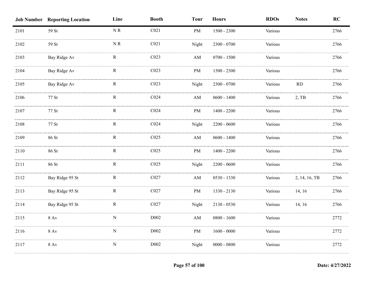|      | <b>Job Number Reporting Location</b> | Line                                                           | <b>Booth</b>     | <b>Tour</b>            | <b>Hours</b>  | <b>RDOs</b> | <b>Notes</b>  | RC   |
|------|--------------------------------------|----------------------------------------------------------------|------------------|------------------------|---------------|-------------|---------------|------|
| 2101 | 59 St                                | $\ensuremath{\mathbf{N}}\xspace\ensuremath{\mathbf{R}}\xspace$ | C <sub>021</sub> | PM                     | $1500 - 2300$ | Various     |               | 2766 |
| 2102 | 59 St                                | $\ensuremath{\mathbf{N}}\xspace\ensuremath{\mathbf{R}}\xspace$ | C <sub>021</sub> | Night                  | $2300 - 0700$ | Various     |               | 2766 |
| 2103 | Bay Ridge Av                         | R                                                              | CO <sub>23</sub> | $\mathbf{A}\mathbf{M}$ | $0700 - 1500$ | Various     |               | 2766 |
| 2104 | Bay Ridge Av                         | $\mathbf R$                                                    | CO <sub>23</sub> | PM                     | $1500 - 2300$ | Various     |               | 2766 |
| 2105 | Bay Ridge Av                         | $\mathbf R$                                                    | CO <sub>23</sub> | Night                  | 2300 - 0700   | Various     | <b>RD</b>     | 2766 |
| 2106 | 77 St                                | $\mathbf R$                                                    | C <sub>024</sub> | $\mathbf{A}\mathbf{M}$ | $0600 - 1400$ | Various     | $2,$ TB       | 2766 |
| 2107 | 77 St                                | $\mathbf R$                                                    | C <sub>024</sub> | PM                     | $1400 - 2200$ | Various     |               | 2766 |
| 2108 | 77 St                                | ${\bf R}$                                                      | C <sub>024</sub> | Night                  | $2200 - 0600$ | Various     |               | 2766 |
| 2109 | 86 St                                | $\mathbf R$                                                    | C <sub>025</sub> | $\mathbf{A}\mathbf{M}$ | $0600 - 1400$ | Various     |               | 2766 |
| 2110 | 86 St                                | ${\bf R}$                                                      | CO <sub>25</sub> | PM                     | $1400 - 2200$ | Various     |               | 2766 |
| 2111 | 86 St                                | $\mathbf R$                                                    | C025             | Night                  | $2200 - 0600$ | Various     |               | 2766 |
| 2112 | Bay Ridge 95 St                      | $\mathbf R$                                                    | C027             | $\mathbf{A}\mathbf{M}$ | 0530 - 1330   | Various     | 2, 14, 16, TB | 2766 |
| 2113 | Bay Ridge 95 St                      | $\mathbb{R}$                                                   | C027             | PM                     | 1330 - 2130   | Various     | 14, 16        | 2766 |
| 2114 | Bay Ridge 95 St                      | $\mathbf R$                                                    | C027             | Night                  | 2130 - 0530   | Various     | 14, 16        | 2766 |
| 2115 | $8\ \mathrm{Av}$                     | ${\bf N}$                                                      | D002             | $\mathbf{A}\mathbf{M}$ | $0800 - 1600$ | Various     |               | 2772 |
| 2116 | $8$ Av                               | ${\bf N}$                                                      | D002             | PM                     | $1600 - 0000$ | Various     |               | 2772 |
| 2117 | $8\ \mathrm{Av}$                     | ${\bf N}$                                                      | D002             | Night                  | $0000 - 0800$ | Various     |               | 2772 |
|      |                                      |                                                                |                  |                        |               |             |               |      |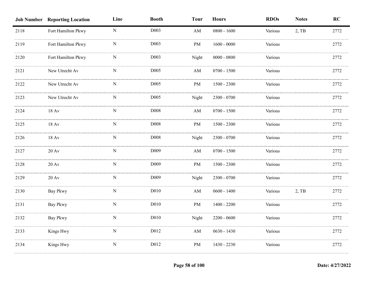|      | <b>Job Number Reporting Location</b> | Line        | <b>Booth</b>     | <b>Tour</b>            | <b>Hours</b>  | <b>RDOs</b> | <b>Notes</b> | RC   |
|------|--------------------------------------|-------------|------------------|------------------------|---------------|-------------|--------------|------|
| 2118 | Fort Hamilton Pkwy                   | $\mathbf N$ | D <sub>003</sub> | AM                     | $0800 - 1600$ | Various     | 2, TB        | 2772 |
| 2119 | Fort Hamilton Pkwy                   | ${\bf N}$   | D <sub>003</sub> | PM                     | $1600 - 0000$ | Various     |              | 2772 |
| 2120 | Fort Hamilton Pkwy                   | N           | D003             | Night                  | $0000 - 0800$ | Various     |              | 2772 |
| 2121 | New Utrecht Av                       | N           | D005             | AM                     | $0700 - 1500$ | Various     |              | 2772 |
| 2122 | New Utrecht Av                       | N           | D005             | PM                     | $1500 - 2300$ | Various     |              | 2772 |
| 2123 | New Utrecht Av                       | ${\bf N}$   | D005             | Night                  | $2300 - 0700$ | Various     |              | 2772 |
| 2124 | $18 \,\mathrm{Av}$                   | ${\bf N}$   | D008             | AM                     | $0700 - 1500$ | Various     |              | 2772 |
| 2125 | $18 \,\mathrm{Av}$                   | ${\bf N}$   | D008             | PM                     | $1500 - 2300$ | Various     |              | 2772 |
| 2126 | 18 Av                                | N           | D008             | Night                  | 2300 - 0700   | Various     |              | 2772 |
| 2127 | $20 \,\mathrm{Av}$                   | N           | D009             | $\mathbf{A}\mathbf{M}$ | $0700 - 1500$ | Various     |              | 2772 |
| 2128 | $20 \,\mathrm{Av}$                   | N           | D <sub>009</sub> | PM                     | $1500 - 2300$ | Various     |              | 2772 |
| 2129 | $20 \mathrm{Av}$                     | N           | D <sub>009</sub> | Night                  | 2300 - 0700   | Various     |              | 2772 |
| 2130 | Bay Pkwy                             | ${\bf N}$   | D010             | $\mathbf{A}\mathbf{M}$ | $0600 - 1400$ | Various     | $2,$ TB      | 2772 |
| 2131 | Bay Pkwy                             | N           | D010             | PM                     | $1400 - 2200$ | Various     |              | 2772 |
| 2132 | Bay Pkwy                             | ${\bf N}$   | D010             | Night                  | $2200 - 0600$ | Various     |              | 2772 |
| 2133 | Kings Hwy                            | $\mathbf N$ | D012             | $\mathbf{A}\mathbf{M}$ | $0630 - 1430$ | Various     |              | 2772 |
| 2134 | Kings Hwy                            | ${\bf N}$   | D012             | PM                     | 1430 - 2230   | Various     |              | 2772 |
|      |                                      |             |                  |                        |               |             |              |      |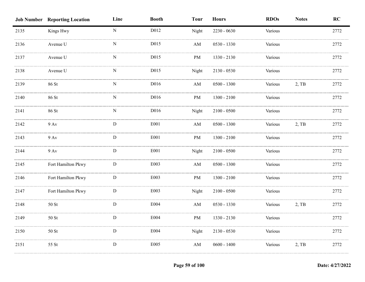|      | <b>Job Number Reporting Location</b> | Line        | <b>Booth</b> | <b>Tour</b>            | <b>Hours</b>  | <b>RDOs</b> | <b>Notes</b> | RC   |
|------|--------------------------------------|-------------|--------------|------------------------|---------------|-------------|--------------|------|
| 2135 | Kings Hwy                            | ${\bf N}$   | D012         | Night                  | $2230 - 0630$ | Various     |              | 2772 |
| 2136 | Avenue U                             | ${\bf N}$   | D015         | AM                     | 0530 - 1330   | Various     |              | 2772 |
| 2137 | Avenue U                             | $\mathbf N$ | D015         | PM                     | 1330 - 2130   | Various     |              | 2772 |
| 2138 | Avenue U                             | N           | D015         | Night                  | $2130 - 0530$ | Various     |              | 2772 |
| 2139 | 86 St                                | ${\bf N}$   | D016         | $\mathbf{A}\mathbf{M}$ | $0500 - 1300$ | Various     | 2, TB        | 2772 |
| 2140 | 86 St                                | ${\bf N}$   | D016         | PM                     | $1300 - 2100$ | Various     |              | 2772 |
| 2141 | 86 St                                | ${\bf N}$   | D016         | Night                  | $2100 - 0500$ | Various     |              | 2772 |
| 2142 | $9 \,\mathrm{Av}$                    | ${\bf D}$   | E001         | $\mathbf{A}\mathbf{M}$ | $0500 - 1300$ | Various     | 2, TB        | 2772 |
| 2143 | $9$ Av                               | ${\bf D}$   | ${\rm E001}$ | PM                     | $1300 - 2100$ | Various     |              | 2772 |
| 2144 | $9$ Av                               | D           | E001         | Night                  | $2100 - 0500$ | Various     |              | 2772 |
| 2145 | Fort Hamilton Pkwy                   | D           | E003         | $\mathbf{A}\mathbf{M}$ | $0500 - 1300$ | Various     |              | 2772 |
| 2146 | Fort Hamilton Pkwy                   | ${\bf D}$   | E003         | PM                     | $1300 - 2100$ | Various     |              | 2772 |
| 2147 | Fort Hamilton Pkwy                   | ${\bf D}$   | E003         | Night                  | $2100 - 0500$ | Various     |              | 2772 |
| 2148 | $50\;\mathrm{St}$                    | ${\bf D}$   | E004         | $\mathbf{A}\mathbf{M}$ | $0530 - 1330$ | Various     | 2, TB        | 2772 |
| 2149 | 50 St                                | ${\bf D}$   | E004         | PM                     | 1330 - 2130   | Various     |              | 2772 |
| 2150 | $50\;\mathrm{St}$                    | ${\bf D}$   | E004         | Night                  | $2130 - 0530$ | Various     |              | 2772 |
| 2151 | 55 St                                | ${\bf D}$   | E005         | AM                     | $0600 - 1400$ | Various     | $2,$ TB      | 2772 |
|      |                                      |             |              |                        |               |             |              |      |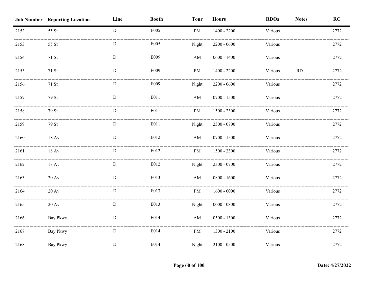|      | <b>Job Number</b> Reporting Location | Line         | <b>Booth</b> | <b>Tour</b>            | <b>Hours</b>  | <b>RDOs</b> | <b>Notes</b> | RC   |
|------|--------------------------------------|--------------|--------------|------------------------|---------------|-------------|--------------|------|
| 2152 | 55 St                                | $\mathbf{D}$ | E005         | PM                     | $1400 - 2200$ | Various     |              | 2772 |
| 2153 | 55 St                                | D            | E005         | Night                  | $2200 - 0600$ | Various     |              | 2772 |
| 2154 | 71 St                                | D            | E009         | AM                     | $0600 - 1400$ | Various     |              | 2772 |
| 2155 | 71 St                                | D            | E009         | PM                     | $1400 - 2200$ | Various     | RD           | 2772 |
| 2156 | 71 St                                | D            | E009         | Night                  | $2200 - 0600$ | Various     |              | 2772 |
| 2157 | 79 St                                | ${\bf D}$    | E011         | $\mathbf{A}\mathbf{M}$ | $0700 - 1500$ | Various     |              | 2772 |
| 2158 | 79 St                                | ${\bf D}$    | E011         | $\rm PM$               | $1500 - 2300$ | Various     |              | 2772 |
| 2159 | 79 St                                | ${\bf D}$    | E011         | Night                  | $2300 - 0700$ | Various     |              | 2772 |
| 2160 | $18 \,\mathrm{Av}$                   | $\mathbf D$  | E012         | AM                     | $0700 - 1500$ | Various     |              | 2772 |
| 2161 | 18 Av                                | D            | E012         | PM                     | $1500 - 2300$ | Various     |              | 2772 |
| 2162 | $18 \text{ Av}$                      | D            | E012         | Night                  | 2300 - 0700   | Various     |              | 2772 |
| 2163 | $20 \,\mathrm{Av}$                   | $\mathbf D$  | E013         | $\mathbf{A}\mathbf{M}$ | $0800 - 1600$ | Various     |              | 2772 |
| 2164 | $20 \ \mathrm{Av}$                   | D            | E013         | PM                     | $1600 - 0000$ | Various     |              | 2772 |
| 2165 | $20 \,\mathrm{Av}$                   | ${\bf D}$    | E013         | Night                  | $0000 - 0800$ | Various     |              | 2772 |
| 2166 | Bay Pkwy                             | $\mathbf D$  | E014         | $\mathbf{A}\mathbf{M}$ | $0500 - 1300$ | Various     |              | 2772 |
| 2167 | <b>Bay Pkwy</b>                      | ${\rm D}$    | E014         | $\rm PM$               | $1300 - 2100$ | Various     |              | 2772 |
| 2168 | Bay Pkwy                             | ${\bf D}$    | E014         | Night                  | $2100 - 0500$ | Various     |              | 2772 |
|      |                                      |              |              |                        |               |             |              |      |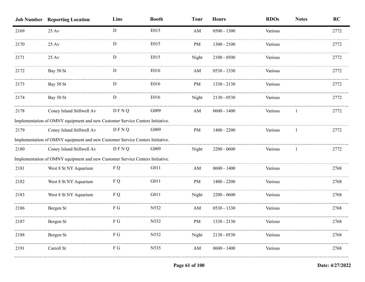|      | <b>Job Number Reporting Location</b>                                          | Line        | <b>Booth</b> | <b>Tour</b>            | <b>Hours</b>  | <b>RDOs</b> | <b>Notes</b> | <b>RC</b> |
|------|-------------------------------------------------------------------------------|-------------|--------------|------------------------|---------------|-------------|--------------|-----------|
| 2169 | 25 Av                                                                         | D           | E015         | AM                     | $0500 - 1300$ | Various     |              | 2772      |
| 2170 | 25 Av                                                                         | D           | E015         | PM                     | $1300 - 2100$ | Various     |              | 2772      |
| 2171 | $25 \mathrm{Av}$                                                              | D           | E015         | Night                  | $2100 - 0500$ | Various     |              | 2772      |
| 2172 | Bay 50 St                                                                     | D           | E016         | $\mathbf{A}\mathbf{M}$ | $0530 - 1330$ | Various     |              | 2772      |
| 2173 | Bay 50 St                                                                     | D           | E016         | PM                     | 1330 - 2130   | Various     |              | 2772      |
| 2174 | Bay 50 St                                                                     | D           | E016         | Night                  | $2130 - 0530$ | Various     |              | 2772      |
| 2178 | Coney Island Stillwell Av                                                     | <b>DFNQ</b> | G009         | AM                     | $0600 - 1400$ | Various     |              | 2772      |
|      | Implementation of OMNY equipment and new Customer Service Centers Initiative. |             |              |                        |               |             |              |           |
| 2179 | Coney Island Stillwell Av                                                     | DFNQ        | G009         | PM                     | $1400 - 2200$ | Various     |              | 2772      |
|      | Implementation of OMNY equipment and new Customer Service Centers Initiative. |             |              |                        |               |             |              |           |
| 2180 | Coney Island Stillwell Av                                                     | <b>DFNQ</b> | G009         | Night                  | $2200 - 0600$ | Various     |              | 2772      |
|      | Implementation of OMNY equipment and new Customer Service Centers Initiative. |             |              |                        |               |             |              |           |
| 2181 | West 8 St NY Aquarium                                                         | F Q         | G011         | $\mathbf{A}\mathbf{M}$ | $0600 - 1400$ | Various     |              | 2768      |
| 2182 | West 8 St NY Aquarium                                                         | F Q         | G011         | PM                     | $1400 - 2200$ | Various     |              | 2768      |
| 2183 | West 8 St NY Aquarium                                                         | F Q         | G011         | Night                  | $2200 - 0600$ | Various     |              | 2768      |
| 2186 | Bergen St                                                                     | F G         | N532         | AM                     | 0530 - 1330   | Various     |              | 2768      |
| 2187 | Bergen St                                                                     | F G         | N532         | PM                     | 1330 - 2130   | Various     |              | 2768      |
| 2188 | Bergen St                                                                     | FG          | N532         | Night                  | $2130 - 0530$ | Various     |              | 2768      |
| 2191 | Carroll St                                                                    | F G         | N535         | AM                     | $0600 - 1400$ | Various     |              | 2768      |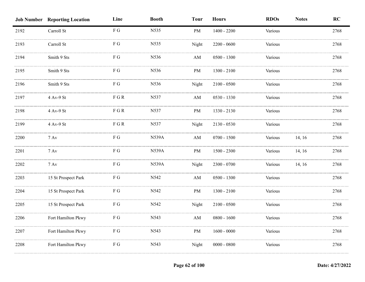|      | <b>Job Number Reporting Location</b> | Line                    | <b>Booth</b> | <b>Tour</b>            | <b>Hours</b>  | <b>RDOs</b> | <b>Notes</b> | RC   |
|------|--------------------------------------|-------------------------|--------------|------------------------|---------------|-------------|--------------|------|
| 2192 | Carroll St                           | F G                     | N535         | PM                     | $1400 - 2200$ | Various     |              | 2768 |
| 2193 | Carroll St                           | ${\mathcal F}$ G        | N535         | Night                  | $2200 - 0600$ | Various     |              | 2768 |
| 2194 | Smith 9 Sts                          | $\mathbf{F} \mathbf{G}$ | N536         | AM                     | $0500 - 1300$ | Various     |              | 2768 |
| 2195 | Smith 9 Sts                          | $\mathbf{F} \mathbf{G}$ | N536         | PM                     | $1300 - 2100$ | Various     |              | 2768 |
| 2196 | Smith 9 Sts                          | ${\mathcal F}$ G        | N536         | Night                  | $2100 - 0500$ | Various     |              | 2768 |
| 2197 | 4 Av-9 St                            | ${\rm F}$ G R           | N537         | $\mathbf{A}\mathbf{M}$ | 0530 - 1330   | Various     |              | 2768 |
| 2198 | $4$ Av-9 $\rm St$                    | ${\rm F}$ G R           | N537         | $\rm PM$               | 1330 - 2130   | Various     |              | 2768 |
| 2199 | 4 Av-9 St                            | ${\rm F}$ G R           | N537         | Night                  | $2130 - 0530$ | Various     |              | 2768 |
| 2200 | $7 \,\mathrm{Av}$                    | F G                     | <b>N539A</b> | $\mathbf{A}\mathbf{M}$ | $0700 - 1500$ | Various     | 14, 16       | 2768 |
| 2201 | $7 \,\mathrm{Av}$                    | F G                     | <b>N539A</b> | PM                     | 1500 - 2300   | Various     | 14, 16       | 2768 |
| 2202 | $7 \,\mathrm{Av}$                    | ${\mathcal F}$ G        | <b>N539A</b> | Night                  | $2300 - 0700$ | Various     | 14, 16       | 2768 |
| 2203 | 15 St Prospect Park                  | $\mathbf{F} \mathbf{G}$ | N542         | AM                     | $0500 - 1300$ | Various     |              | 2768 |
| 2204 | 15 St Prospect Park                  | F G                     | N542         | $\rm PM$               | $1300 - 2100$ | Various     |              | 2768 |
| 2205 | 15 St Prospect Park                  | ${\bf F}$ G             | N542         | Night                  | $2100 - 0500$ | Various     |              | 2768 |
| 2206 | Fort Hamilton Pkwy                   | ${\mathcal F}$ G        | N543         | $\mathbf{A}\mathbf{M}$ | $0800 - 1600$ | Various     |              | 2768 |
| 2207 | Fort Hamilton Pkwy                   | ${\bf F}$ G             | N543         | PM                     | $1600 - 0000$ | Various     |              | 2768 |
| 2208 | Fort Hamilton Pkwy                   | ${\mathcal F}$ G        | N543         | Night                  | $0000 - 0800$ | Various     |              | 2768 |
|      |                                      |                         |              |                        |               |             |              |      |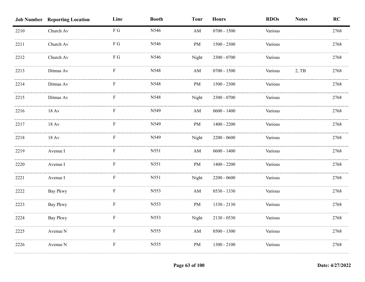|      | <b>Job Number Reporting Location</b> | Line             | <b>Booth</b> | <b>Tour</b>            | <b>Hours</b>  | <b>RDOs</b> | <b>Notes</b> | RC   |
|------|--------------------------------------|------------------|--------------|------------------------|---------------|-------------|--------------|------|
| 2210 | Church Av                            | ${\bf F}$ G      | N546         | $\mathbf{A}\mathbf{M}$ | $0700 - 1500$ | Various     |              | 2768 |
| 2211 | Church Av                            | ${\mathcal F}$ G | N546         | PM                     | $1500 - 2300$ | Various     |              | 2768 |
| 2212 | Church Av                            | F G              | N546         | Night                  | 2300 - 0700   | Various     |              | 2768 |
| 2213 | Ditmas Av                            | F                | N548         | $\mathbf{A}\mathbf{M}$ | $0700 - 1500$ | Various     | 2, TB        | 2768 |
| 2214 | Ditmas Av                            | F                | N548         | PM                     | $1500 - 2300$ | Various     |              | 2768 |
| 2215 | Ditmas Av                            | $\mathbf F$      | N548         | Night                  | $2300 - 0700$ | Various     |              | 2768 |
| 2216 | $18 \,\mathrm{Av}$                   | F                | N549         | AM                     | $0600 - 1400$ | Various     |              | 2768 |
| 2217 | $18 \,\mathrm{Av}$                   | $\mathbf F$      | N549         | PM                     | $1400 - 2200$ | Various     |              | 2768 |
| 2218 | 18 Av                                | F                | N549         | Night                  | $2200 - 0600$ | Various     |              | 2768 |
| 2219 | Avenue I                             | F                | N551         | AM                     | $0600 - 1400$ | Various     |              | 2768 |
| 2220 | Avenue I                             | F                | N551         | PM                     | $1400 - 2200$ | Various     |              | 2768 |
| 2221 | Avenue I                             | F                | N551         | Night                  | $2200 - 0600$ | Various     |              | 2768 |
| 2222 | Bay Pkwy                             | F                | N553         | AM                     | $0530 - 1330$ | Various     |              | 2768 |
| 2223 | <b>Bay Pkwy</b>                      | F                | N553         | PM                     | 1330 - 2130   | Various     |              | 2768 |
| 2224 | Bay Pkwy                             | F                | N553         | Night                  | $2130 - 0530$ | Various     |              | 2768 |
| 2225 | Avenue N                             | ${\bf F}$        | N555         | AM                     | $0500 - 1300$ | Various     |              | 2768 |
| 2226 | Avenue N                             | $\mathbf F$      | N555         | PM                     | $1300 - 2100$ | Various     |              | 2768 |
|      |                                      |                  |              |                        |               |             |              |      |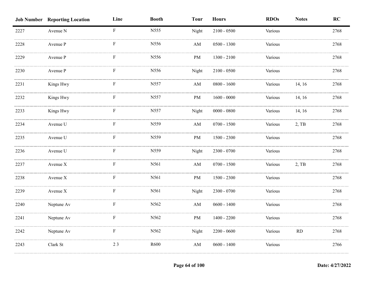|      | <b>Job Number Reporting Location</b> | Line        | <b>Booth</b> | <b>Tour</b>            | <b>Hours</b>  | <b>RDOs</b> | <b>Notes</b> | RC   |
|------|--------------------------------------|-------------|--------------|------------------------|---------------|-------------|--------------|------|
| 2227 | Avenue N                             | $\rm F$     | N555         | Night                  | $2100 - 0500$ | Various     |              | 2768 |
| 2228 | Avenue P                             | F           | N556         | AM                     | $0500 - 1300$ | Various     |              | 2768 |
| 2229 | Avenue P                             | F           | N556         | PM                     | $1300 - 2100$ | Various     |              | 2768 |
| 2230 | Avenue P                             | F           | N556         | Night                  | $2100 - 0500$ | Various     |              | 2768 |
| 2231 | Kings Hwy                            | F           | N557         | $\mathbf{A}\mathbf{M}$ | $0800 - 1600$ | Various     | 14, 16       | 2768 |
| 2232 | Kings Hwy                            | F           | N557         | PM                     | $1600 - 0000$ | Various     | 14, 16       | 2768 |
| 2233 | Kings Hwy                            | $\mathbf F$ | N557         | Night                  | $0000 - 0800$ | Various     | 14, 16       | 2768 |
| 2234 | Avenue U                             | ${\bf F}$   | N559         | $\mathbf{A}\mathbf{M}$ | $0700 - 1500$ | Various     | 2, TB        | 2768 |
| 2235 | Avenue U                             | $\mathbf F$ | N559         | PM                     | $1500 - 2300$ | Various     |              | 2768 |
| 2236 | Avenue U                             | F           | N559         | Night                  | $2300 - 0700$ | Various     |              | 2768 |
| 2237 | Avenue X                             | F           | N561         | AM                     | $0700 - 1500$ | Various     | 2, TB        | 2768 |
| 2238 | Avenue X                             | F           | N561         | PM                     | $1500 - 2300$ | Various     |              | 2768 |
| 2239 | Avenue X                             | F           | N561         | Night                  | 2300 - 0700   | Various     |              | 2768 |
| 2240 | Neptune Av                           | F           | N562         | AM                     | $0600 - 1400$ | Various     |              | 2768 |
| 2241 | Neptune Av                           | F           | N562         | PM                     | $1400 - 2200$ | Various     |              | 2768 |
| 2242 | Neptune Av                           | ${\bf F}$   | N562         | Night                  | $2200 - 0600$ | Various     | $\rm RD$     | 2768 |
| 2243 | Clark St                             | 23          | R600         | AM                     | $0600 - 1400$ | Various     |              | 2766 |
|      |                                      |             |              |                        |               |             |              |      |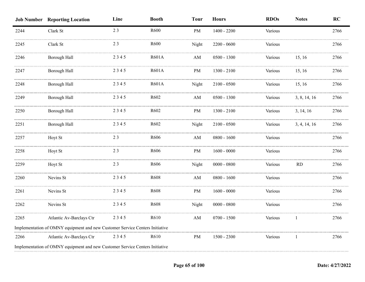|      | <b>Job Number Reporting Location</b>                                         | Line | <b>Booth</b> | <b>Tour</b>            | <b>Hours</b>  | <b>RDOs</b> | <b>Notes</b> | <b>RC</b> |
|------|------------------------------------------------------------------------------|------|--------------|------------------------|---------------|-------------|--------------|-----------|
| 2244 | Clark St                                                                     | 23   | R600         | $\mathbf{PM}$          | $1400 - 2200$ | Various     |              | 2766      |
| 2245 | Clark St                                                                     | 23   | R600         | Night                  | $2200 - 0600$ | Various     |              | 2766      |
| 2246 | Borough Hall                                                                 | 2345 | R601A        | AM                     | $0500 - 1300$ | Various     | 15, 16       | 2766      |
| 2247 | Borough Hall                                                                 | 2345 | R601A        | PM                     | $1300 - 2100$ | Various     | 15, 16       | 2766      |
| 2248 | Borough Hall                                                                 | 2345 | <b>R601A</b> | Night                  | $2100 - 0500$ | Various     | 15, 16       | 2766      |
| 2249 | Borough Hall                                                                 | 2345 | R602         | $\mathbf{A}\mathbf{M}$ | $0500 - 1300$ | Various     | 3, 8, 14, 16 | 2766      |
| 2250 | Borough Hall                                                                 | 2345 | R602         | PM                     | $1300 - 2100$ | Various     | 3, 14, 16    | 2766      |
| 2251 | Borough Hall                                                                 | 2345 | R602         | Night                  | $2100 - 0500$ | Various     | 3, 4, 14, 16 | 2766      |
| 2257 | Hoyt St                                                                      | 23   | R606         | AM                     | $0800 - 1600$ | Various     |              | 2766      |
| 2258 | Hoyt St                                                                      | 23   | R606         | $\mathbf{PM}$          | $1600 - 0000$ | Various     |              | 2766      |
| 2259 | Hoyt St                                                                      | 23   | R606         | Night                  | $0000 - 0800$ | Various     | <b>RD</b>    | 2766      |
| 2260 | Nevins St                                                                    | 2345 | R608         | AM                     | $0800 - 1600$ | Various     |              | 2766      |
| 2261 | Nevins St                                                                    | 2345 | R608         | PM                     | $1600 - 0000$ | Various     |              | 2766      |
| 2262 | Nevins St                                                                    | 2345 | R608         | Night                  | $0000 - 0800$ | Various     |              | 2766      |
| 2265 | Atlantic Av-Barclays Ctr                                                     | 2345 | R610         | $\mathbf{A}\mathbf{M}$ | $0700 - 1500$ | Various     | 1            | 2766      |
|      | Implementation of OMNY equipment and new Customer Service Centers Initiative |      |              |                        |               |             |              |           |
| 2266 | Atlantic Av-Barclays Ctr                                                     | 2345 | R610         | $\mathbf{PM}$          | $1500 - 2300$ | Various     | 1            | 2766      |
|      | Implementation of OMNY equipment and new Customer Service Centers Initiative |      |              |                        |               |             |              |           |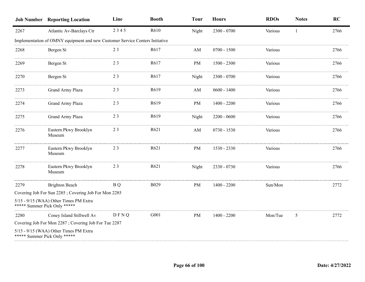|      | <b>Job Number Reporting Location</b>                                         | Line        | <b>Booth</b>      | <b>Tour</b>            | <b>Hours</b>  | <b>RDOs</b> | <b>Notes</b> | <b>RC</b> |
|------|------------------------------------------------------------------------------|-------------|-------------------|------------------------|---------------|-------------|--------------|-----------|
| 2267 | Atlantic Av-Barclays Ctr                                                     | 2345        | R610              | Night                  | 2300 - 0700   | Various     | 1            | 2766      |
|      | Implementation of OMNY equipment and new Customer Service Centers Initiative |             |                   |                        |               |             |              |           |
| 2268 | Bergen St                                                                    | 23          | R617              | AM                     | $0700 - 1500$ | Various     |              | 2766      |
| 2269 | Bergen St                                                                    | 23          | R617              | PM                     | $1500 - 2300$ | Various     |              | 2766      |
| 2270 | Bergen St                                                                    | 23          | R617              | Night                  | $2300 - 0700$ | Various     |              | 2766      |
| 2273 | Grand Army Plaza                                                             | 23          | R <sub>6</sub> 19 | AM                     | $0600 - 1400$ | Various     |              | 2766      |
| 2274 | Grand Army Plaza                                                             | 23          | R <sub>6</sub> 19 | PM                     | $1400 - 2200$ | Various     |              | 2766      |
| 2275 | Grand Army Plaza                                                             | 23          | R619              | Night                  | $2200 - 0600$ | Various     |              | 2766      |
| 2276 | Eastern Pkwy Brooklyn<br>Museum                                              | 23          | R621              | $\mathbf{A}\mathbf{M}$ | $0730 - 1530$ | Various     |              | 2766      |
| 2277 | Eastern Pkwy Brooklyn<br>Museum                                              | 23          | R621              | PM                     | 1530 - 2330   | Various     |              | 2766      |
| 2278 | Eastern Pkwy Brooklyn<br>Museum                                              | 23          | R621              | Night                  | 2330 - 0730   | Various     |              | 2766      |
| 2279 | <b>Brighton Beach</b>                                                        | B Q         | <b>B029</b>       | PM                     | $1400 - 2200$ | Sun/Mon     |              | 2772      |
|      | Covering Job For Sun 2285; Covering Job For Mon 2285                         |             |                   |                        |               |             |              |           |
|      | 5/15 - 9/15 (WAA) Other Times PM Extra<br>***** Summer Pick Only *****       |             |                   |                        |               |             |              |           |
| 2280 | Coney Island Stillwell Av                                                    | <b>DFNQ</b> | G001              | PM                     | $1400 - 2200$ | Mon/Tue     | 5            | 2772      |
|      | Covering Job For Mon 2287; Covering Job For Tue 2287                         |             |                   |                        |               |             |              |           |
|      | 5/15 - 9/15 (WAA) Other Times PM Extra<br>***** Summer Pick Only *****       |             |                   |                        |               |             |              |           |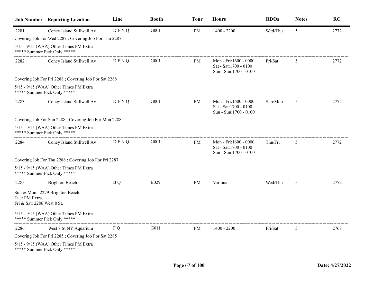|                                              | <b>Job Number Reporting Location</b>                                   | Line        | <b>Booth</b> | <b>Tour</b> | <b>Hours</b>                                                              | <b>RDOs</b> | <b>Notes</b> | RC   |
|----------------------------------------------|------------------------------------------------------------------------|-------------|--------------|-------------|---------------------------------------------------------------------------|-------------|--------------|------|
| 2281                                         | Coney Island Stillwell Av                                              | DFNQ        | G001         | PM          | $1400 - 2200$                                                             | Wed/Thu     | 5            | 2772 |
|                                              | Covering Job For Wed 2287; Covering Job For Thu 2287                   |             |              |             |                                                                           |             |              |      |
|                                              | 5/15 - 9/15 (WAA) Other Times PM Extra<br>***** Summer Pick Only ***** |             |              |             |                                                                           |             |              |      |
| 2282                                         | Coney Island Stillwell Av                                              | DFNQ        | G001         | PM          | Mon - Fri:1600 - 0000<br>Sat - Sat:1700 - 0100<br>Sun - Sun: 1700 - 0100  | Fri/Sat     | 5            | 2772 |
|                                              | Covering Job For Fri 2288; Covering Job For Sat 2288                   |             |              |             |                                                                           |             |              |      |
|                                              | 5/15 - 9/15 (WAA) Other Times PM Extra<br>***** Summer Pick Only ***** |             |              |             |                                                                           |             |              |      |
| 2283                                         | Coney Island Stillwell Av                                              | <b>DFNQ</b> | G001         | PM          | Mon - Fri:1600 - 0000<br>Sat - Sat:1700 - 0100<br>Sun - Sun:1700 - 0100   | Sun/Mon     | 5            | 2772 |
|                                              | Covering Job For Sun 2288; Covering Job For Mon 2288                   |             |              |             |                                                                           |             |              |      |
|                                              | 5/15 - 9/15 (WAA) Other Times PM Extra<br>***** Summer Pick Only ***** |             |              |             |                                                                           |             |              |      |
| 2284                                         | Coney Island Stillwell Av                                              | DFNQ        | G001         | PM          | Mon - Fri:1600 - 0000<br>Sat - Sat: 1700 - 0100<br>Sun - Sun: 1700 - 0100 | Thu/Fri     | 5            | 2772 |
|                                              | Covering Job For Thu 2288; Covering Job For Fri 2287                   |             |              |             |                                                                           |             |              |      |
|                                              | 5/15 - 9/15 (WAA) Other Times PM Extra<br>***** Summer Pick Only ***** |             |              |             |                                                                           |             |              |      |
| 2285                                         | <b>Brighton Beach</b>                                                  | B Q         | <b>B029</b>  | <b>PM</b>   | Various                                                                   | Wed/Thu     | 5            | 2772 |
| Tue: PM Extra.<br>Fri & Sat: 2286 West 8 St. | Sun & Mon: 2279 Brighton Beach.                                        |             |              |             |                                                                           |             |              |      |
|                                              | 5/15 - 9/15 (WAA) Other Times PM Extra<br>***** Summer Pick Only ***** |             |              |             |                                                                           |             |              |      |
| 2286                                         | West 8 St NY Aquarium                                                  | F Q         | G011         | PM          | 1400 - 2200                                                               | Fri/Sat     | 5            | 2768 |
|                                              | Covering Job For Fri 2285; Covering Job For Sat 2285                   |             |              |             |                                                                           |             |              |      |
|                                              | 5/15 - 9/15 (WAA) Other Times PM Extra<br>***** Summer Pick Only ***** |             |              |             |                                                                           |             |              |      |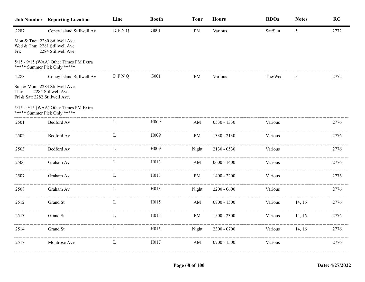|                                        | <b>Job Number Reporting Location</b>                                                                                            | Line | <b>Booth</b>      | <b>Tour</b>            | <b>Hours</b>  | <b>RDOs</b> | <b>Notes</b> | RC   |
|----------------------------------------|---------------------------------------------------------------------------------------------------------------------------------|------|-------------------|------------------------|---------------|-------------|--------------|------|
| 2287                                   | Coney Island Stillwell Av                                                                                                       | DFNQ | G001              | PM                     | Various       | Sat/Sun     | 5            | 2772 |
| Fri:                                   | Mon & Tue: 2280 Stillwell Ave.<br>Wed & Thu: 2281 Stillwell Ave.<br>2284 Stillwell Ave.                                         |      |                   |                        |               |             |              |      |
|                                        | 5/15 - 9/15 (WAA) Other Times PM Extra<br>***** Summer Pick Only *****                                                          |      |                   |                        |               |             |              |      |
| 2288                                   | Coney Island Stillwell Av                                                                                                       | DFNQ | G001              | PM                     | Various       | Tue/Wed     | 5            | 2772 |
| Thu:<br>Fri & Sat: 2282 Stillwell Ave. | Sun & Mon: 2283 Stillwell Ave.<br>2284 Stillwell Ave.<br>5/15 - 9/15 (WAA) Other Times PM Extra<br>***** Summer Pick Only ***** |      |                   |                        |               |             |              |      |
| 2501                                   | Bedford Av                                                                                                                      | L    | H <sub>009</sub>  | AM                     | $0530 - 1330$ | Various     |              | 2776 |
| 2502                                   | Bedford Av                                                                                                                      | L    | H009              | PM                     | 1330 - 2130   | Various     |              | 2776 |
| 2503                                   | Bedford Av                                                                                                                      | L    | H <sub>0</sub> 09 | Night                  | $2130 - 0530$ | Various     |              | 2776 |
| 2506                                   | Graham Av                                                                                                                       | L    | H <sub>0</sub> 13 | AM                     | $0600 - 1400$ | Various     |              | 2776 |
| 2507                                   | Graham Av                                                                                                                       | L    | H <sub>0</sub> 13 | PM                     | $1400 - 2200$ | Various     |              | 2776 |
| 2508                                   | Graham Av                                                                                                                       | L    | H013              | Night                  | $2200 - 0600$ | Various     |              | 2776 |
| 2512                                   | Grand St                                                                                                                        | L    | H <sub>0</sub> 15 | $\mathbf{A}\mathbf{M}$ | $0700 - 1500$ | Various     | 14, 16       | 2776 |
| 2513                                   | Grand St                                                                                                                        | L    | H015              | PM                     | $1500 - 2300$ | Various     | 14, 16       | 2776 |
| 2514                                   | Grand St                                                                                                                        | L    | H015              | Night                  | $2300 - 0700$ | Various     | 14, 16       | 2776 |
| 2518                                   | Montrose Ave                                                                                                                    | L    | H017              | AM                     | $0700 - 1500$ | Various     |              | 2776 |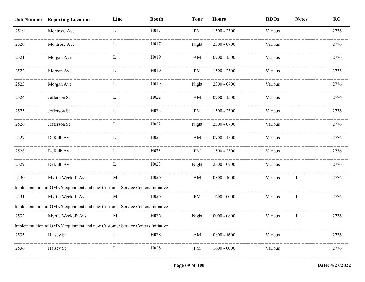|      | <b>Job Number Reporting Location</b>                                         | Line | <b>Booth</b>      | <b>Tour</b> | <b>Hours</b>  | <b>RDOs</b> | <b>Notes</b> | RC   |
|------|------------------------------------------------------------------------------|------|-------------------|-------------|---------------|-------------|--------------|------|
| 2519 | Montrose Ave                                                                 | L    | H017              | PM          | $1500 - 2300$ | Various     |              | 2776 |
| 2520 | Montrose Ave                                                                 | L    | H017              | Night       | $2300 - 0700$ | Various     |              | 2776 |
| 2521 | Morgan Ave                                                                   |      | H <sub>0</sub> 19 | AM          | $0700 - 1500$ | Various     |              | 2776 |
| 2522 | Morgan Ave                                                                   | L    | H019              | PM          | $1500 - 2300$ | Various     |              | 2776 |
| 2523 | Morgan Ave                                                                   | L    | H <sub>0</sub> 19 | Night       | $2300 - 0700$ | Various     |              | 2776 |
| 2524 | Jefferson St                                                                 | L    | H022              | AM          | $0700 - 1500$ | Various     |              | 2776 |
| 2525 | Jefferson St                                                                 |      | H <sub>022</sub>  | PM          | $1500 - 2300$ | Various     |              | 2776 |
| 2526 | Jefferson St                                                                 | L    | H022              | Night       | $2300 - 0700$ | Various     |              | 2776 |
| 2527 | DeKalb Av                                                                    | L    | H <sub>023</sub>  | AM          | $0700 - 1500$ | Various     |              | 2776 |
| 2528 | DeKalb Av                                                                    | L    | H <sub>023</sub>  | PM          | $1500 - 2300$ | Various     |              | 2776 |
| 2529 | DeKalb Av                                                                    | L    | H023              | Night       | $2300 - 0700$ | Various     |              | 2776 |
| 2530 | Myrtle Wyckoff Avs                                                           | M    | H <sub>026</sub>  | AM          | $0800 - 1600$ | Various     |              | 2776 |
|      | Implementation of OMNY equipment and new Customer Service Centers Initiative |      |                   |             |               |             |              |      |
| 2531 | Myrtle Wyckoff Avs                                                           | M    | H026              | PM          | $1600 - 0000$ | Various     | -1           | 2776 |
|      | Implementation of OMNY equipment and new Customer Service Centers Initiative |      |                   |             |               |             |              |      |
| 2532 | Myrtle Wyckoff Avs                                                           | M    | H <sub>026</sub>  | Night       | $0000 - 0800$ | Various     |              | 2776 |
|      | Implementation of OMNY equipment and new Customer Service Centers Initiative |      |                   |             |               |             |              |      |
| 2535 | Halsey St                                                                    |      | H <sub>028</sub>  | AM          | $0800 - 1600$ | Various     |              | 2776 |
| 2536 | Halsey St                                                                    |      | H <sub>028</sub>  | <b>PM</b>   | $1600 - 0000$ | Various     |              | 2776 |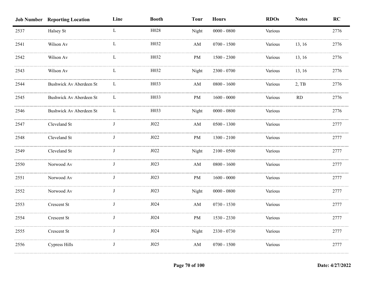|      | <b>Job Number Reporting Location</b> | Line        | <b>Booth</b> | <b>Tour</b>            | <b>Hours</b>  | <b>RDOs</b> | <b>Notes</b> | RC   |
|------|--------------------------------------|-------------|--------------|------------------------|---------------|-------------|--------------|------|
| 2537 | Halsey St                            | $\mathbf L$ | H028         | Night                  | $0000 - 0800$ | Various     |              | 2776 |
| 2541 | Wilson Av                            |             | H032         | $\mathbf{A}\mathbf{M}$ | $0700 - 1500$ | Various     | 13, 16       | 2776 |
| 2542 | Wilson Av                            |             | H032         | PM                     | $1500 - 2300$ | Various     | 13, 16       | 2776 |
| 2543 | Wilson Av                            | L           | H032         | Night                  | 2300 - 0700   | Various     | 13, 16       | 2776 |
| 2544 | Bushwick Av Aberdeen St              | L           | H033         | AM                     | $0800 - 1600$ | Various     | $2,$ TB      | 2776 |
| 2545 | Bushwick Av Aberdeen St              | $\Gamma$    | H033         | PM                     | $1600 - 0000$ | Various     | $\rm RD$     | 2776 |
| 2546 | Bushwick Av Aberdeen St              | L           | H033         | Night                  | $0000 - 0800$ | Various     |              | 2776 |
| 2547 | Cleveland St                         | J           | J022         | $\mathbf{A}\mathbf{M}$ | $0500 - 1300$ | Various     |              | 2777 |
| 2548 | Cleveland St                         | J           | J022         | PM                     | $1300 - 2100$ | Various     |              | 2777 |
| 2549 | Cleveland St                         |             | J022         | Night                  | $2100 - 0500$ | Various     |              | 2777 |
| 2550 | Norwood Av                           |             | J023         | $\mathbf{A}\mathbf{M}$ | $0800 - 1600$ | Various     |              | 2777 |
| 2551 | Norwood Av                           |             | J023         | $\rm PM$               | $1600 - 0000$ | Various     |              | 2777 |
| 2552 | Norwood Av                           |             | J023         | Night                  | $0000 - 0800$ | Various     |              | 2777 |
| 2553 | Crescent St                          |             | J024         | AM                     | $0730 - 1530$ | Various     |              | 2777 |
| 2554 | Crescent St                          | J           | J024         | $\rm PM$               | 1530 - 2330   | Various     |              | 2777 |
| 2555 | Crescent St                          | J           | J024         | Night                  | 2330 - 0730   | Various     |              | 2777 |
| 2556 | Cypress Hills                        | J           | J025         | $\mathbf{A}\mathbf{M}$ | $0700 - 1500$ | Various     |              | 2777 |
|      |                                      |             |              |                        |               |             |              |      |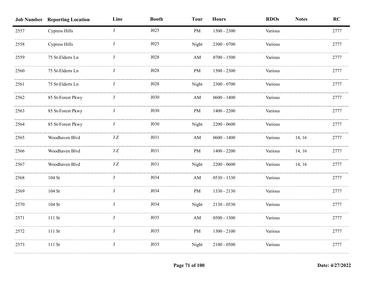|      | <b>Job Number Reporting Location</b> | Line         | <b>Booth</b> | <b>Tour</b>            | <b>Hours</b>  | <b>RDOs</b> | <b>Notes</b> | RC   |
|------|--------------------------------------|--------------|--------------|------------------------|---------------|-------------|--------------|------|
| 2557 | <b>Cypress Hills</b>                 | $\mathbf{J}$ | J025         | PM                     | $1500 - 2300$ | Various     |              | 2777 |
| 2558 | <b>Cypress Hills</b>                 |              | J025         | Night                  | $2300 - 0700$ | Various     |              | 2777 |
| 2559 | 75 St-Elderts Ln                     |              | J028         | AM                     | $0700 - 1500$ | Various     |              | 2777 |
| 2560 | 75 St-Elderts Ln                     |              | J028         | PM                     | $1500 - 2300$ | Various     |              | 2777 |
| 2561 | 75 St-Elderts Ln                     | J            | J028         | Night                  | 2300 - 0700   | Various     |              | 2777 |
| 2562 | 85 St-Forest Pkwy                    | J            | J030         | $\mathbf{A}\mathbf{M}$ | $0600 - 1400$ | Various     |              | 2777 |
| 2563 | 85 St-Forest Pkwy                    | J            | J030         | PM                     | $1400 - 2200$ | Various     |              | 2777 |
| 2564 | 85 St-Forest Pkwy                    | J            | J030         | Night                  | $2200 - 0600$ | Various     |              | 2777 |
| 2565 | Woodhaven Blvd                       | JZ           | J031         | AM                     | $0600 - 1400$ | Various     | 14, 16       | 2777 |
| 2566 | Woodhaven Blvd                       | $\rm J\,Z$   | J031         | PM                     | $1400 - 2200$ | Various     | 14, 16       | 2777 |
| 2567 | Woodhaven Blvd                       | $\rm J~Z$    | J031         | Night                  | $2200 - 0600$ | Various     | 14, 16       | 2777 |
| 2568 | 104 St                               |              | J034         | AM                     | 0530 - 1330   | Various     |              | 2777 |
| 2569 | 104 St                               |              | J034         | PM                     | 1330 - 2130   | Various     |              | 2777 |
| 2570 | 104 St                               |              | J034         | Night                  | $2130 - 0530$ | Various     |              | 2777 |
| 2571 | 111 St                               | J            | J035         | $\mathbf{A}\mathbf{M}$ | $0500 - 1300$ | Various     |              | 2777 |
| 2572 | 111 St                               | J            | J035         | PM                     | $1300 - 2100$ | Various     |              | 2777 |
| 2573 | 111 St                               | J            | J035         | Night                  | $2100 - 0500$ | Various     |              | 2777 |
|      |                                      |              |              |                        |               |             |              |      |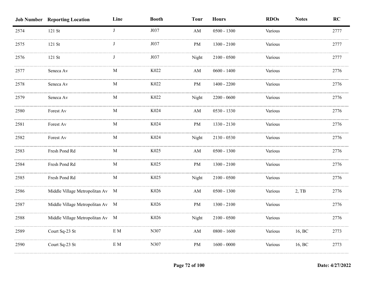|      | <b>Job Number Reporting Location</b> | Line        | <b>Booth</b>     | <b>Tour</b>            | <b>Hours</b>  | <b>RDOs</b> | <b>Notes</b> | RC   |
|------|--------------------------------------|-------------|------------------|------------------------|---------------|-------------|--------------|------|
| 2574 | 121 St                               | J           | J037             | AM                     | $0500 - 1300$ | Various     |              | 2777 |
| 2575 | 121 St                               |             | J037             | PM                     | $1300 - 2100$ | Various     |              | 2777 |
| 2576 | 121 St                               | - 1         | J037             | Night                  | $2100 - 0500$ | Various     |              | 2777 |
| 2577 | Seneca Av                            | M           | K022             | AM                     | $0600 - 1400$ | Various     |              | 2776 |
| 2578 | Seneca Av                            | M           | K022             | PM                     | $1400 - 2200$ | Various     |              | 2776 |
| 2579 | Seneca Av                            | M           | K022             | Night                  | $2200 - 0600$ | Various     |              | 2776 |
| 2580 | Forest Av                            | $\mathbf M$ | K024             | $\mathbf{A}\mathbf{M}$ | $0530 - 1330$ | Various     |              | 2776 |
| 2581 | Forest Av                            | $\mathbf M$ | K024             | PM                     | 1330 - 2130   | Various     |              | 2776 |
| 2582 | Forest Av                            | M           | K024             | Night                  | 2130 - 0530   | Various     |              | 2776 |
| 2583 | Fresh Pond Rd                        | M           | K025             | $\mathbf{A}\mathbf{M}$ | $0500 - 1300$ | Various     |              | 2776 |
| 2584 | Fresh Pond Rd                        | M           | K <sub>025</sub> | PM                     | $1300 - 2100$ | Various     |              | 2776 |
| 2585 | Fresh Pond Rd                        | M           | K025             | Night                  | $2100 - 0500$ | Various     |              | 2776 |
| 2586 | Middle Village Metropolitan Av M     |             | K026             | $\mathbf{A}\mathbf{M}$ | $0500 - 1300$ | Various     | $2,$ TB      | 2776 |
| 2587 | Middle Village Metropolitan Av M     |             | K026             | $\rm PM$               | $1300 - 2100$ | Various     |              | 2776 |
| 2588 | Middle Village Metropolitan Av M     |             | K026             | Night                  | $2100 - 0500$ | Various     |              | 2776 |
| 2589 | Court Sq-23 St                       | $\rm{E}$ M  | N307             | $\mathbf{A}\mathbf{M}$ | $0800 - 1600$ | Various     | 16, BC       | 2773 |
| 2590 | Court Sq-23 St                       | $\rm{E}$ M  | N307             | PM                     | $1600 - 0000$ | Various     | 16, BC       | 2773 |
|      |                                      |             |                  |                        |               |             |              |      |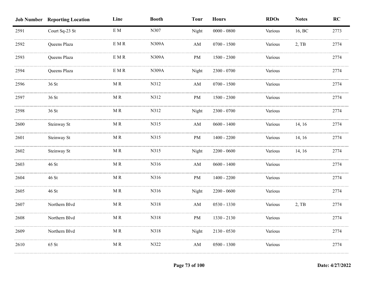|      | <b>Job Number Reporting Location</b> | Line          | <b>Booth</b> | <b>Tour</b>            | <b>Hours</b>  | <b>RDOs</b> | <b>Notes</b> | RC   |
|------|--------------------------------------|---------------|--------------|------------------------|---------------|-------------|--------------|------|
| 2591 | Court Sq-23 St                       | $\rm{E}$ M    | N307         | Night                  | $0000 - 0800$ | Various     | 16, BC       | 2773 |
| 2592 | Queens Plaza                         | $\to M\,R$    | N309A        | AM                     | $0700 - 1500$ | Various     | 2, TB        | 2774 |
| 2593 | Queens Plaza                         | E M R         | <b>N309A</b> | PM                     | $1500 - 2300$ | Various     |              | 2774 |
| 2594 | Queens Plaza                         | $\to M\,R$    | N309A        | Night                  | 2300 - 0700   | Various     |              | 2774 |
| 2596 | 36 St                                | MR            | N312         | AM                     | $0700 - 1500$ | Various     |              | 2774 |
| 2597 | 36 St                                | $\mathbf M$ R | N312         | $\rm PM$               | $1500 - 2300$ | Various     |              | 2774 |
| 2598 | 36 St                                | $\mathbf M$ R | N312         | Night                  | $2300 - 0700$ | Various     |              | 2774 |
| 2600 | Steinway St                          | $\mathbf M$ R | N315         | $\mathbf{A}\mathbf{M}$ | $0600 - 1400$ | Various     | 14, 16       | 2774 |
| 2601 | Steinway St                          | MR            | N315         | PM                     | $1400 - 2200$ | Various     | 14, 16       | 2774 |
| 2602 | Steinway St                          | MR            | N315         | Night                  | $2200 - 0600$ | Various     | 14, 16       | 2774 |
| 2603 | 46 St                                | M R           | N316         | AM                     | $0600 - 1400$ | Various     |              | 2774 |
| 2604 | 46 St                                | M R           | N316         | $\rm PM$               | $1400 - 2200$ | Various     |              | 2774 |
| 2605 | 46 St                                | $\mathbf M$ R | N316         | Night                  | $2200 - 0600$ | Various     |              | 2774 |
| 2607 | Northern Blvd                        | $\mathbf M$ R | N318         | AM                     | 0530 - 1330   | Various     | $2,$ TB      | 2774 |
| 2608 | Northern Blvd                        | $\mathbf M$ R | N318         | $\rm PM$               | 1330 - 2130   | Various     |              | 2774 |
| 2609 | Northern Blvd                        | $\mathbf M$ R | N318         | Night                  | $2130 - 0530$ | Various     |              | 2774 |
| 2610 | 65 St                                | M R           | N322         | $\mathbf{A}\mathbf{M}$ | $0500 - 1300$ | Various     |              | 2774 |
|      |                                      |               |              |                        |               |             |              |      |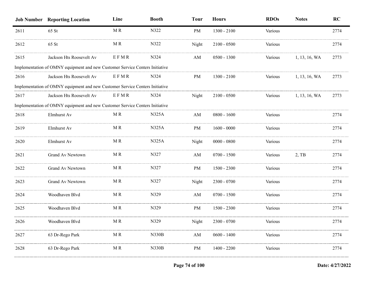|      | <b>Job Number Reporting Location</b>                                         | Line | <b>Booth</b> | <b>Tour</b> | <b>Hours</b>  | <b>RDOs</b> | <b>Notes</b>  | <b>RC</b> |
|------|------------------------------------------------------------------------------|------|--------------|-------------|---------------|-------------|---------------|-----------|
| 2611 | 65 St                                                                        | MR   | N322         | PM          | $1300 - 2100$ | Various     |               | 2774      |
| 2612 | $65$ St                                                                      | MR   | N322         | Night       | $2100 - 0500$ | Various     |               | 2774      |
| 2615 | Jackson Hts Roosevelt Av                                                     | EFMR | N324         | AM          | $0500 - 1300$ | Various     | 1, 13, 16, WA | 2773      |
|      | Implementation of OMNY equipment and new Customer Service Centers Initiative |      |              |             |               |             |               |           |
| 2616 | Jackson Hts Roosevelt Av                                                     | EFMR | N324         | PM          | $1300 - 2100$ | Various     | 1, 13, 16, WA | 2773      |
|      | Implementation of OMNY equipment and new Customer Service Centers Initiative |      |              |             |               |             |               |           |
| 2617 | Jackson Hts Roosevelt Av                                                     | EFMR | N324         | Night       | $2100 - 0500$ | Various     | 1, 13, 16, WA | 2773      |
|      | Implementation of OMNY equipment and new Customer Service Centers Initiative |      |              |             |               |             |               |           |
| 2618 | Elmhurst Av                                                                  | MR   | N325A        | AM          | $0800 - 1600$ | Various     |               | 2774      |
| 2619 | Elmhurst Av                                                                  | MR   | N325A        | PM          | $1600 - 0000$ | Various     |               | 2774      |
| 2620 | Elmhurst Av                                                                  | MR   | N325A        | Night       | $0000 - 0800$ | Various     |               | 2774      |
| 2621 | Grand Av Newtown                                                             | MR   | N327         | AM          | $0700 - 1500$ | Various     | 2, TB         | 2774      |
| 2622 | Grand Av Newtown                                                             | MR   | N327         | PM          | $1500 - 2300$ | Various     |               | 2774      |
| 2623 | Grand Av Newtown                                                             | M R  | N327         | Night       | $2300 - 0700$ | Various     |               | 2774      |
| 2624 | Woodhaven Blvd                                                               | MR   | N329         | AM          | $0700 - 1500$ | Various     |               | 2774      |
| 2625 | Woodhaven Blvd                                                               | M R  | N329         | PM          | $1500 - 2300$ | Various     |               | 2774      |
| 2626 | Woodhaven Blvd                                                               | MR   | N329         | Night       | 2300 - 0700   | Various     |               | 2774      |
| 2627 | 63 Dr-Rego Park                                                              | MR   | N330B        | AM          | $0600 - 1400$ | Various     |               | 2774      |
| 2628 | 63 Dr-Rego Park                                                              | MR   | N330B        | PM          | $1400 - 2200$ | Various     |               | 2774      |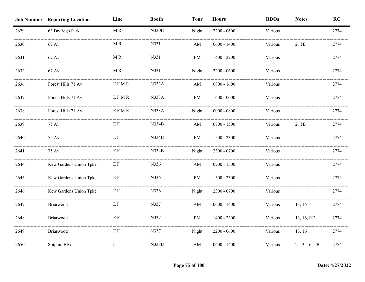|      | <b>Job Number Reporting Location</b> | Line                                          | <b>Booth</b> | <b>Tour</b>            | <b>Hours</b>  | <b>RDOs</b> | <b>Notes</b>  | RC   |
|------|--------------------------------------|-----------------------------------------------|--------------|------------------------|---------------|-------------|---------------|------|
| 2629 | 63 Dr-Rego Park                      | $\mathbf M$ R                                 | <b>N330B</b> | Night                  | $2200 - 0600$ | Various     |               | 2774 |
| 2630 | $67 \text{ Av}$                      | M R                                           | N331         | AM                     | $0600 - 1400$ | Various     | $2,$ TB       | 2774 |
| 2631 | 67 Av                                | M R                                           | N331         | PM                     | $1400 - 2200$ | Various     |               | 2774 |
| 2632 | 67 Av                                | M R                                           | N331         | Night                  | $2200 - 0600$ | Various     |               | 2774 |
| 2636 | Forest Hills 71 Av                   | <b>EFMR</b>                                   | <b>N333A</b> | $\mathbf{A}\mathbf{M}$ | $0800 - 1600$ | Various     |               | 2774 |
| 2637 | Forest Hills 71 Av                   | EFMR                                          | <b>N333A</b> | PM                     | $1600 - 0000$ | Various     |               | 2774 |
| 2638 | Forest Hills 71 Av                   | $\mathbb{E} \mathbb{F} \mathbb{M} \mathbb{R}$ | N333A        | Night                  | $0000 - 0800$ | Various     |               | 2774 |
| 2639 | 75 Av                                | $\to$ F                                       | N334B        | AM                     | $0700 - 1500$ | Various     | 2, TB         | 2774 |
| 2640 | 75 Av                                | $\to$ F                                       | N334B        | PM                     | $1500 - 2300$ | Various     |               | 2774 |
| 2641 | 75 Av                                | E F                                           | <b>N334B</b> | Night                  | $2300 - 0700$ | Various     |               | 2774 |
| 2644 | Kew Gardens Union Tpke               | $\to$ F                                       | N336         | AM                     | $0700 - 1500$ | Various     |               | 2774 |
| 2645 | Kew Gardens Union Tpke               | $\to$ F                                       | N336         | PM                     | $1500 - 2300$ | Various     |               | 2774 |
| 2646 | Kew Gardens Union Tpke               | $\to$ F                                       | N336         | Night                  | 2300 - 0700   | Various     |               | 2774 |
| 2647 | Briarwood                            | E F                                           | N337         | AM                     | $0600 - 1400$ | Various     | 13, 16        | 2774 |
| 2648 | Briarwood                            | $\mathbf{E} \; \mathbf{F}$                    | N337         | $\rm PM$               | $1400 - 2200$ | Various     | 13, 16, RD    | 2774 |
| 2649 | Briarwood                            | E F                                           | N337         | Night                  | $2200 - 0600$ | Various     | 13, 16        | 2774 |
| 2650 | Sutphin Blvd                         | $\mathbf F$                                   | N338B        | AM                     | $0600 - 1400$ | Various     | 2, 13, 16, TB | 2774 |
|      |                                      |                                               |              |                        |               |             |               |      |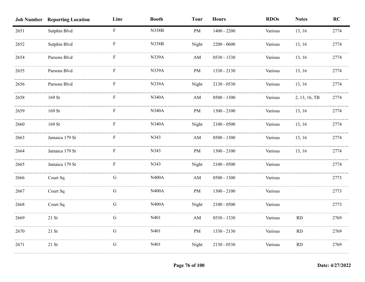|      | <b>Job Number Reporting Location</b> | Line                      | <b>Booth</b> | <b>Tour</b>            | <b>Hours</b>  | <b>RDOs</b> | <b>Notes</b>  | RC   |
|------|--------------------------------------|---------------------------|--------------|------------------------|---------------|-------------|---------------|------|
| 2651 | Sutphin Blvd                         | $\mathbf F$               | <b>N338B</b> | PM                     | $1400 - 2200$ | Various     | 13, 16        | 2774 |
| 2652 | Sutphin Blvd                         |                           | <b>N338B</b> | Night                  | $2200 - 0600$ | Various     | 13, 16        | 2774 |
| 2654 | Parsons Blvd                         | F                         | <b>N339A</b> | AM                     | 0530 - 1330   | Various     | 13, 16        | 2774 |
| 2655 | Parsons Blvd                         |                           | <b>N339A</b> | PM                     | 1330 - 2130   | Various     | 13, 16        | 2774 |
| 2656 | Parsons Blvd                         | F                         | N339A        | Night                  | 2130 - 0530   | Various     | 13, 16        | 2774 |
| 2658 | 169 St                               | $\boldsymbol{\mathrm{F}}$ | <b>N340A</b> | $\mathbf{A}\mathbf{M}$ | $0500 - 1300$ | Various     | 2, 13, 16, TB | 2774 |
| 2659 | 169 St                               | ${\bf F}$                 | N340A        | PM                     | $1300 - 2100$ | Various     | 13, 16        | 2774 |
| 2660 | 169 St                               | ${\bf F}$                 | <b>N340A</b> | Night                  | $2100 - 0500$ | Various     | 13, 16        | 2774 |
| 2663 | Jamaica 179 St                       | F                         | N343         | $\mathbf{A}\mathbf{M}$ | $0500 - 1300$ | Various     | 13, 16        | 2774 |
| 2664 | Jamaica 179 St                       | F                         | N343         | <b>PM</b>              | $1300 - 2100$ | Various     | 13, 16        | 2774 |
| 2665 | Jamaica 179 St                       | F                         | N343         | Night                  | $2100 - 0500$ | Various     |               | 2774 |
| 2666 | Court Sq                             | G                         | <b>N400A</b> | AM                     | $0500 - 1300$ | Various     |               | 2773 |
| 2667 | Court Sq                             | G                         | <b>N400A</b> | PM                     | $1300 - 2100$ | Various     |               | 2773 |
| 2668 | Court Sq                             | G                         | <b>N400A</b> | Night                  | $2100 - 0500$ | Various     |               | 2773 |
| 2669 | $21$ St                              | G                         | N401         | AM                     | 0530 - 1330   | Various     | RD            | 2769 |
| 2670 | $21\;\mathrm{St}$                    | ${\bf G}$                 | N401         | PM                     | 1330 - 2130   | Various     | RD            | 2769 |
| 2671 | $21$ St                              | ${\bf G}$                 | N401         | Night                  | $2130 - 0530$ | Various     | RD            | 2769 |
|      |                                      |                           |              |                        |               |             |               |      |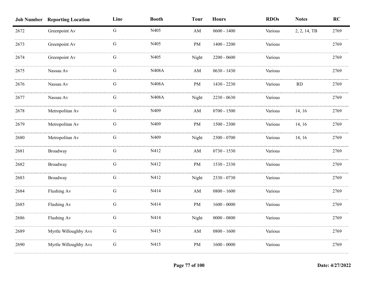|      | <b>Job Number Reporting Location</b> | Line        | <b>Booth</b> | <b>Tour</b> | <b>Hours</b>  | <b>RDOs</b> | <b>Notes</b> | RC   |
|------|--------------------------------------|-------------|--------------|-------------|---------------|-------------|--------------|------|
| 2672 | Greenpoint Av                        | $\mathbf G$ | N405         | AM          | $0600 - 1400$ | Various     | 2, 2, 14, TB | 2769 |
| 2673 | Greenpoint Av                        | G           | N405         | $\rm PM$    | $1400 - 2200$ | Various     |              | 2769 |
| 2674 | Greenpoint Av                        | G           | N405         | Night       | $2200 - 0600$ | Various     |              | 2769 |
| 2675 | Nassau Av                            | G           | <b>N408A</b> | AM          | $0630 - 1430$ | Various     |              | 2769 |
| 2676 | Nassau Av                            | G           | <b>N408A</b> | PM          | 1430 - 2230   | Various     | RD           | 2769 |
| 2677 | Nassau Av                            | ${\bf G}$   | N408A        | Night       | $2230 - 0630$ | Various     |              | 2769 |
| 2678 | Metropolitan Av                      | G           | N409         | AM          | $0700 - 1500$ | Various     | 14, 16       | 2769 |
| 2679 | Metropolitan Av                      | ${\bf G}$   | N409         | PM          | $1500 - 2300$ | Various     | 14, 16       | 2769 |
| 2680 | Metropolitan Av                      | G           | N409         | Night       | 2300 - 0700   | Various     | 14, 16       | 2769 |
| 2681 | Broadway                             | G           | N412         | AM          | $0730 - 1530$ | Various     |              | 2769 |
| 2682 | Broadway                             | G           | N412         | PM          | 1530 - 2330   | Various     |              | 2769 |
| 2683 | Broadway                             | G           | N412         | Night       | 2330 - 0730   | Various     |              | 2769 |
| 2684 | Flushing Av                          | G           | N414         | AM          | $0800 - 1600$ | Various     |              | 2769 |
| 2685 | Flushing Av                          | G           | N414         | PM          | $1600 - 0000$ | Various     |              | 2769 |
| 2686 | Flushing Av                          | ${\bf G}$   | N414         | Night       | $0000 - 0800$ | Various     |              | 2769 |
| 2689 | Myrtle Willoughby Avs                | G           | N415         | AM          | $0800 - 1600$ | Various     |              | 2769 |
| 2690 | Myrtle Willoughby Avs                | ${\bf G}$   | N415         | $\rm PM$    | $1600 - 0000$ | Various     |              | 2769 |
|      |                                      |             |              |             |               |             |              |      |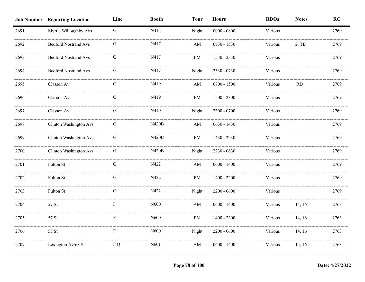|      | <b>Job Number Reporting Location</b> | Line        | <b>Booth</b> | <b>Tour</b> | <b>Hours</b>  | <b>RDOs</b> | <b>Notes</b> | RC   |
|------|--------------------------------------|-------------|--------------|-------------|---------------|-------------|--------------|------|
| 2691 | Myrtle Willoughby Avs                | $\mathbf G$ | N415         | Night       | $0000 - 0800$ | Various     |              | 2769 |
| 2692 | <b>Bedford Nostrand Avs</b>          | G           | N417         | AM          | $0730 - 1530$ | Various     | 2, TB        | 2769 |
| 2693 | <b>Bedford Nostrand Avs</b>          | G           | N417         | $\rm PM$    | 1530 - 2330   | Various     |              | 2769 |
| 2694 | <b>Bedford Nostrand Avs</b>          | G           | N417         | Night       | 2330 - 0730   | Various     |              | 2769 |
| 2695 | Classon Av                           | ${\bf G}$   | N419         | AM          | $0700 - 1500$ | Various     | <b>RD</b>    | 2769 |
| 2696 | Classon Av                           | ${\bf G}$   | N419         | $\rm PM$    | $1500 - 2300$ | Various     |              | 2769 |
| 2697 | Classon Av                           | ${\bf G}$   | N419         | Night       | 2300 - 0700   | Various     |              | 2769 |
| 2698 | Clinton Washington Avs               | ${\bf G}$   | <b>N420B</b> | AM          | $0630 - 1430$ | Various     |              | 2769 |
| 2699 | <b>Clinton Washington Avs</b>        | ${\bf G}$   | <b>N420B</b> | PM          | 1430 - 2230   | Various     |              | 2769 |
| 2700 | <b>Clinton Washington Avs</b>        | ${\bf G}$   | <b>N420B</b> | Night       | 2230 - 0630   | Various     |              | 2769 |
| 2701 | Fulton St                            | G           | N422         | AM          | $0600 - 1400$ | Various     |              | 2769 |
| 2702 | Fulton St                            | G           | N422         | PM          | $1400 - 2200$ | Various     |              | 2769 |
| 2703 | Fulton St                            | G           | N422         | Night       | $2200 - 0600$ | Various     |              | 2769 |
| 2704 | 57 St                                | F           | N600         | AM          | $0600 - 1400$ | Various     | 14, 16       | 2763 |
| 2705 | 57 St                                | F           | N600         | $\rm PM$    | $1400 - 2200$ | Various     | 14, 16       | 2763 |
| 2706 | 57 St                                | ${\bf F}$   | N600         | Night       | $2200 - 0600$ | Various     | 14, 16       | 2763 |
| 2707 | Lexington Av/63 St                   | F Q         | N601         | AM          | $0600 - 1400$ | Various     | 15, 16       | 2763 |
|      |                                      |             |              |             |               |             |              |      |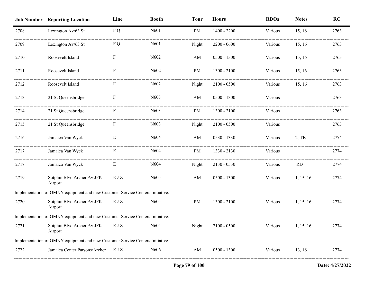|      | <b>Job Number Reporting Location</b>                                          | Line      | <b>Booth</b>      | <b>Tour</b> | <b>Hours</b>  | <b>RDOs</b> | <b>Notes</b> | <b>RC</b> |
|------|-------------------------------------------------------------------------------|-----------|-------------------|-------------|---------------|-------------|--------------|-----------|
| 2708 | Lexington Av/63 St                                                            | F Q       | N601              | PM          | $1400 - 2200$ | Various     | 15, 16       | 2763      |
| 2709 | Lexington Av/63 St                                                            | F Q       | N601              | Night       | $2200 - 0600$ | Various     | 15, 16       | 2763      |
| 2710 | Roosevelt Island                                                              |           | N602              | AM          | $0500 - 1300$ | Various     | 15, 16       | 2763      |
| 2711 | Roosevelt Island                                                              | ${\rm F}$ | N602              | PM          | $1300 - 2100$ | Various     | 15, 16       | 2763      |
| 2712 | Roosevelt Island                                                              | F         | N602              | Night       | $2100 - 0500$ | Various     | 15, 16       | 2763      |
| 2713 | 21 St Queensbridge                                                            | F         | N603              | AM          | $0500 - 1300$ | Various     |              | 2763      |
| 2714 | 21 St Queensbridge                                                            | F         | N <sub>6</sub> 03 | PM          | $1300 - 2100$ | Various     |              | 2763      |
| 2715 | 21 St Queensbridge                                                            | F         | N603              | Night       | $2100 - 0500$ | Various     |              | 2763      |
| 2716 | Jamaica Van Wyck                                                              | E         | N604              | AM          | $0530 - 1330$ | Various     | 2, TB        | 2774      |
| 2717 | Jamaica Van Wyck                                                              | Ε         | N604              | PM          | 1330 - 2130   | Various     |              | 2774      |
| 2718 | Jamaica Van Wyck                                                              | E         | N604              | Night       | $2130 - 0530$ | Various     | RD           | 2774      |
| 2719 | Sutphin Blvd Archer Av JFK<br>Airport                                         | EJZ       | N <sub>6</sub> 05 | AM          | $0500 - 1300$ | Various     | 1, 15, 16    | 2774      |
|      | Implementation of OMNY equipment and new Customer Service Centers Initiative. |           |                   |             |               |             |              |           |
| 2720 | Sutphin Blvd Archer Av JFK<br>Airport                                         | EJZ       | N <sub>6</sub> 05 | PM          | $1300 - 2100$ | Various     | 1, 15, 16    | 2774      |
|      | Implementation of OMNY equipment and new Customer Service Centers Initiative. |           |                   |             |               |             |              |           |
| 2721 | Sutphin Blvd Archer Av JFK<br>Airport                                         | EJZ       | N605              | Night       | $2100 - 0500$ | Various     | 1, 15, 16    | 2774      |
|      | Implementation of OMNY equipment and new Customer Service Centers Initiative. |           |                   |             |               |             |              |           |
| 2722 | Jamaica Center Parsons/Archer                                                 | EJZ       | N606              | AM          | $0500 - 1300$ | Various     | 13, 16       | 2774      |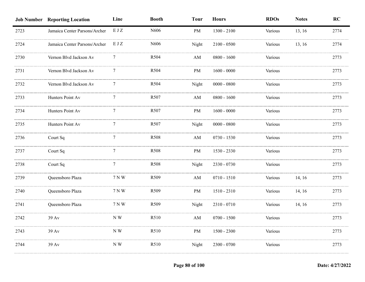|      | <b>Job Number Reporting Location</b> | Line  | <b>Booth</b> | <b>Tour</b>            | <b>Hours</b>  | <b>RDOs</b> | <b>Notes</b> | RC   |
|------|--------------------------------------|-------|--------------|------------------------|---------------|-------------|--------------|------|
| 2723 | Jamaica Center Parsons/Archer        | EJZ   | N606         | PM                     | $1300 - 2100$ | Various     | 13, 16       | 2774 |
| 2724 | Jamaica Center Parsons/Archer        | E J Z | N606         | Night                  | $2100 - 0500$ | Various     | 13, 16       | 2774 |
| 2730 | Vernon Blvd Jackson Av               |       | R504         | AM                     | $0800 - 1600$ | Various     |              | 2773 |
| 2731 | Vernon Blvd Jackson Av               | 7     | R504         | PM                     | $1600 - 0000$ | Various     |              | 2773 |
| 2732 | Vernon Blvd Jackson Av               | 7     | R504         | Night                  | $0000 - 0800$ | Various     |              | 2773 |
| 2733 | Hunters Point Av                     | 7     | R507         | $\mathbf{A}\mathbf{M}$ | $0800 - 1600$ | Various     |              | 2773 |
| 2734 | Hunters Point Av                     | 7     | R507         | PM                     | $1600 - 0000$ | Various     |              | 2773 |
| 2735 | Hunters Point Av                     | 7     | R507         | Night                  | $0000 - 0800$ | Various     |              | 2773 |
| 2736 | Court Sq                             | 7     | R508         | $\mathbf{A}\mathbf{M}$ | $0730 - 1530$ | Various     |              | 2773 |
| 2737 | Court Sq                             | 7     | R508         | PM                     | 1530 - 2330   | Various     |              | 2773 |
| 2738 | Court Sq                             | 7     | R508         | Night                  | 2330 - 0730   | Various     |              | 2773 |
| 2739 | Queensboro Plaza                     | 7 N W | R509         | AM                     | $0710 - 1510$ | Various     | 14, 16       | 2773 |
| 2740 | Queensboro Plaza                     | 7 N W | R509         | <b>PM</b>              | 1510 - 2310   | Various     | 14, 16       | 2773 |
| 2741 | Queensboro Plaza                     | 7 N W | R509         | Night                  | 2310 - 0710   | Various     | 14, 16       | 2773 |
| 2742 | 39 Av                                | N W   | R510         | AM                     | $0700 - 1500$ | Various     |              | 2773 |
| 2743 | 39 Av                                | NW    | R510         | PM                     | $1500 - 2300$ | Various     |              | 2773 |
| 2744 | 39 Av                                | N W   | R510         | Night                  | 2300 - 0700   | Various     |              | 2773 |
|      |                                      |       |              |                        |               |             |              |      |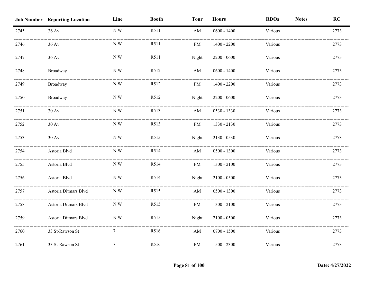|      | <b>Job Number Reporting Location</b> | Line                               | <b>Booth</b>      | <b>Tour</b>            | <b>Hours</b>  | <b>RDOs</b> | <b>Notes</b> | RC   |
|------|--------------------------------------|------------------------------------|-------------------|------------------------|---------------|-------------|--------------|------|
| 2745 | 36 Av                                | NW                                 | R511              | AM                     | $0600 - 1400$ | Various     |              | 2773 |
| 2746 | $36 \,\mathrm{Av}$                   | N W                                | R511              | PM                     | $1400 - 2200$ | Various     |              | 2773 |
| 2747 | 36 Av                                | N W                                | R511              | Night                  | $2200 - 0600$ | Various     |              | 2773 |
| 2748 | Broadway                             | N W                                | R512              | AM                     | $0600 - 1400$ | Various     |              | 2773 |
| 2749 | Broadway                             | $\ensuremath{\mathbf{N}}\xspace$ W | R512              | PM                     | $1400 - 2200$ | Various     |              | 2773 |
| 2750 | Broadway                             | ${\bf N}$ W                        | R512              | Night                  | $2200 - 0600$ | Various     |              | 2773 |
| 2751 | $30\ \mathrm{Av}$                    | ${\rm N}$ W                        | R513              | $\mathbf{A}\mathbf{M}$ | 0530 - 1330   | Various     |              | 2773 |
| 2752 | $30 \,\mathrm{Av}$                   | ${\bf N}$ W                        | R513              | $\rm PM$               | 1330 - 2130   | Various     |              | 2773 |
| 2753 | $30 \,\mathrm{Av}$                   | N W                                | R513              | Night                  | 2130 - 0530   | Various     |              | 2773 |
| 2754 | Astoria Blvd                         | $\ensuremath{\mathbf{N}}\xspace$ W | R514              | AM                     | $0500 - 1300$ | Various     |              | 2773 |
| 2755 | Astoria Blvd                         | N W                                | R <sub>5</sub> 14 | PM                     | $1300 - 2100$ | Various     |              | 2773 |
| 2756 | Astoria Blvd                         | N W                                | R514              | Night                  | $2100 - 0500$ | Various     |              | 2773 |
| 2757 | Astoria Ditmars Blvd                 | NW                                 | R515              | AM                     | $0500 - 1300$ | Various     |              | 2773 |
| 2758 | Astoria Ditmars Blvd                 | NW                                 | R515              | PM                     | $1300 - 2100$ | Various     |              | 2773 |
| 2759 | Astoria Ditmars Blvd                 | N W                                | R515              | Night                  | $2100 - 0500$ | Various     |              | 2773 |
| 2760 | 33 St-Rawson St                      | $\tau$                             | R516              | $\mathbf{A}\mathbf{M}$ | $0700 - 1500$ | Various     |              | 2773 |
| 2761 | 33 St-Rawson St                      | $\tau$                             | R516              | PM                     | $1500 - 2300$ | Various     |              | 2773 |
|      |                                      |                                    |                   |                        |               |             |              |      |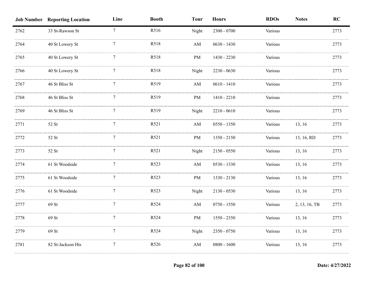|      | <b>Job Number Reporting Location</b> | Line            | <b>Booth</b> | <b>Tour</b> | <b>Hours</b>  | <b>RDOs</b> | <b>Notes</b>  | RC   |
|------|--------------------------------------|-----------------|--------------|-------------|---------------|-------------|---------------|------|
| 2762 | 33 St-Rawson St                      | $7\overline{ }$ | R516         | Night       | $2300 - 0700$ | Various     |               | 2773 |
| 2764 | 40 St Lowery St                      |                 | R518         | AM          | $0630 - 1430$ | Various     |               | 2773 |
| 2765 | 40 St Lowery St                      |                 | R518         | PM          | 1430 - 2230   | Various     |               | 2773 |
| 2766 | 40 St Lowery St                      |                 | R518         | Night       | 2230 - 0630   | Various     |               | 2773 |
| 2767 | 46 St Bliss St                       |                 | R519         | AM          | $0610 - 1410$ | Various     |               | 2773 |
| 2768 | 46 St Bliss St                       | 7               | R519         | PM          | 1410 - 2210   | Various     |               | 2773 |
| 2769 | 46 St Bliss St                       | $\tau$          | R519         | Night       | $2210 - 0610$ | Various     |               | 2773 |
| 2771 | 52 St                                | 7               | R521         | AM          | $0550 - 1350$ | Various     | 13, 16        | 2773 |
| 2772 | 52 St                                | 7               | R521         | PM          | $1350 - 2150$ | Various     | 13, 16, RD    | 2773 |
| 2773 | 52 St                                | 7               | R521         | Night       | $2150 - 0550$ | Various     | 13, 16        | 2773 |
| 2774 | 61 St Woodside                       |                 | R523         | AM          | $0530 - 1330$ | Various     | 13, 16        | 2773 |
| 2775 | 61 St Woodside                       | $\tau$          | R523         | PM          | 1330 - 2130   | Various     | 13, 16        | 2773 |
| 2776 | 61 St Woodside                       |                 | R523         | Night       | $2130 - 0530$ | Various     | 13, 16        | 2773 |
| 2777 | 69 St                                |                 | R524         | AM          | $0750 - 1550$ | Various     | 2, 13, 16, TB | 2773 |
| 2778 | 69 St                                | 7               | R524         | PM          | 1550 - 2350   | Various     | 13, 16        | 2773 |
| 2779 | 69 St                                | 7               | R524         | Night       | 2350 - 0750   | Various     | 13, 16        | 2773 |
| 2781 | 82 St-Jackson Hts                    | $\tau$          | R526         | AM          | $0800 - 1600$ | Various     | 13, 16        | 2773 |
|      |                                      |                 |              |             |               |             |               |      |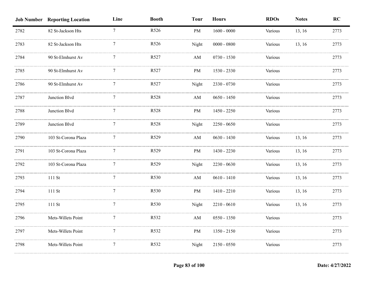|      | <b>Job Number Reporting Location</b> | Line            | <b>Booth</b> | <b>Tour</b>            | <b>Hours</b>  | <b>RDOs</b> | <b>Notes</b> | RC   |
|------|--------------------------------------|-----------------|--------------|------------------------|---------------|-------------|--------------|------|
| 2782 | 82 St-Jackson Hts                    | $7\overline{ }$ | R526         | <b>PM</b>              | $1600 - 0000$ | Various     | 13, 16       | 2773 |
| 2783 | 82 St-Jackson Hts                    |                 | R526         | Night                  | $0000 - 0800$ | Various     | 13, 16       | 2773 |
| 2784 | 90 St-Elmhurst Av                    |                 | R527         | $\mathbf{A}\mathbf{M}$ | $0730 - 1530$ | Various     |              | 2773 |
| 2785 | 90 St-Elmhurst Av                    |                 | R527         | PM                     | 1530 - 2330   | Various     |              | 2773 |
| 2786 | 90 St-Elmhurst Av                    |                 | R527         | Night                  | 2330 - 0730   | Various     |              | 2773 |
| 2787 | Junction Blvd                        | 7               | R528         | AM                     | $0650 - 1450$ | Various     |              | 2773 |
| 2788 | Junction Blvd                        | 7               | R528         | PM                     | 1450 - 2250   | Various     |              | 2773 |
| 2789 | Junction Blvd                        | 7               | R528         | Night                  | $2250 - 0650$ | Various     |              | 2773 |
| 2790 | 103 St-Corona Plaza                  | 7               | R529         | AM                     | $0630 - 1430$ | Various     | 13, 16       | 2773 |
| 2791 | 103 St-Corona Plaza                  | 7               | R529         | <b>PM</b>              | 1430 - 2230   | Various     | 13, 16       | 2773 |
| 2792 | 103 St-Corona Plaza                  | $\tau$          | R529         | Night                  | $2230 - 0630$ | Various     | 13, 16       | 2773 |
| 2793 | 111 St                               |                 | R530         | AM                     | $0610 - 1410$ | Various     | 13, 16       | 2773 |
| 2794 | 111 St                               |                 | R530         | PM                     | 1410 - 2210   | Various     | 13, 16       | 2773 |
| 2795 | 111 St                               | 7               | R530         | Night                  | $2210 - 0610$ | Various     | 13, 16       | 2773 |
| 2796 | Mets-Willets Point                   | $\tau$          | R532         | AM                     | $0550 - 1350$ | Various     |              | 2773 |
| 2797 | Mets-Willets Point                   | 7               | R532         | PM                     | $1350 - 2150$ | Various     |              | 2773 |
| 2798 | Mets-Willets Point                   | 7               | R532         | Night                  | $2150 - 0550$ | Various     |              | 2773 |
|      |                                      |                 |              |                        |               |             |              |      |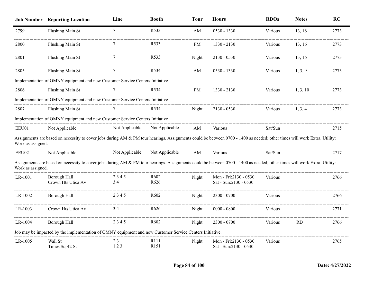|                   | <b>Job Number Reporting Location</b>                                                                                                                                     | Line           | <b>Booth</b>                         | <b>Tour</b> | <b>Hours</b>                                   | <b>RDOs</b> | <b>Notes</b> | <b>RC</b> |
|-------------------|--------------------------------------------------------------------------------------------------------------------------------------------------------------------------|----------------|--------------------------------------|-------------|------------------------------------------------|-------------|--------------|-----------|
| 2799              | Flushing Main St                                                                                                                                                         | $\overline{7}$ | R533                                 | AM          | 0530 - 1330                                    | Various     | 13, 16       | 2773      |
| 2800              | Flushing Main St                                                                                                                                                         | 7              | R <sub>5</sub> 33                    | PM          | 1330 - 2130                                    | Various     | 13, 16       | 2773      |
| 2801              | Flushing Main St                                                                                                                                                         |                | R533                                 | Night       | 2130 - 0530                                    | Various     | 13, 16       | 2773      |
| 2805              | Flushing Main St                                                                                                                                                         |                | R <sub>5</sub> 34                    | AM          | 0530 - 1330                                    | Various     | 1, 3, 9      | 2773      |
|                   | Implementation of OMNY equipment and new Customer Service Centers Initiative                                                                                             |                |                                      |             |                                                |             |              |           |
| 2806              | Flushing Main St                                                                                                                                                         |                | R <sub>5</sub> 34                    | <b>PM</b>   | 1330 - 2130                                    | Various     | 1, 3, 10     | 2773      |
|                   | Implementation of OMNY equipment and new Customer Service Centers Initiative                                                                                             |                |                                      |             |                                                |             |              |           |
| 2807              | Flushing Main St                                                                                                                                                         |                | R <sub>5</sub> 34                    | Night       | 2130 - 0530                                    | Various     | 1, 3, 4      | 2773      |
|                   | Implementation of OMNY equipment and new Customer Service Centers Initiative                                                                                             |                |                                      |             |                                                |             |              |           |
| EEU01             | Not Applicable                                                                                                                                                           | Not Applicable | Not Applicable                       | AM          | Various                                        | Sat/Sun     |              | 2715      |
| Work as assigned. | Assignments are based on necessity to cover jobs during AM & PM tour hearings. Assignments could be between 0700 - 1400 as needed; other times will work Extra. Utility: |                |                                      |             |                                                |             |              |           |
| EEU02             | Not Applicable                                                                                                                                                           | Not Applicable | Not Applicable                       | AM          | Various                                        | Sat/Sun     |              | 2717      |
| Work as assigned. | Assignments are based on necessity to cover jobs during AM & PM tour hearings. Assignments could be between 0700 - 1400 as needed; other times will work Extra. Utility: |                |                                      |             |                                                |             |              |           |
| LR-1001           | Borough Hall<br>Crown Hts Utica Av                                                                                                                                       | 2345<br>34     | R <sub>602</sub><br>R <sub>626</sub> | Night       | Mon - Fri:2130 - 0530<br>Sat - Sun:2130 - 0530 | Various     |              | 2766      |
| LR-1002           | Borough Hall                                                                                                                                                             | 2345           | R <sub>602</sub>                     | Night       | 2300 - 0700                                    | Various     |              | 2766      |
| LR-1003           | Crown Hts Utica Av                                                                                                                                                       | 34             | R <sub>626</sub>                     | Night       | $0000 - 0800$                                  | Various     |              | 2771      |
| LR-1004           | Borough Hall                                                                                                                                                             | 2345           | R <sub>602</sub>                     | Night       | 2300 - 0700                                    | Various     | <b>RD</b>    | 2766      |
|                   | Job may be impacted by the implementation of OMNY equipment and new Customer Service Centers Initiative.                                                                 |                |                                      |             |                                                |             |              |           |
| LR-1005           | Wall St<br>Times Sq-42 St                                                                                                                                                | 23<br>123      | R <sub>111</sub><br>R151             | Night       | Mon - Fri:2130 - 0530<br>Sat - Sun:2130 - 0530 | Various     |              | 2765      |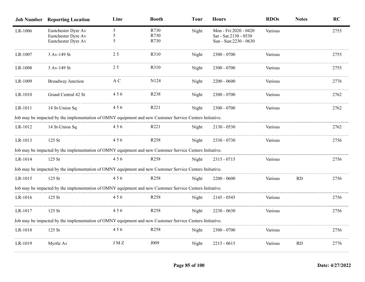|         | <b>Job Number Reporting Location</b>                                                                     | Line        | <b>Booth</b>         | <b>Tour</b> | <b>Hours</b>                                                              | <b>RDOs</b> | <b>Notes</b> | <b>RC</b> |
|---------|----------------------------------------------------------------------------------------------------------|-------------|----------------------|-------------|---------------------------------------------------------------------------|-------------|--------------|-----------|
| LR-1006 | Eastchester Dyre Av<br>Eastchester Dyre Av<br>Eastchester Dyre Av                                        | 5<br>5<br>5 | R730<br>R730<br>R730 | Night       | Mon - Fri: 2020 - 0420<br>Sat - Sat: 2130 - 0530<br>Sun - Sun:2230 - 0630 | Various     |              | 2755      |
| LR-1007 | 3 Av-149 St                                                                                              | 25          | R310                 | Night       | $2300 - 0700$                                                             | Various     |              | 2755      |
| LR-1008 | 3 Av-149 St                                                                                              | 25          | R310                 | Night       | $2300 - 0700$                                                             | Various     |              | 2755      |
| LR-1009 | Broadway Junction                                                                                        | A C         | N124                 | Night       | $2200 - 0600$                                                             | Various     |              | 2776      |
| LR-1010 | Grand Central 42 St                                                                                      | 456         | R238                 | Night       | $2300 - 0700$                                                             | Various     |              | 2762      |
| LR-1011 | 14 St-Union Sq                                                                                           | 456         | R221                 | Night       | 2300 - 0700                                                               | Various     |              | 2762      |
|         | Job may be impacted by the implementation of OMNY equipment and new Customer Service Centers Initiative. |             |                      |             |                                                                           |             |              |           |
| LR-1012 | 14 St-Union Sq                                                                                           | 456         | R <sub>221</sub>     | Night       | $2130 - 0530$                                                             | Various     |              | 2762      |
| LR-1013 | 125 St                                                                                                   | 456         | R <sub>258</sub>     | Night       | 2330 - 0730                                                               | Various     |              | 2756      |
|         | Job may be impacted by the implementation of OMNY equipment and new Customer Service Centers Initiative. |             |                      |             |                                                                           |             |              |           |
| LR-1014 | 125 St                                                                                                   | 456         | R <sub>258</sub>     | Night       | $2315 - 0715$                                                             | Various     |              | 2756      |
|         | Job may be impacted by the implementation of OMNY equipment and new Customer Service Centers Initiative. |             |                      |             |                                                                           |             |              |           |
| LR-1015 | 125 St                                                                                                   | 456         | R258                 | Night       | $2200 - 0600$                                                             | Various     | RD           | 2756      |
|         | Job may be impacted by the implementation of OMNY equipment and new Customer Service Centers Initiative. |             |                      |             |                                                                           |             |              |           |
| LR-1016 | 125 St                                                                                                   | 456         | R <sub>258</sub>     | Night       | $2145 - 0545$                                                             | Various     |              | 2756      |
| LR-1017 | 125 St                                                                                                   | 456         | R <sub>258</sub>     | Night       | 2230 - 0630                                                               | Various     |              | 2756      |
|         | Job may be impacted by the implementation of OMNY equipment and new Customer Service Centers Initiative. |             |                      |             |                                                                           |             |              |           |
| LR-1018 | 125 St                                                                                                   | 456         | R <sub>258</sub>     | Night       | $2300 - 0700$                                                             | Various     |              | 2756      |
| LR-1019 | Myrtle Av                                                                                                | J M Z       | J009                 | Night       | $2215 - 0615$                                                             | Various     | <b>RD</b>    | 2776      |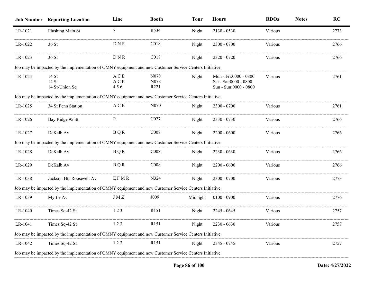|         | <b>Job Number Reporting Location</b>                                                                     | Line                            | <b>Booth</b>         | <b>Tour</b> | <b>Hours</b>                                                            | <b>RDOs</b> | <b>Notes</b> | RC   |
|---------|----------------------------------------------------------------------------------------------------------|---------------------------------|----------------------|-------------|-------------------------------------------------------------------------|-------------|--------------|------|
| LR-1021 | Flushing Main St                                                                                         | $7\overline{ }$                 | R534                 | Night       | $2130 - 0530$                                                           | Various     |              | 2773 |
| LR-1022 | 36 St                                                                                                    | DNR                             | CO18                 | Night       | $2300 - 0700$                                                           | Various     |              | 2766 |
| LR-1023 | 36 St                                                                                                    | DNR                             | C <sub>018</sub>     | Night       | 2320 - 0720                                                             | Various     |              | 2766 |
|         | Job may be impacted by the implementation of OMNY equipment and new Customer Service Centers Initiative. |                                 |                      |             |                                                                         |             |              |      |
| LR-1024 | 14 St<br>14 St<br>14 St-Union Sq                                                                         | A C E<br>A C E<br>456           | N078<br>N078<br>R221 | Night       | Mon - Fri:0000 - 0800<br>Sat - Sat:0000 - 0800<br>Sun - Sun:0000 - 0800 | Various     |              | 2761 |
|         | Job may be impacted by the implementation of OMNY equipment and new Customer Service Centers Initiative. |                                 |                      |             |                                                                         |             |              |      |
| LR-1025 | 34 St Penn Station                                                                                       | $\mathbf A \mathbf C \mathbf E$ | N070                 | Night       | 2300 - 0700                                                             | Various     |              | 2761 |
| LR-1026 | Bay Ridge 95 St                                                                                          | $\mathbf R$                     | C027                 | Night       | 2330 - 0730                                                             | Various     |              | 2766 |
| LR-1027 | DeKalb Av                                                                                                | <b>BQR</b>                      | C <sub>008</sub>     | Night       | $2200 - 0600$                                                           | Various     |              | 2766 |
|         | Job may be impacted by the implementation of OMNY equipment and new Customer Service Centers Initiative. |                                 |                      |             |                                                                         |             |              |      |
| LR-1028 | DeKalb Av                                                                                                | <b>BQR</b>                      | CO <sub>08</sub>     | Night       | 2230 - 0630                                                             | Various     |              | 2766 |
| LR-1029 | DeKalb Av                                                                                                | B Q R                           | C <sub>008</sub>     | Night       | $2200 - 0600$                                                           | Various     |              | 2766 |
| LR-1038 | Jackson Hts Roosevelt Av                                                                                 | EFMR                            | N324                 | Night       | $2300 - 0700$                                                           | Various     |              | 2773 |
|         | Job may be impacted by the implementation of OMNY equipment and new Customer Service Centers Initiative. |                                 |                      |             |                                                                         |             |              |      |
| LR-1039 | Myrtle Av                                                                                                | J M Z                           | J009                 | Midnight    | $0100 - 0900$                                                           | Various     |              | 2776 |
| LR-1040 | Times Sq-42 St                                                                                           | 123                             | R151                 | Night       | 2245 - 0645                                                             | Various     |              | 2757 |
| LR-1041 | Times Sq-42 St                                                                                           | 123                             | R151                 | Night       | $2230 - 0630$                                                           | Various     |              | 2757 |
|         | Job may be impacted by the implementation of OMNY equipment and new Customer Service Centers Initiative. |                                 |                      |             |                                                                         |             |              |      |
| LR-1042 | Times Sq-42 St                                                                                           | 123                             | R <sub>151</sub>     | Night       | 2345 - 0745                                                             | Various     |              | 2757 |
|         | Job may be impacted by the implementation of OMNY equipment and new Customer Service Centers Initiative. |                                 |                      |             |                                                                         |             |              |      |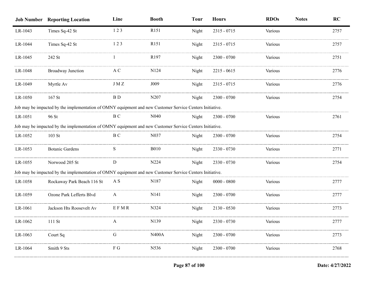|         | <b>Job Number Reporting Location</b>                                                                     | Line         | <b>Booth</b>      | <b>Tour</b> | <b>Hours</b>  | <b>RDOs</b> | <b>Notes</b> | RC   |
|---------|----------------------------------------------------------------------------------------------------------|--------------|-------------------|-------------|---------------|-------------|--------------|------|
| LR-1043 | Times Sq-42 St                                                                                           | 123          | R <sub>151</sub>  | Night       | 2315 - 0715   | Various     |              | 2757 |
| LR-1044 | Times Sq-42 St                                                                                           | 123          | R <sub>151</sub>  | Night       | 2315 - 0715   | Various     |              | 2757 |
| LR-1045 | 242 St                                                                                                   |              | R197              | Night       | $2300 - 0700$ | Various     |              | 2751 |
| LR-1048 | <b>Broadway Junction</b>                                                                                 | A C          | N124              | Night       | $2215 - 0615$ | Various     |              | 2776 |
| LR-1049 | Myrtle Av                                                                                                | J M Z        | J009              | Night       | 2315 - 0715   | Various     |              | 2776 |
| LR-1050 | $167$ St                                                                                                 | B D          | N <sub>2</sub> 07 | Night       | $2300 - 0700$ | Various     |              | 2754 |
|         | Job may be impacted by the implementation of OMNY equipment and new Customer Service Centers Initiative. |              |                   |             |               |             |              |      |
| LR-1051 | 96 St                                                                                                    | B C          | N <sub>040</sub>  | Night       | $2300 - 0700$ | Various     |              | 2761 |
|         | Job may be impacted by the implementation of OMNY equipment and new Customer Service Centers Initiative. |              |                   |             |               |             |              |      |
| LR-1052 | $103$ St                                                                                                 | B C          | N037              | Night       | $2300 - 0700$ | Various     |              | 2754 |
| LR-1053 | <b>Botanic Gardens</b>                                                                                   | S            | <b>B010</b>       | Night       | $2330 - 0730$ | Various     |              | 2771 |
| LR-1055 | Norwood 205 St                                                                                           | D            | N224              | Night       | 2330 - 0730   | Various     |              | 2754 |
|         | Job may be impacted by the implementation of OMNY equipment and new Customer Service Centers Initiative. |              |                   |             |               |             |              |      |
| LR-1058 | Rockaway Park Beach 116 St                                                                               | A S          | N187              | Night       | $0000 - 0800$ | Various     |              | 2777 |
| LR-1059 | Ozone Park Lefferts Blvd                                                                                 | $\mathbf{A}$ | N <sub>141</sub>  | Night       | 2300 - 0700   | Various     |              | 2777 |
| LR-1061 | Jackson Hts Roosevelt Av                                                                                 | EFMR         | N324              | Night       | $2130 - 0530$ | Various     |              | 2773 |
| LR-1062 | 111 St                                                                                                   |              | N <sub>1</sub> 39 | Night       | 2330 - 0730   | Various     |              | 2777 |
| LR-1063 | Court Sq                                                                                                 | G            | <b>N400A</b>      | Night       | 2300 - 0700   | Various     |              | 2773 |
| LR-1064 | Smith 9 Sts                                                                                              | F G          | N536              | Night       | $2300 - 0700$ | Various     |              | 2768 |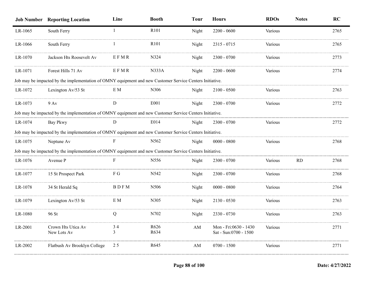|         | <b>Job Number Reporting Location</b>                                                                     | Line        | <b>Booth</b>     | <b>Tour</b> | <b>Hours</b>                                   | <b>RDOs</b> | <b>Notes</b> | RC   |
|---------|----------------------------------------------------------------------------------------------------------|-------------|------------------|-------------|------------------------------------------------|-------------|--------------|------|
| LR-1065 | South Ferry                                                                                              | -1          | R <sub>101</sub> | Night       | $2200 - 0600$                                  | Various     |              | 2765 |
| LR-1066 | South Ferry                                                                                              |             | R101             | Night       | 2315 - 0715                                    | Various     |              | 2765 |
| LR-1070 | Jackson Hts Roosevelt Av                                                                                 | EFMR        | N324             | Night       | 2300 - 0700                                    | Various     |              | 2773 |
| LR-1071 | Forest Hills 71 Av                                                                                       | EFMR        | <b>N333A</b>     | Night       | 2200 - 0600                                    | Various     |              | 2774 |
|         | Job may be impacted by the implementation of OMNY equipment and new Customer Service Centers Initiative. |             |                  |             |                                                |             |              |      |
| LR-1072 | Lexington Av/53 St                                                                                       | E M         | N306             | Night       | $2100 - 0500$                                  | Various     |              | 2763 |
| LR-1073 | $9$ Av                                                                                                   | D           | E001             | Night       | $2300 - 0700$                                  | Various     |              | 2772 |
|         | Job may be impacted by the implementation of OMNY equipment and new Customer Service Centers Initiative. |             |                  |             |                                                |             |              |      |
| LR-1074 | Bay Pkwy                                                                                                 | D           | E014             | Night       | $2300 - 0700$                                  | Various     |              | 2772 |
|         | Job may be impacted by the implementation of OMNY equipment and new Customer Service Centers Initiative. |             |                  |             |                                                |             |              |      |
| LR-1075 | Neptune Av                                                                                               | F           | N <sub>562</sub> | Night       | $0000 - 0800$                                  | Various     |              | 2768 |
|         | Job may be impacted by the implementation of OMNY equipment and new Customer Service Centers Initiative. |             |                  |             |                                                |             |              |      |
| LR-1076 | Avenue P                                                                                                 | F           | N <sub>556</sub> | Night       | $2300 - 0700$                                  | Various     | <b>RD</b>    | 2768 |
| LR-1077 | 15 St Prospect Park                                                                                      | F G         | N542             | Night       | $2300 - 0700$                                  | Various     |              | 2768 |
| LR-1078 | 34 St Herald Sq                                                                                          | <b>BDFM</b> | N506             | Night       | $0000 - 0800$                                  | Various     |              | 2764 |
| LR-1079 | Lexington Av/53 St                                                                                       | E M         | N305             | Night       | 2130 - 0530                                    | Various     |              | 2763 |
| LR-1080 | 96 St                                                                                                    | Q           | N702             | Night       | 2330 - 0730                                    | Various     |              | 2763 |
| LR-2001 | Crown Hts Utica Av<br>New Lots Av                                                                        | 34<br>3     | R626<br>R634     | AM          | Mon - Fri:0630 - 1430<br>Sat - Sun:0700 - 1500 | Various     |              | 2771 |
| LR-2002 | Flatbush Av Brooklyn College                                                                             | 25          | R645             | AM          | $0700 - 1500$                                  | Various     |              | 2771 |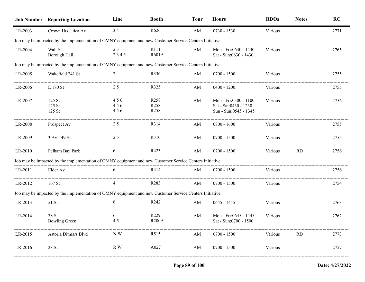|         | <b>Job Number Reporting Location</b>                                                                     | Line              | <b>Booth</b>                                 | <b>Tour</b> | <b>Hours</b>                                                            | <b>RDOs</b>    | <b>Notes</b> | RC   |
|---------|----------------------------------------------------------------------------------------------------------|-------------------|----------------------------------------------|-------------|-------------------------------------------------------------------------|----------------|--------------|------|
| LR-2003 | Crown Hts Utica Av                                                                                       | 34                | R626                                         | AM          | $0730 - 1530$                                                           | Various        |              | 2771 |
|         | Job may be impacted by the implementation of OMNY equipment and new Customer Service Centers Initiative. |                   |                                              |             |                                                                         |                |              |      |
| LR-2004 | Wall St<br>Borough Hall                                                                                  | 23<br>2345        | R <sub>111</sub><br><b>R601A</b>             | AM          | Mon - Fri:0630 - 1430<br>Sat - Sun:0630 - 1430                          | Various        |              | 2765 |
|         | Job may be impacted by the implementation of OMNY equipment and new Customer Service Centers Initiative. |                   |                                              |             |                                                                         |                |              |      |
| LR-2005 | Wakefield 241 St                                                                                         |                   | R336                                         | AM          | $0700 - 1500$                                                           | Various        |              | 2755 |
| LR-2006 | E 180 St                                                                                                 | 25                | R325                                         | AM          | $0400 - 1200$                                                           | Various        |              | 2755 |
| LR-2007 | $125$ St<br>125 St<br>125 St                                                                             | 456<br>456<br>456 | R <sub>258</sub><br>R <sub>258</sub><br>R258 | AM          | Mon - Fri:0300 - 1100<br>Sat - Sat:0430 - 1230<br>Sun - Sun:0545 - 1345 | Various        |              | 2756 |
| LR-2008 | Prospect Av                                                                                              | 25                | R314                                         | AM          | $0800 - 1600$                                                           | Various        |              | 2755 |
| LR-2009 | 3 Av-149 St                                                                                              | 25                | R310                                         | AM          | $0700 - 1500$                                                           | <b>Various</b> |              | 2755 |
| LR-2010 | Pelham Bay Park                                                                                          | 6                 | R423                                         | AM          | $0700 - 1500$                                                           | Various        | <b>RD</b>    | 2756 |
|         | Job may be impacted by the implementation of OMNY equipment and new Customer Service Centers Initiative. |                   |                                              |             |                                                                         |                |              |      |
| LR-2011 | Elder Av                                                                                                 | 6                 | R414                                         | AM          | $0700 - 1500$                                                           | Various        |              | 2756 |
| LR-2012 | $167$ St                                                                                                 |                   | R <sub>283</sub>                             | AM          | $0700 - 1500$                                                           | Various        |              | 2754 |
|         | Job may be impacted by the implementation of OMNY equipment and new Customer Service Centers Initiative. |                   |                                              |             |                                                                         |                |              |      |
| LR-2013 | 51 St                                                                                                    | 6                 | R <sub>242</sub>                             | AM          | $0645 - 1445$                                                           | Various        |              | 2763 |
| LR-2014 | $28$ St<br><b>Bowling Green</b>                                                                          | 6<br>45           | R <sub>229</sub><br><b>R200A</b>             | AM          | Mon - Fri:0645 - 1445<br>Sat - Sun:0700 - 1500                          | Various        |              | 2762 |
| LR-2015 | Astoria Ditmars Blvd                                                                                     | N W               | R <sub>5</sub> 15                            | AM          | $0700 - 1500$                                                           | Various        | RD           | 2773 |
| LR-2016 | 28St                                                                                                     | R W               | A027                                         | AM          | $0700 - 1500$                                                           | Various        |              | 2757 |
|         |                                                                                                          |                   |                                              |             |                                                                         |                |              |      |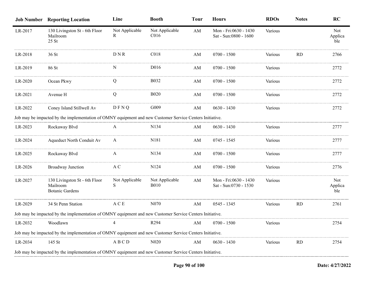|         | <b>Job Number Reporting Location</b>                                                                     | Line                 | <b>Booth</b>                       | <b>Tour</b> | <b>Hours</b>                                   | <b>RDOs</b> | <b>Notes</b> | <b>RC</b>                    |
|---------|----------------------------------------------------------------------------------------------------------|----------------------|------------------------------------|-------------|------------------------------------------------|-------------|--------------|------------------------------|
| LR-2017 | 130 Livingston St - 6th Floor<br>Mailroom<br>$25$ St                                                     | Not Applicable<br>R  | Not Applicable<br>C <sub>016</sub> | AM          | Mon - Fri:0630 - 1430<br>Sat - Sun:0800 - 1600 | Various     |              | Not<br>Applica<br>ble        |
| LR-2018 | 36 St                                                                                                    | $D N R$              | C018                               | AM          | $0700 - 1500$                                  | Various     | <b>RD</b>    | 2766                         |
| LR-2019 | 86 St                                                                                                    | N                    | D <sub>016</sub>                   | AM          | $0700 - 1500$                                  | Various     |              | 2772                         |
| LR-2020 | Ocean Pkwy                                                                                               | Q                    | <b>B032</b>                        | AM          | $0700 - 1500$                                  | Various     |              | 2772                         |
| LR-2021 | Avenue H                                                                                                 | $\mathbf Q$          | <b>B020</b>                        | AM          | $0700 - 1500$                                  | Various     |              | 2772                         |
| LR-2022 | Coney Island Stillwell Av                                                                                | DFNQ                 | G009                               | AM          | $0630 - 1430$                                  | Various     |              | 2772                         |
|         | Job may be impacted by the implementation of OMNY equipment and new Customer Service Centers Initiative. |                      |                                    |             |                                                |             |              |                              |
| LR-2023 | Rockaway Blvd                                                                                            | A                    | N <sub>1</sub> 34                  | AM          | $0630 - 1430$                                  | Various     |              | 2777                         |
| LR-2024 | Aqueduct North Conduit Av                                                                                | A                    | N181                               | AM          | 0745 - 1545                                    | Various     |              | 2777                         |
| LR-2025 | Rockaway Blvd                                                                                            | A                    | N134                               | AM          | $0700 - 1500$                                  | Various     |              | 2777                         |
| LR-2026 | <b>Broadway Junction</b>                                                                                 | A C                  | N124                               | AM          | $0700 - 1500$                                  | Various     |              | 2776                         |
| LR-2027 | 130 Livingston St - 6th Floor<br>Mailroom<br><b>Botanic Gardens</b>                                      | Not Applicable<br>S. | Not Applicable<br><b>B010</b>      | AM          | Mon - Fri:0630 - 1430<br>Sat - Sun:0730 - 1530 | Various     |              | <b>Not</b><br>Applica<br>ble |
| LR-2029 | 34 St Penn Station                                                                                       | A C E                | N <sub>0</sub> 70                  | AM          | $0545 - 1345$                                  | Various     | <b>RD</b>    | 2761                         |
|         | Job may be impacted by the implementation of OMNY equipment and new Customer Service Centers Initiative. |                      |                                    |             |                                                |             |              |                              |
| LR-2032 | Woodlawn                                                                                                 | $\overline{4}$       | R <sub>294</sub>                   | AM          | $0700 - 1500$                                  | Various     |              | 2754                         |
|         | Job may be impacted by the implementation of OMNY equipment and new Customer Service Centers Initiative. |                      |                                    |             |                                                |             |              |                              |
| LR-2034 | 145 St                                                                                                   | ABCD                 | N <sub>0</sub> 20                  | AM          | $0630 - 1430$                                  | Various     | <b>RD</b>    | 2754                         |
|         | Job may be impacted by the implementation of OMNY equipment and new Customer Service Centers Initiative. |                      |                                    |             |                                                |             |              |                              |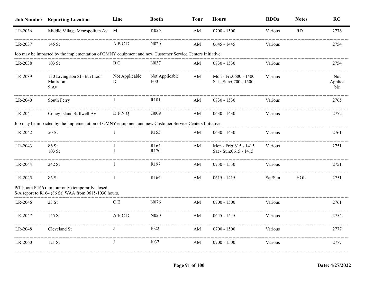|         | <b>Job Number</b> Reporting Location                                                                      | Line                | <b>Booth</b>           | <b>Tour</b> | <b>Hours</b>                                   | <b>RDOs</b> | <b>Notes</b> | RC                    |
|---------|-----------------------------------------------------------------------------------------------------------|---------------------|------------------------|-------------|------------------------------------------------|-------------|--------------|-----------------------|
| LR-2036 | Middle Village Metropolitan Av M                                                                          |                     | K026                   | AM          | $0700 - 1500$                                  | Various     | <b>RD</b>    | 2776                  |
| LR-2037 | 145 St                                                                                                    | ABCD                | N <sub>020</sub>       | AM          | $0645 - 1445$                                  | Various     |              | 2754                  |
|         | Job may be impacted by the implementation of OMNY equipment and new Customer Service Centers Initiative.  |                     |                        |             |                                                |             |              |                       |
| LR-2038 | $103$ St                                                                                                  | ВC                  | N <sub>0</sub> 37      | AM          | $0730 - 1530$                                  | Various     |              | 2754                  |
| LR-2039 | 130 Livingston St - 6th Floor<br>Mailroom<br>$9$ Av                                                       | Not Applicable<br>D | Not Applicable<br>E001 | AM          | Mon - Fri:0600 - 1400<br>Sat - Sun:0700 - 1500 | Various     |              | Not<br>Applica<br>ble |
| LR-2040 | South Ferry                                                                                               |                     | R101                   | AM          | $0730 - 1530$                                  | Various     |              | 2765                  |
| LR-2041 | Coney Island Stillwell Av                                                                                 | DFNQ                | G009                   | AM          | $0630 - 1430$                                  | Various     |              | 2772                  |
|         | Job may be impacted by the implementation of OMNY equipment and new Customer Service Centers Initiative.  |                     |                        |             |                                                |             |              |                       |
| LR-2042 | 50 St                                                                                                     |                     | R <sub>155</sub>       | AM          | $0630 - 1430$                                  | Various     |              | 2761                  |
| LR-2043 | 86 St<br>103 St                                                                                           |                     | R164<br>R170           | AM          | Mon - Fri:0615 - 1415<br>Sat - Sun:0615 - 1415 | Various     |              | 2751                  |
| LR-2044 | 242 St                                                                                                    |                     | R197                   | AM          | 0730 - 1530                                    | Various     |              | 2751                  |
| LR-2045 | 86 St                                                                                                     |                     | R164                   | AM          | $0615 - 1415$                                  | Sat/Sun     | HOL          | 2751                  |
|         | P/T booth R166 (am tour only) temporarily closed.<br>S/A report to R164 (86 St) WAA from 0615-1030 hours. |                     |                        |             |                                                |             |              |                       |
| LR-2046 | 23 St                                                                                                     | CЕ                  | N076                   | AM          | $0700 - 1500$                                  | Various     |              | 2761                  |
| LR-2047 | 145 St                                                                                                    | ABCD                | N <sub>0</sub> 20      | AM          | $0645 - 1445$                                  | Various     |              | 2754                  |
| LR-2048 | Cleveland St                                                                                              | J                   | J022                   | AM          | $0700 - 1500$                                  | Various     |              | 2777                  |
| LR-2060 | 121 St                                                                                                    | J                   | J037                   | AM          | $0700 - 1500$                                  | Various     |              | 2777                  |
|         |                                                                                                           |                     |                        |             |                                                |             |              |                       |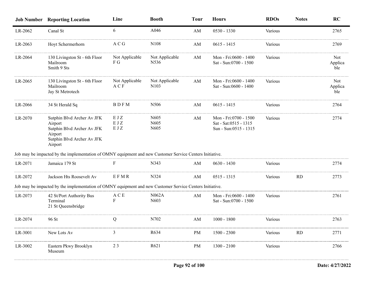|         | <b>Job Number Reporting Location</b>                                                                                    | Line                    | <b>Booth</b>                                                | <b>Tour</b> | <b>Hours</b>                                                            | <b>RDOs</b> | <b>Notes</b> | <b>RC</b>             |
|---------|-------------------------------------------------------------------------------------------------------------------------|-------------------------|-------------------------------------------------------------|-------------|-------------------------------------------------------------------------|-------------|--------------|-----------------------|
| LR-2062 | Canal St                                                                                                                | 6                       | A046                                                        | AM          | $0530 - 1330$                                                           | Various     |              | 2765                  |
| LR-2063 | Hoyt Schermerhorn                                                                                                       | A C G                   | N <sub>108</sub>                                            | AM          | $0615 - 1415$                                                           | Various     |              | 2769                  |
| LR-2064 | 130 Livingston St - 6th Floor<br>Mailroom<br>Smith 9 Sts                                                                | Not Applicable<br>F G   | Not Applicable<br>N536                                      | AM          | Mon - Fri:0600 - 1400<br>Sat - Sun:0700 - 1500                          | Various     |              | Not<br>Applica<br>ble |
| LR-2065 | 130 Livingston St - 6th Floor<br>Mailroom<br>Jay St Metrotech                                                           | Not Applicable<br>A C F | Not Applicable<br>N <sub>10</sub> 3                         | AM          | Mon - Fri:0600 - 1400<br>Sat - Sun:0600 - 1400                          | Various     |              | Not<br>Applica<br>ble |
| LR-2066 | 34 St Herald Sq                                                                                                         | BDFM                    | N506                                                        | AM          | $0615 - 1415$                                                           | Various     |              | 2764                  |
| LR-2070 | Sutphin Blvd Archer Av JFK<br>Airport<br>Sutphin Blvd Archer Av JFK<br>Airport<br>Sutphin Blvd Archer Av JFK<br>Airport | EJZ<br>EJZ<br>EJZ       | N <sub>6</sub> 05<br>N <sub>6</sub> 05<br>N <sub>6</sub> 05 | AM          | Mon - Fri:0700 - 1500<br>Sat - Sat:0515 - 1315<br>Sun - Sun:0515 - 1315 | Various     |              | 2774                  |
|         | Job may be impacted by the implementation of OMNY equipment and new Customer Service Centers Initiative.                |                         |                                                             |             |                                                                         |             |              |                       |
| LR-2071 | Jamaica 179 St                                                                                                          | F                       | N343                                                        | AM          | $0630 - 1430$                                                           | Various     |              | 2774                  |
| LR-2072 | Jackson Hts Roosevelt Av                                                                                                | EFMR                    | N324                                                        | AM          | $0515 - 1315$                                                           | Various     | <b>RD</b>    | 2773                  |
|         | Job may be impacted by the implementation of OMNY equipment and new Customer Service Centers Initiative.                |                         |                                                             |             |                                                                         |             |              |                       |
| LR-2073 | 42 St/Port Authority Bus<br>Terminal<br>21 St Queensbridge                                                              | A C E                   | N062A<br>N603                                               | AM          | Mon - Fri:0600 - 1400<br>Sat - Sun:0700 - 1500                          | Various     |              | 2761                  |
| LR-2074 | 96 St                                                                                                                   | Q                       | N702                                                        | AM          | $1000 - 1800$                                                           | Various     |              | 2763                  |
| LR-3001 | New Lots Av                                                                                                             |                         | R634                                                        | PМ          | $1500 - 2300$                                                           | Various     | RD           | 2771                  |
| LR-3002 | Eastern Pkwy Brooklyn<br>Museum                                                                                         | 23                      | R621                                                        | PM          | $1300 - 2100$                                                           | Various     |              | 2766                  |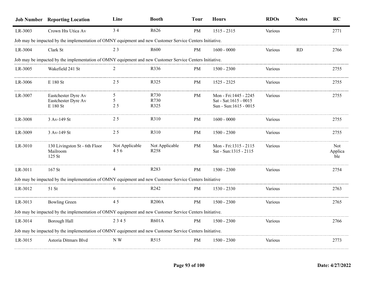|         | <b>Job Number Reporting Location</b>                                                                     | Line                  | <b>Booth</b>                       | <b>Tour</b> | <b>Hours</b>                                                             | <b>RDOs</b> | <b>Notes</b> | RC                    |
|---------|----------------------------------------------------------------------------------------------------------|-----------------------|------------------------------------|-------------|--------------------------------------------------------------------------|-------------|--------------|-----------------------|
| LR-3003 | Crown Hts Utica Av                                                                                       | 34                    | R626                               | <b>PM</b>   | $1515 - 2315$                                                            | Various     |              | 2771                  |
|         | Job may be impacted by the implementation of OMNY equipment and new Customer Service Centers Initiative. |                       |                                    |             |                                                                          |             |              |                       |
| LR-3004 | Clark St                                                                                                 | 23                    | R <sub>600</sub>                   | PM          | $1600 - 0000$                                                            | Various     | RD           | 2766                  |
|         | Job may be impacted by the implementation of OMNY equipment and new Customer Service Centers Initiative. |                       |                                    |             |                                                                          |             |              |                       |
| LR-3005 | Wakefield 241 St                                                                                         | 2                     | R336                               | PM          | $1500 - 2300$                                                            | Various     |              | 2755                  |
| LR-3006 | E 180 St                                                                                                 | 2.5                   | R325                               | PM          | 1525 - 2325                                                              | Various     |              | 2755                  |
| LR-3007 | Eastchester Dyre Av<br>Eastchester Dyre Av<br>$\to$ 180 St                                               | 5<br>5<br>25          | R730<br>R730<br>R325               | PM          | Mon - Fri: 1445 - 2245<br>Sat - Sat:1615 - 0015<br>Sun - Sun:1615 - 0015 | Various     |              | 2755                  |
| LR-3008 | 3 Av-149 St                                                                                              | 25                    | R310                               | PM          | $1600 - 0000$                                                            | Various     |              | 2755                  |
| LR-3009 | 3 Av-149 St                                                                                              | 25                    | R310                               | PM          | $1500 - 2300$                                                            | Various     |              | 2755                  |
| LR-3010 | 130 Livingston St - 6th Floor<br>Mailroom<br>125 St                                                      | Not Applicable<br>456 | Not Applicable<br>R <sub>258</sub> | PM          | Mon - Fri:1315 - 2115<br>Sat - Sun:1315 - 2115                           | Various     |              | Not<br>Applica<br>ble |
| LR-3011 | 167 St                                                                                                   | 4                     | R283                               | PM          | $1500 - 2300$                                                            | Various     |              | 2754                  |
|         | Job may be impacted by the implementation of OMNY equipment and new Customer Service Centers Initiative  |                       |                                    |             |                                                                          |             |              |                       |
| LR-3012 | 51 St                                                                                                    | 6                     | R <sub>242</sub>                   | PM          | 1530 - 2330                                                              | Various     |              | 2763                  |
| LR-3013 | <b>Bowling Green</b>                                                                                     | 45                    | <b>R200A</b>                       | PM          | $1500 - 2300$                                                            | Various     |              | 2765                  |
|         | Job may be impacted by the implementation of OMNY equipment and new Customer Service Centers Initiative. |                       |                                    |             |                                                                          |             |              |                       |
| LR-3014 | Borough Hall                                                                                             | 2345                  | <b>R601A</b>                       | PM          | $1500 - 2300$                                                            | Various     |              | 2766                  |
|         | Job may be impacted by the implementation of OMNY equipment and new Customer Service Centers Initiative. |                       |                                    |             |                                                                          |             |              |                       |
| LR-3015 | Astoria Ditmars Blvd                                                                                     | N W                   | R515                               | PM          | $1500 - 2300$                                                            | Various     |              | 2773                  |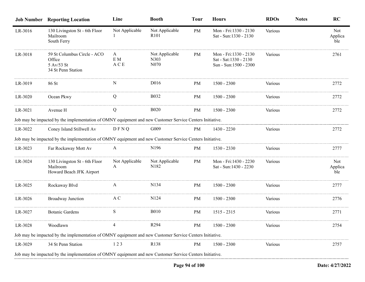|         | <b>Job Number</b> Reporting Location                                                                     | Line                | <b>Booth</b>                               | <b>Tour</b> | <b>Hours</b>                                                            | <b>RDOs</b> | <b>Notes</b> | <b>RC</b>             |
|---------|----------------------------------------------------------------------------------------------------------|---------------------|--------------------------------------------|-------------|-------------------------------------------------------------------------|-------------|--------------|-----------------------|
| LR-3016 | 130 Livingston St - 6th Floor<br>Mailroom<br>South Ferry                                                 | Not Applicable      | Not Applicable<br>R <sub>101</sub>         | PM          | Mon - Fri:1330 - 2130<br>Sat - Sun:1330 - 2130                          | Various     |              | Not<br>Applica<br>ble |
| LR-3018 | 59 St Columbus Circle - ACO<br>Office<br>5 Av/53 St<br>34 St Penn Station                                | A<br>E M<br>A C E   | Not Applicable<br>N303<br>N <sub>070</sub> | PM          | Mon - Fri:1330 - 2130<br>Sat - Sat:1330 - 2130<br>Sun - Sun:1500 - 2300 | Various     |              | 2761                  |
| LR-3019 | 86 St                                                                                                    | N                   | D <sub>016</sub>                           | PM          | $1500 - 2300$                                                           | Various     |              | 2772                  |
| LR-3020 | Ocean Pkwy                                                                                               | Q                   | <b>B032</b>                                | PM          | $1500 - 2300$                                                           | Various     |              | 2772                  |
| LR-3021 | Avenue H                                                                                                 | Q                   | <b>B020</b>                                | PM          | $1500 - 2300$                                                           | Various     |              | 2772                  |
|         | Job may be impacted by the implementation of OMNY equipment and new Customer Service Centers Initiative. |                     |                                            |             |                                                                         |             |              |                       |
| LR-3022 | Coney Island Stillwell Av                                                                                | DFNQ                | G <sub>009</sub>                           | PM          | 1430 - 2230                                                             | Various     |              | 2772                  |
|         | Job may be impacted by the implementation of OMNY equipment and new Customer Service Centers Initiative. |                     |                                            |             |                                                                         |             |              |                       |
| LR-3023 | Far Rockaway Mott Av                                                                                     | $\mathbf{A}$        | N <sub>196</sub>                           | PM          | $1530 - 2330$                                                           | Various     |              | 2777                  |
| LR-3024 | 130 Livingston St - 6th Floor<br>Mailroom<br>Howard Beach JFK Airport                                    | Not Applicable<br>A | Not Applicable<br>N <sub>1</sub> 82        | PM          | Mon - Fri:1430 - 2230<br>Sat - Sun:1430 - 2230                          | Various     |              | Not<br>Applica<br>ble |
| LR-3025 | Rockaway Blvd                                                                                            | A                   | N <sub>1</sub> 34                          | PM          | $1500 - 2300$                                                           | Various     |              | 2777                  |
| LR-3026 | Broadway Junction                                                                                        | A C                 | N <sub>124</sub>                           | PM          | $1500 - 2300$                                                           | Various     |              | 2776                  |
| LR-3027 | <b>Botanic Gardens</b>                                                                                   | S                   | <b>B010</b>                                | PM          | $1515 - 2315$                                                           | Various     |              | 2771                  |
| LR-3028 | Woodlawn                                                                                                 | 4                   | R294                                       | PM          | 1500 - 2300                                                             | Various     |              | 2754                  |
|         | Job may be impacted by the implementation of OMNY equipment and new Customer Service Centers Initiative. |                     |                                            |             |                                                                         |             |              |                       |
| LR-3029 | 34 St Penn Station                                                                                       | 123                 | R <sub>138</sub>                           | PM          | 1500 - 2300                                                             | Various     |              | 2757                  |
|         | Job may be impacted by the implementation of OMNY equipment and new Customer Service Centers Initiative. |                     |                                            |             |                                                                         |             |              |                       |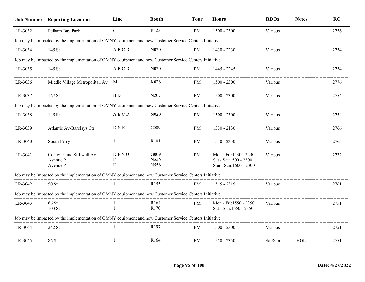|         | <b>Job Number Reporting Location</b>                                                                     | Line                     | <b>Booth</b>             | <b>Tour</b> | <b>Hours</b>                                                            | <b>RDOs</b> | <b>Notes</b> | RC   |
|---------|----------------------------------------------------------------------------------------------------------|--------------------------|--------------------------|-------------|-------------------------------------------------------------------------|-------------|--------------|------|
| LR-3032 | Pelham Bay Park                                                                                          | 6                        | R423                     | PM          | $1500 - 2300$                                                           | Various     |              | 2756 |
|         | Job may be impacted by the implementation of OMNY equipment and new Customer Service Centers Initiative. |                          |                          |             |                                                                         |             |              |      |
| LR-3034 | 145 St                                                                                                   | ABCD                     | N <sub>0</sub> 20        | PM          | 1430 - 2230                                                             | Various     |              | 2754 |
|         | Job may be impacted by the implementation of OMNY equipment and new Customer Service Centers Initiative. |                          |                          |             |                                                                         |             |              |      |
| LR-3035 | 145 St                                                                                                   | A B C D                  | N <sub>0</sub> 20        | PM          | 1445 - 2245                                                             | Various     |              | 2754 |
| LR-3036 | Middle Village Metropolitan Av M                                                                         |                          | K026                     | PM          | $1500 - 2300$                                                           | Various     |              | 2776 |
| LR-3037 | 167 St                                                                                                   | $\rm{B}$ D               | N207                     | PM          | $1500 - 2300$                                                           | Various     |              | 2754 |
|         | Job may be impacted by the implementation of OMNY equipment and new Customer Service Centers Initiative. |                          |                          |             |                                                                         |             |              |      |
| LR-3038 | 145 St                                                                                                   | ABCD                     | N <sub>0</sub> 20        | PM          | $1500 - 2300$                                                           | Various     |              | 2754 |
| LR-3039 | Atlantic Av-Barclays Ctr                                                                                 | DNR                      | C009                     | PM          | 1330 - 2130                                                             | Various     |              | 2766 |
| LR-3040 | South Ferry                                                                                              | $\mathbf{1}$             | R <sub>101</sub>         | PM          | 1530 - 2330                                                             | Various     |              | 2765 |
| LR-3041 | Coney Island Stillwell Av<br>Avenue P<br>Avenue P                                                        | DFNQ<br>F<br>$\mathbf F$ | G009<br>N556<br>N556     | PM          | Mon - Fri:1430 - 2230<br>Sat - Sat:1500 - 2300<br>Sun - Sun:1500 - 2300 | Various     |              | 2772 |
|         | Job may be impacted by the implementation of OMNY equipment and new Customer Service Centers Initiative. |                          |                          |             |                                                                         |             |              |      |
| LR-3042 | 50 St                                                                                                    | $\mathbf{1}$             | R155                     | PM          | $1515 - 2315$                                                           | Various     |              | 2761 |
|         | Job may be impacted by the implementation of OMNY equipment and new Customer Service Centers Initiative. |                          |                          |             |                                                                         |             |              |      |
| LR-3043 | 86 St<br>103 St                                                                                          |                          | R <sub>164</sub><br>R170 | PM          | Mon - Fri:1550 - 2350<br>Sat - Sun:1550 - 2350                          | Various     |              | 2751 |
|         | Job may be impacted by the implementation of OMNY equipment and new Customer Service Centers Initiative. |                          |                          |             |                                                                         |             |              |      |
| LR-3044 | 242 St                                                                                                   | -1                       | R197                     | PM          | $1500 - 2300$                                                           | Various     |              | 2751 |
| LR-3045 | 86 St                                                                                                    | 1                        | R <sub>164</sub>         | PM          | 1550 - 2350                                                             | Sat/Sun     | HOL          | 2751 |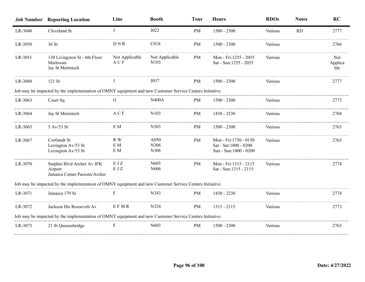|         | <b>Job Number Reporting Location</b>                                                                     | Line                     | <b>Booth</b>              | <b>Tour</b> | <b>Hours</b>                                                            | <b>RDOs</b> | <b>Notes</b> | <b>RC</b>             |
|---------|----------------------------------------------------------------------------------------------------------|--------------------------|---------------------------|-------------|-------------------------------------------------------------------------|-------------|--------------|-----------------------|
| LR-3048 | Cleveland St                                                                                             | $\bf{J}$                 | J022                      | PM          | $1500 - 2300$                                                           | Various     | RD           | 2777                  |
| LR-3050 | 36 St                                                                                                    | <b>DNR</b>               | C018                      | PM          | $1500 - 2300$                                                           | Various     |              | 2766                  |
| LR-3051 | 130 Livingston St - 6th Floor<br>Mailroom<br>Jay St Metrotech                                            | Not Applicable<br>A C F  | Not Applicable<br>N103    | PM          | Mon - Fri:1255 - 2055<br>Sat - Sun:1255 - 2055                          | Various     |              | Not<br>Applica<br>ble |
| LR-3060 | 121 St                                                                                                   | J                        | J037                      | PM          | $1500 - 2300$                                                           | Various     |              | 2777                  |
|         | Job may be impacted by the implementation of OMNY equipment and new Customer Service Centers Initiative. |                          |                           |             |                                                                         |             |              |                       |
| LR-3063 | Court Sq                                                                                                 | G                        | <b>N400A</b>              | PM          | $1500 - 2300$                                                           | Various     |              | 2773                  |
| LR-3064 | Jay St Metrotech                                                                                         | A C F                    | N103                      | PM          | 1430 - 2230                                                             | Various     |              | 2768                  |
| LR-3065 | 5 Av/53 St                                                                                               | E M                      | N303                      | PM          | $1500 - 2300$                                                           | Various     |              | 2763                  |
| LR-3067 | Cortlandt St<br>Lexington Av/53 St<br>Lexington Av/53 St                                                 | R W<br>$\rm{E}$ M<br>E M | A050<br>N306<br>N306      | PM          | Mon - Fri:1750 - 0150<br>Sat - Sat:1800 - 0200<br>Sun - Sun:1800 - 0200 | Various     |              | 2765                  |
| LR-3070 | Sutphin Blvd Archer Av JFK<br>Airport<br>Jamaica Center Parsons/Archer                                   | EJZ<br>EJZ               | N <sub>6</sub> 05<br>N606 | <b>PM</b>   | Mon - Fri:1315 - 2115<br>Sat - Sun:1315 - 2115                          | Various     |              | 2774                  |
|         | Job may be impacted by the implementation of OMNY equipment and new Customer Service Centers Initiative. |                          |                           |             |                                                                         |             |              |                       |
| LR-3071 | Jamaica 179 St                                                                                           | F                        | N343                      | PM          | 1430 - 2230                                                             | Various     |              | 2774                  |
| LR-3072 | Jackson Hts Roosevelt Av                                                                                 | EFMR                     | N324                      | PM          | $1315 - 2115$                                                           | Various     |              | 2773                  |
|         | Job may be impacted by the implementation of OMNY equipment and new Customer Service Centers Initiative. |                          |                           |             |                                                                         |             |              |                       |
| LR-3073 | 21 St Queensbridge                                                                                       | F                        | N603                      | PM          | $1500 - 2300$                                                           | Various     |              | 2763                  |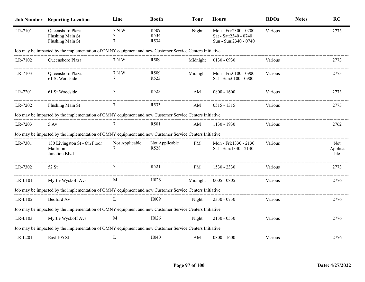|           | <b>Job Number Reporting Location</b>                                                                     | Line            | <b>Booth</b>                       | <b>Tour</b> | <b>Hours</b>                                                             | <b>RDOs</b>    | <b>Notes</b> | <b>RC</b>             |
|-----------|----------------------------------------------------------------------------------------------------------|-----------------|------------------------------------|-------------|--------------------------------------------------------------------------|----------------|--------------|-----------------------|
| LR-7101   | Queensboro Plaza<br>Flushing Main St<br>Flushing Main St                                                 | 7 N W           | R509<br>R534<br>R534               | Night       | Mon - Fri:2300 - 0700<br>Sat - Sat: 2340 - 0740<br>Sun - Sun:2340 - 0740 | Various        |              | 2773                  |
|           | Job may be impacted by the implementation of OMNY equipment and new Customer Service Centers Initiative. |                 |                                    |             |                                                                          |                |              |                       |
| LR-7102   | Queensboro Plaza                                                                                         | 7 N W           | R <sub>509</sub>                   | Midnight    | $0130 - 0930$                                                            | Various        |              | 2773                  |
| LR-7103   | Queensboro Plaza<br>61 St Woodside                                                                       | 7 N W<br>$\tau$ | R <sub>509</sub><br>R523           | Midnight    | Mon - Fri:0100 - 0900<br>Sat - Sun:0100 - 0900                           | <b>Various</b> |              | 2773                  |
| LR-7201   | 61 St Woodside                                                                                           |                 | R <sub>523</sub>                   | AM          | $0800 - 1600$                                                            | Various        |              | 2773                  |
| LR-7202   | Flushing Main St                                                                                         |                 | R533                               | AM          | $0515 - 1315$                                                            | Various        |              | 2773                  |
|           | Job may be impacted by the implementation of OMNY equipment and new Customer Service Centers Initiative. |                 |                                    |             |                                                                          |                |              |                       |
| LR-7203   | $5 \text{ Av}$                                                                                           |                 | R <sub>501</sub>                   | AM          | 1130 - 1930                                                              | Various        |              | 2762                  |
|           | Job may be impacted by the implementation of OMNY equipment and new Customer Service Centers Initiative. |                 |                                    |             |                                                                          |                |              |                       |
| LR-7301   | 130 Livingston St - 6th Floor<br>Mailroom<br>Junction Blvd                                               | Not Applicable  | Not Applicable<br>R <sub>528</sub> | PM          | Mon - Fri:1330 - 2130<br>Sat - Sun:1330 - 2130                           | Various        |              | Not<br>Applica<br>ble |
| LR-7302   | 52 St                                                                                                    |                 | R <sub>521</sub>                   | PM          | 1530 - 2330                                                              | Various        |              | 2773                  |
| LR-L101   | Myrtle Wyckoff Avs                                                                                       | M               | H026                               | Midnight    | $0005 - 0805$                                                            | Various        |              | 2776                  |
|           | Job may be impacted by the implementation of OMNY equipment and new Customer Service Centers Initiative. |                 |                                    |             |                                                                          |                |              |                       |
| $LR-L102$ | Bedford Av                                                                                               | L               | H <sub>0</sub> 09                  | Night       | 2330 - 0730                                                              | Various        |              | 2776                  |
|           | Job may be impacted by the implementation of OMNY equipment and new Customer Service Centers Initiative. |                 |                                    |             |                                                                          |                |              |                       |
| $LR-L103$ | Myrtle Wyckoff Avs                                                                                       | M               | H026                               | Night       | $2130 - 0530$                                                            | Various        |              | 2776                  |
|           | Job may be impacted by the implementation of OMNY equipment and new Customer Service Centers Initiative. |                 |                                    |             |                                                                          |                |              |                       |
| LR-L201   | East 105 St                                                                                              | L               | H <sub>040</sub>                   | ΑM          | $0800 - 1600$                                                            | Various        |              | 2776                  |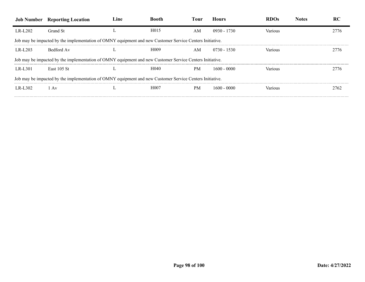|          | <b>Job Number</b> Reporting Location                                                                     | Line | Bootr             | -0111     | Hours         |         |      |
|----------|----------------------------------------------------------------------------------------------------------|------|-------------------|-----------|---------------|---------|------|
| LR-L202  | Grand St                                                                                                 |      | H <sub>0</sub> 15 | AM        | $0930 - 1730$ | Various |      |
|          | Job may be impacted by the implementation of OMNY equipment and new Customer Service Centers Initiative. |      |                   |           |               |         |      |
| LR-L203  | Bedford Av                                                                                               |      | H <sub>0</sub> 09 | AM        | $0730 - 1530$ | Various | 7776 |
|          | Job may be impacted by the implementation of OMNY equipment and new Customer Service Centers Initiative. |      |                   |           |               |         |      |
| LR-L301  | <b>East 105 St</b>                                                                                       |      | H <sub>040</sub>  | <b>PM</b> | 1600 - 0000   | √arı∩us | 2776 |
|          | Job may be impacted by the implementation of OMNY equipment and new Customer Service Centers Initiative. |      |                   |           |               |         |      |
| LR-L302. | l Av                                                                                                     |      | H <sub>0</sub> 07 | PM        | 1600 - 0000   | arıous  | 2762 |
|          |                                                                                                          |      |                   |           |               |         |      |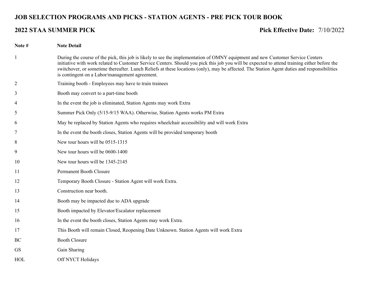# **JOB SELECTION PROGRAMS AND PICKS - STATION AGENTS - PRE PICK TOUR BOOK**

### **2022 STAA SUMMER PICK Pick Effective Date:** 7/10/2022

**Note # Note Detail** During the course of the pick, this job is likely to see the implementation of OMNY equipment and new Customer Service Centers initiative with work related to Customer Service Centers. Should you pick this job you will be expected to attend training either before the switchover, or sometime thereafter. Lunch Reliefs at these locations (only), may be affected. The Station Agent duties and responsibilities is contingent on a Labor/management agreement. Training booth - Employees may have to train trainees Booth may convert to a part-time booth In the event the job is eliminated, Station Agents may work Extra Summer Pick Only (5/15-9/15 WAA). Otherwise, Station Agents works PM Extra May be replaced by Station Agents who requires wheelchair accessibility and will work Extra In the event the booth closes, Station Agents will be provided temporary booth New tour hours will be 0515-1315 New tour hours will be 0600-1400 New tour hours will be 1345-2145 Permanent Booth Closure Temporary Booth Closure - Station Agent will work Extra. Construction near booth. Booth may be impacted due to ADA upgrade Booth impacted by Elevator/Escalator replacement In the event the booth closes, Station Agents may work Extra. This Booth will remain Closed, Reopening Date Unknown. Station Agents will work Extra Booth Closure GS Gain Sharing HOL Off NYCT Holidays